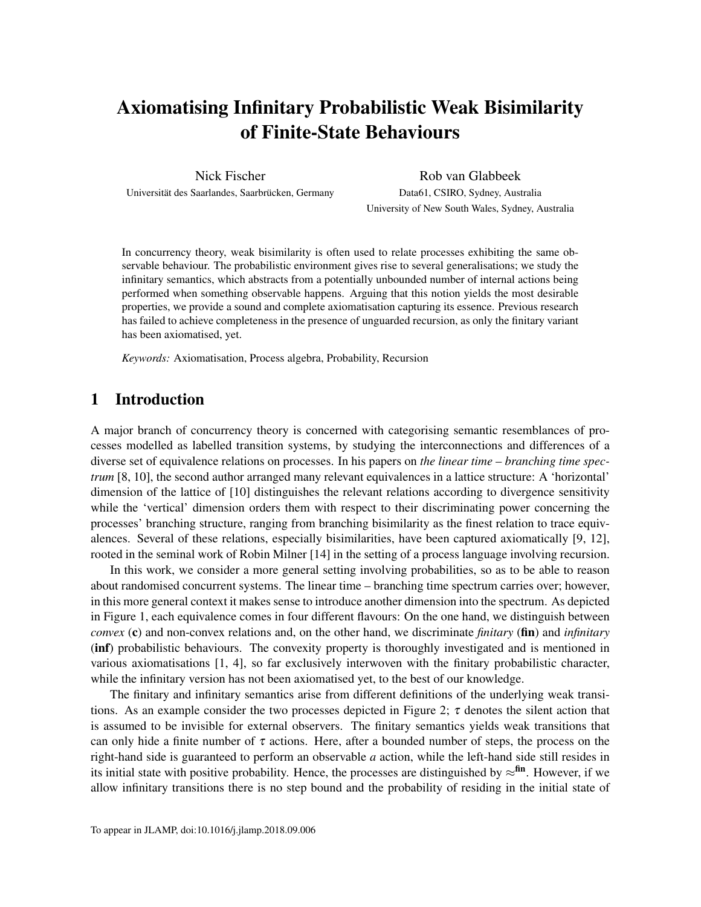# Axiomatising Infinitary Probabilistic Weak Bisimilarity of Finite-State Behaviours

Nick Fischer Universität des Saarlandes, Saarbrücken, Germany

Rob van Glabbeek Data61, CSIRO, Sydney, Australia University of New South Wales, Sydney, Australia

In concurrency theory, weak bisimilarity is often used to relate processes exhibiting the same observable behaviour. The probabilistic environment gives rise to several generalisations; we study the infinitary semantics, which abstracts from a potentially unbounded number of internal actions being performed when something observable happens. Arguing that this notion yields the most desirable properties, we provide a sound and complete axiomatisation capturing its essence. Previous research has failed to achieve completeness in the presence of unguarded recursion, as only the finitary variant has been axiomatised, yet.

*Keywords:* Axiomatisation, Process algebra, Probability, Recursion

# 1 Introduction

A major branch of concurrency theory is concerned with categorising semantic resemblances of processes modelled as labelled transition systems, by studying the interconnections and differences of a diverse set of equivalence relations on processes. In his papers on *the linear time – branching time spectrum* [\[8,](#page-50-0) [10\]](#page-50-1), the second author arranged many relevant equivalences in a lattice structure: A 'horizontal' dimension of the lattice of [\[10\]](#page-50-1) distinguishes the relevant relations according to divergence sensitivity while the 'vertical' dimension orders them with respect to their discriminating power concerning the processes' branching structure, ranging from branching bisimilarity as the finest relation to trace equivalences. Several of these relations, especially bisimilarities, have been captured axiomatically [\[9,](#page-50-2) [12\]](#page-50-3), rooted in the seminal work of Robin Milner [\[14\]](#page-50-4) in the setting of a process language involving recursion.

In this work, we consider a more general setting involving probabilities, so as to be able to reason about randomised concurrent systems. The linear time – branching time spectrum carries over; however, in this more general context it makes sense to introduce another dimension into the spectrum. As depicted in [Figure 1,](#page-1-0) each equivalence comes in four different flavours: On the one hand, we distinguish between *convex* (c) and non-convex relations and, on the other hand, we discriminate *finitary* (fin) and *infinitary* (inf) probabilistic behaviours. The convexity property is thoroughly investigated and is mentioned in various axiomatisations [\[1,](#page-49-0) [4\]](#page-49-1), so far exclusively interwoven with the finitary probabilistic character, while the infinitary version has not been axiomatised yet, to the best of our knowledge.

The finitary and infinitary semantics arise from different definitions of the underlying weak transi-tions. As an example consider the two processes depicted in [Figure 2;](#page-1-0)  $\tau$  denotes the silent action that is assumed to be invisible for external observers. The finitary semantics yields weak transitions that can only hide a finite number of  $\tau$  actions. Here, after a bounded number of steps, the process on the right-hand side is guaranteed to perform an observable *a* action, while the left-hand side still resides in its initial state with positive probability. Hence, the processes are distinguished by  $\approx^{fin}$ . However, if we allow infinitary transitions there is no step bound and the probability of residing in the initial state of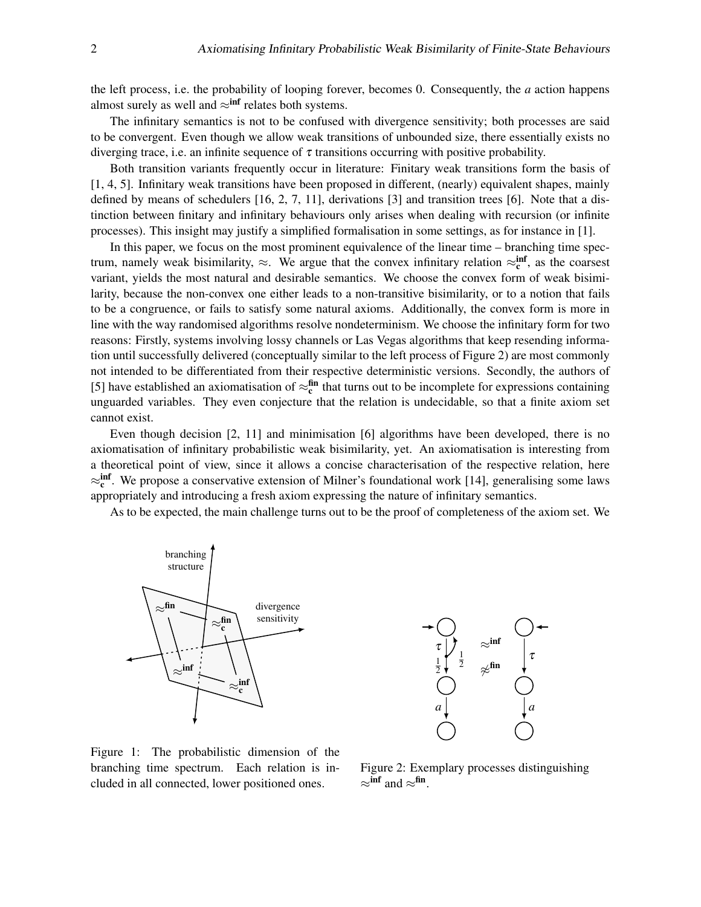the left process, i.e. the probability of looping forever, becomes 0. Consequently, the *a* action happens almost surely as well and  $\approx$ <sup>inf</sup> relates both systems.

The infinitary semantics is not to be confused with divergence sensitivity; both processes are said to be convergent. Even though we allow weak transitions of unbounded size, there essentially exists no diverging trace, i.e. an infinite sequence of  $\tau$  transitions occurring with positive probability.

Both transition variants frequently occur in literature: Finitary weak transitions form the basis of [\[1,](#page-49-0) [4,](#page-49-1) [5\]](#page-49-2). Infinitary weak transitions have been proposed in different, (nearly) equivalent shapes, mainly defined by means of schedulers [\[16,](#page-50-5) [2,](#page-49-3) [7,](#page-50-6) [11\]](#page-50-7), derivations [\[3\]](#page-49-4) and transition trees [\[6\]](#page-49-5). Note that a distinction between finitary and infinitary behaviours only arises when dealing with recursion (or infinite processes). This insight may justify a simplified formalisation in some settings, as for instance in [\[1\]](#page-49-0).

In this paper, we focus on the most prominent equivalence of the linear time – branching time spectrum, namely weak bisimilarity,  $\approx$ . We argue that the convex infinitary relation  $\approx_{c}^{inf}$ , as the coarsest variant, yields the most natural and desirable semantics. We choose the convex form of weak bisimilarity, because the non-convex one either leads to a non-transitive bisimilarity, or to a notion that fails to be a congruence, or fails to satisfy some natural axioms. Additionally, the convex form is more in line with the way randomised algorithms resolve nondeterminism. We choose the infinitary form for two reasons: Firstly, systems involving lossy channels or Las Vegas algorithms that keep resending information until successfully delivered (conceptually similar to the left process of [Figure 2\)](#page-1-0) are most commonly not intended to be differentiated from their respective deterministic versions. Secondly, the authors of [\[5\]](#page-49-2) have established an axiomatisation of  $\approx_{c}^{fin}$  that turns out to be incomplete for expressions containing unguarded variables. They even conjecture that the relation is undecidable, so that a finite axiom set cannot exist.

Even though decision [\[2,](#page-49-3) [11\]](#page-50-7) and minimisation [\[6\]](#page-49-5) algorithms have been developed, there is no axiomatisation of infinitary probabilistic weak bisimilarity, yet. An axiomatisation is interesting from a theoretical point of view, since it allows a concise characterisation of the respective relation, here  $\approx_{\rm c}^{\rm inf}$ . We propose a conservative extension of Milner's foundational work [\[14\]](#page-50-4), generalising some laws appropriately and introducing a fresh axiom expressing the nature of infinitary semantics.

As to be expected, the main challenge turns out to be the proof of completeness of the axiom set. We

<span id="page-1-0"></span>



Figure 1: The probabilistic dimension of the branching time spectrum. Each relation is included in all connected, lower positioned ones.

Figure 2: Exemplary processes distinguishing  $\approx$ <sup>inf</sup> and  $\approx$ <sup>fin</sup>.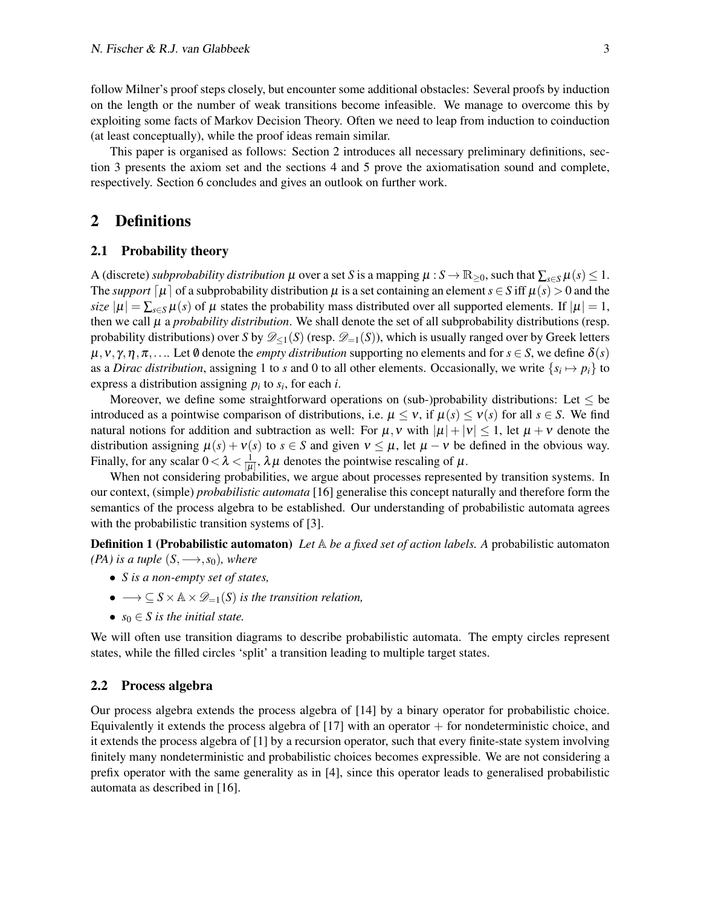follow Milner's proof steps closely, but encounter some additional obstacles: Several proofs by induction on the length or the number of weak transitions become infeasible. We manage to overcome this by exploiting some facts of Markov Decision Theory. Often we need to leap from induction to coinduction (at least conceptually), while the proof ideas remain similar.

This paper is organised as follows: [Section 2](#page-2-0) introduces all necessary preliminary definitions, [sec](#page-11-0)[tion 3](#page-11-0) presents the axiom set and the sections [4](#page-13-0) and [5](#page-16-0) prove the axiomatisation sound and complete, respectively. [Section 6](#page-36-0) concludes and gives an outlook on further work.

### <span id="page-2-0"></span>2 Definitions

#### 2.1 Probability theory

A (discrete) *subprobability distribution*  $\mu$  over a set *S* is a mapping  $\mu$  :  $S \to \mathbb{R}_{\geq 0}$ , such that  $\sum_{s \in S} \mu(s) \leq 1$ . The *support*  $\mu$  of a subprobability distribution  $\mu$  is a set containing an element  $s \in S$  iff  $\mu(s) > 0$  and the *size*  $|\mu| = \sum_{s \in S} \mu(s)$  of  $\mu$  states the probability mass distributed over all supported elements. If  $|\mu| = 1$ , then we call  $\mu$  a *probability distribution*. We shall denote the set of all subprobability distributions (resp. probability distributions) over *S* by  $\mathscr{D}_{\leq 1}(S)$  (resp.  $\mathscr{D}_{=1}(S)$ ), which is usually ranged over by Greek letters  $\mu, \nu, \gamma, \eta, \pi, \ldots$  Let  $\emptyset$  denote the *empty distribution* supporting no elements and for  $s \in S$ , we define  $\delta(s)$ as a *Dirac distribution*, assigning 1 to *s* and 0 to all other elements. Occasionally, we write  $\{s_i \mapsto p_i\}$  to express a distribution assigning  $p_i$  to  $s_i$ , for each *i*.

Moreover, we define some straightforward operations on (sub-)probability distributions: Let  $\leq$  be introduced as a pointwise comparison of distributions, i.e.  $\mu \le v$ , if  $\mu(s) \le v(s)$  for all  $s \in S$ . We find natural notions for addition and subtraction as well: For  $\mu$ , v with  $|\mu| + |\nu| \leq 1$ , let  $\mu + \nu$  denote the distribution assigning  $\mu(s) + v(s)$  to  $s \in S$  and given  $v \leq \mu$ , let  $\mu - v$  be defined in the obvious way. Finally, for any scalar  $0 < \lambda < \frac{1}{|\mu|}$ ,  $\lambda \mu$  denotes the pointwise rescaling of  $\mu$ .

When not considering probabilities, we argue about processes represented by transition systems. In our context, (simple) *probabilistic automata* [\[16\]](#page-50-5) generalise this concept naturally and therefore form the semantics of the process algebra to be established. Our understanding of probabilistic automata agrees with the probabilistic transition systems of [\[3\]](#page-49-4).

Definition 1 (Probabilistic automaton) *Let* A *be a fixed set of action labels. A* probabilistic automaton *(PA) is a tuple*  $(S, \longrightarrow, s_0)$ *, where* 

- *S is a non-empty set of states,*
- $\bullet \longrightarrow \subseteq S \times \mathbb{A} \times \mathcal{D}_{-1}(S)$  *is the transition relation,*
- $s_0 \in S$  *is the initial state.*

We will often use transition diagrams to describe probabilistic automata. The empty circles represent states, while the filled circles 'split' a transition leading to multiple target states.

#### 2.2 Process algebra

Our process algebra extends the process algebra of [\[14\]](#page-50-4) by a binary operator for probabilistic choice. Equivalently it extends the process algebra of  $[17]$  with an operator  $+$  for nondeterministic choice, and it extends the process algebra of [\[1\]](#page-49-0) by a recursion operator, such that every finite-state system involving finitely many nondeterministic and probabilistic choices becomes expressible. We are not considering a prefix operator with the same generality as in [\[4\]](#page-49-1), since this operator leads to generalised probabilistic automata as described in [\[16\]](#page-50-5).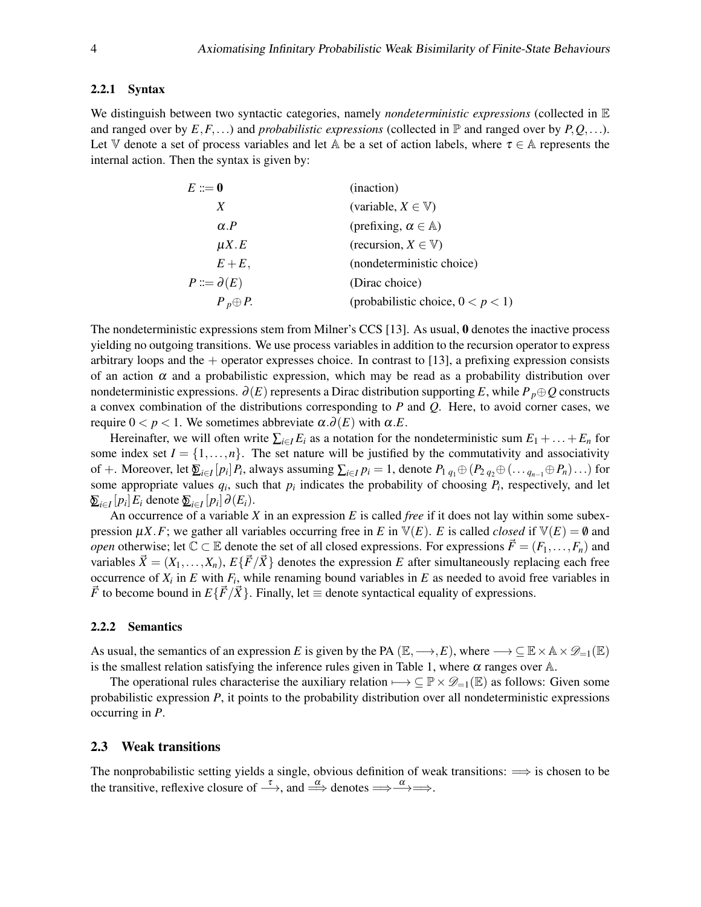#### 2.2.1 Syntax

We distinguish between two syntactic categories, namely *nondeterministic expressions* (collected in E and ranged over by  $E, F, \ldots$ ) and *probabilistic expressions* (collected in  $\mathbb P$  and ranged over by  $P, Q, \ldots$ ). Let V denote a set of process variables and let A be a set of action labels, where  $\tau \in A$  represents the internal action. Then the syntax is given by:

| $E \mathrel{\mathop:}= \mathbf{0}$ | (inaction)                           |
|------------------------------------|--------------------------------------|
| X                                  | (variable, $X \in V$ )               |
| $\alpha.P$                         | (prefixing, $\alpha \in A$ )         |
| $\mu X.E$                          | (recursion, $X \in \mathbb{V}$ )     |
| $E+E,$                             | (nondeterministic choice)            |
| $P ::= \partial(E)$                | (Dirac choice)                       |
| $P_p \oplus P$ .                   | (probabilistic choice, $0 < p < 1$ ) |

The nondeterministic expressions stem from Milner's CCS [\[13\]](#page-50-9). As usual, 0 denotes the inactive process yielding no outgoing transitions. We use process variables in addition to the recursion operator to express arbitrary loops and the  $+$  operator expresses choice. In contrast to [\[13\]](#page-50-9), a prefixing expression consists of an action  $\alpha$  and a probabilistic expression, which may be read as a probability distribution over nondeterministic expressions.  $\partial(E)$  represents a Dirac distribution supporting E, while  $P_p \oplus Q$  constructs a convex combination of the distributions corresponding to *P* and *Q*. Here, to avoid corner cases, we require  $0 < p < 1$ . We sometimes abbreviate α. $\partial(E)$  with α.*E*.

Hereinafter, we will often write  $\sum_{i \in I} E_i$  as a notation for the nondeterministic sum  $E_1 + \ldots + E_n$  for some index set  $I = \{1, \ldots, n\}$ . The set nature will be justified by the commutativity and associativity of +. Moreover, let  $\sum_{i\in I} [p_i] P_i$ , always assuming  $\sum_{i\in I} p_i = 1$ , denote  $P_1 q_1 \oplus (P_2 q_2 \oplus (\ldots q_{n-1} \oplus P_n) \ldots)$  for some appropriate values  $q_i$ , such that  $p_i$  indicates the probability of choosing  $P_i$ , respectively, and let  $\sum_{i \in I} [p_i] E_i$  denote  $\sum_{i \in I} [p_i] \partial(E_i)$ .

An occurrence of a variable *X* in an expression *E* is called *free* if it does not lay within some subexpression  $\mu X$ . *F*; we gather all variables occurring free in *E* in  $V(E)$ . *E* is called *closed* if  $V(E) = \emptyset$  and *open* otherwise; let  $\mathbb{C} \subset \mathbb{E}$  denote the set of all closed expressions. For expressions  $\vec{F} = (F_1, \ldots, F_n)$  and variables  $\vec{X} = (X_1, \ldots, X_n)$ ,  $E\{\vec{F}/\vec{X}\}\$  denotes the expression *E* after simultaneously replacing each free occurrence of  $X_i$  in  $E$  with  $F_i$ , while renaming bound variables in  $E$  as needed to avoid free variables in  $\vec{F}$  to become bound in  $E\{\vec{F}/\vec{X}\}\$ . Finally, let  $\equiv$  denote syntactical equality of expressions.

#### 2.2.2 Semantics

As usual, the semantics of an expression *E* is given by the PA ( $\mathbb{E}, \longrightarrow, E$ ), where  $\longrightarrow \subseteq \mathbb{E} \times \mathbb{A} \times \mathcal{D}_{=1}(\mathbb{E})$ is the smallest relation satisfying the inference rules given in [Table 1,](#page-4-0) where  $\alpha$  ranges over A.

The operational rules characterise the auxiliary relation  $\longrightarrow \subseteq \mathbb{P} \times \mathcal{D}_{-1}(\mathbb{E})$  as follows: Given some probabilistic expression *P*, it points to the probability distribution over all nondeterministic expressions occurring in *P*.

#### 2.3 Weak transitions

The nonprobabilistic setting yields a single, obvious definition of weak transitions:  $\implies$  is chosen to be the transitive, reflexive closure of  $\xrightarrow{\tau}$ , and  $\xrightarrow{\alpha}$  denotes  $\Longrightarrow\xrightarrow{\alpha} \Longrightarrow$ .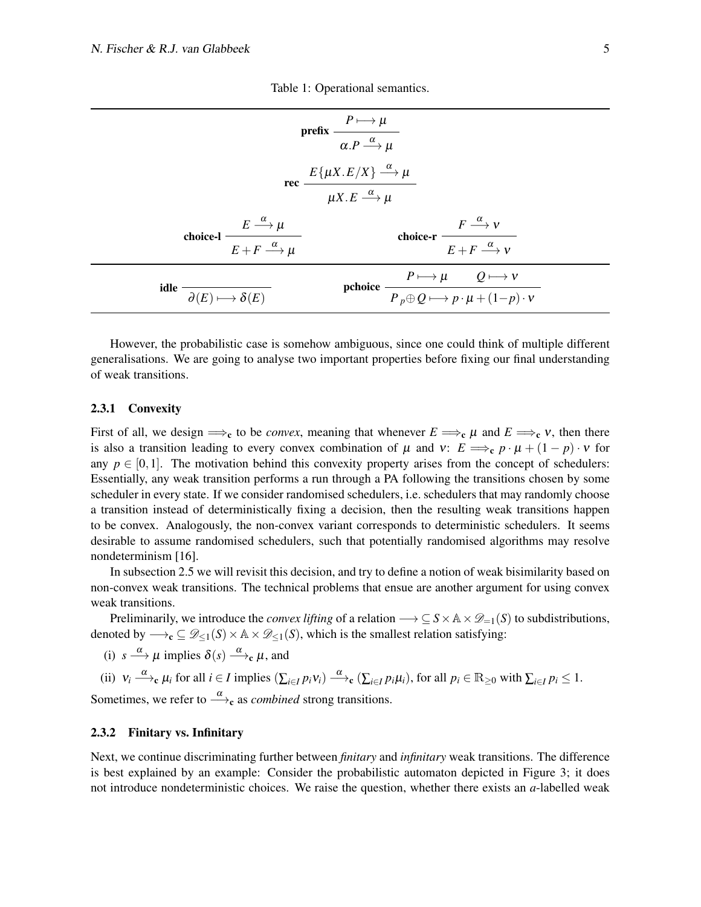<span id="page-4-0"></span>

|                                                                                                                                                 | prefix $\frac{P \longmapsto \mu}{\alpha.P \xrightarrow{\alpha} \mu}$                                            |  |  |
|-------------------------------------------------------------------------------------------------------------------------------------------------|-----------------------------------------------------------------------------------------------------------------|--|--|
| rec $\frac{E\{\mu X.E/X\} \stackrel{\alpha}{\longrightarrow} \mu}{\mu X.E \stackrel{\alpha}{\longrightarrow} \mu}$                              |                                                                                                                 |  |  |
| ${\rm choice\text{-}l} \, \, \displaystyle \frac{E \, \stackrel{\alpha}{\longrightarrow} \mu}{E + F \, \stackrel{\alpha}{\longrightarrow} \mu}$ | choice-r $\frac{F \stackrel{\alpha}{\longrightarrow} V}{E + F \stackrel{\alpha}{\longrightarrow} V}$            |  |  |
| idle $\overline{\partial(E) \longmapsto \delta(E)}$                                                                                             | pchoice $\frac{P \longmapsto \mu \qquad Q \longmapsto v}{P_p \oplus Q \longmapsto p \cdot \mu + (1-p) \cdot v}$ |  |  |

Table 1: Operational semantics.

However, the probabilistic case is somehow ambiguous, since one could think of multiple different generalisations. We are going to analyse two important properties before fixing our final understanding of weak transitions.

#### 2.3.1 Convexity

First of all, we design  $\Rightarrow$ <sub>c</sub> to be *convex*, meaning that whenever  $E \Rightarrow$ c  $\mu$  and  $E \Rightarrow$ c  $\nu$ , then there is also a transition leading to every convex combination of  $\mu$  and  $v: E \implies_c p \cdot \mu + (1 - p) \cdot v$  for any  $p \in [0,1]$ . The motivation behind this convexity property arises from the concept of schedulers: Essentially, any weak transition performs a run through a PA following the transitions chosen by some scheduler in every state. If we consider randomised schedulers, i.e. schedulers that may randomly choose a transition instead of deterministically fixing a decision, then the resulting weak transitions happen to be convex. Analogously, the non-convex variant corresponds to deterministic schedulers. It seems desirable to assume randomised schedulers, such that potentially randomised algorithms may resolve nondeterminism [\[16\]](#page-50-5).

In [subsection 2.5](#page-9-0) we will revisit this decision, and try to define a notion of weak bisimilarity based on non-convex weak transitions. The technical problems that ensue are another argument for using convex weak transitions.

Preliminarily, we introduce the *convex lifting* of a relation  $\longrightarrow \subseteq S \times \mathbb{A} \times \mathcal{D}_{=1}(S)$  to subdistributions, denoted by  $\longrightarrow_c \subseteq \mathcal{D}_{\leq 1}(S) \times \mathbb{A} \times \mathcal{D}_{\leq 1}(S)$ , which is the smallest relation satisfying:

(i) 
$$
s \xrightarrow{\alpha} \mu
$$
 implies  $\delta(s) \xrightarrow{\alpha} \epsilon \mu$ , and

(ii) 
$$
v_i \xrightarrow{\alpha} e \mu_i
$$
 for all  $i \in I$  implies  $(\sum_{i \in I} p_i v_i) \xrightarrow{\alpha} e (\sum_{i \in I} p_i \mu_i)$ , for all  $p_i \in \mathbb{R}_{\geq 0}$  with  $\sum_{i \in I} p_i \leq 1$ .

Sometimes, we refer to  $\frac{\alpha}{\longrightarrow}c$  as *combined* strong transitions.

#### 2.3.2 Finitary vs. Infinitary

Next, we continue discriminating further between *finitary* and *infinitary* weak transitions. The difference is best explained by an example: Consider the probabilistic automaton depicted in [Figure 3;](#page-5-0) it does not introduce nondeterministic choices. We raise the question, whether there exists an *a*-labelled weak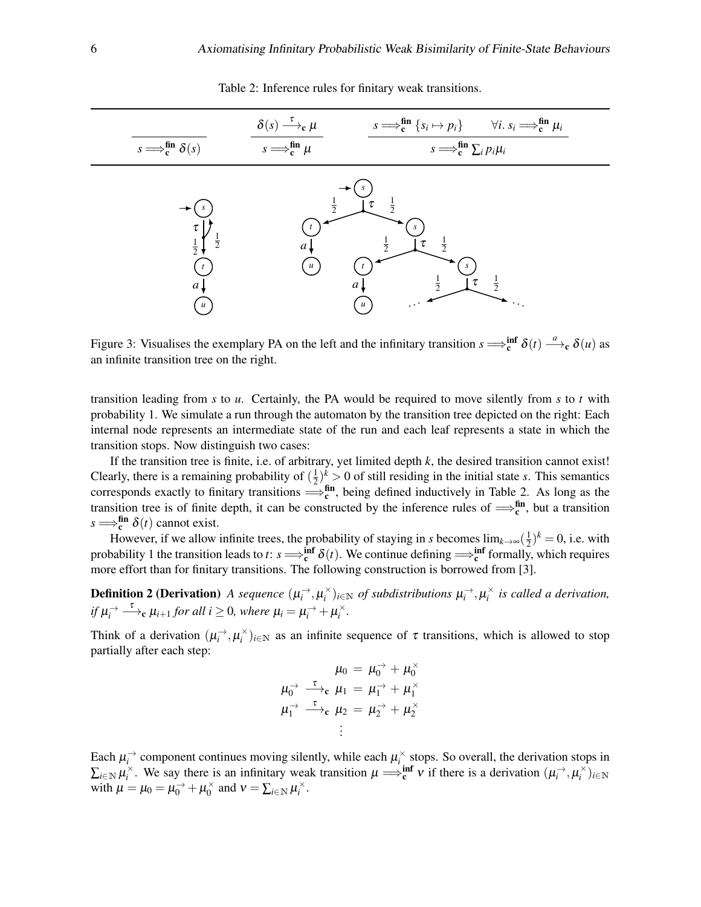<span id="page-5-1"></span><span id="page-5-0"></span>

| $s \Longrightarrow_{c}^{\text{fin}} \delta(s)$ | $\delta(s) \stackrel{\tau}{\longrightarrow}_{c} \mu$<br>$s \Longrightarrow_{c}^{\text{fin}} \mu$ | $s \Longrightarrow_{\mathbf{c}}^{\mathbf{fin}} \{s_i \mapsto p_i\}$ $\forall i. s_i \Longrightarrow_{\mathbf{c}}^{\mathbf{fin}} \mu_i$<br>$s \Longrightarrow_{\mathbf{c}}^{\mathbf{fin}} \sum_{i} p_i \mu_i$ |
|------------------------------------------------|--------------------------------------------------------------------------------------------------|--------------------------------------------------------------------------------------------------------------------------------------------------------------------------------------------------------------|
| τ<br>$\frac{1}{2}$<br>a<br>$\boldsymbol{u}$    | $\dot{z}$<br>$\mathfrak{a}$ .<br>$\boldsymbol{u}$                                                | $\frac{1}{2}$<br>$\frac{1}{2}$<br>$\frac{1}{2}$<br>$\dot{2}$<br>$\mathfrak{a}$ ,<br>$\boldsymbol{u}$                                                                                                         |

Table 2: Inference rules for finitary weak transitions.

Figure 3: Visualises the exemplary PA on the left and the infinitary transition  $s \Longrightarrow_{c}^{\inf} \delta(t) \stackrel{a}{\longrightarrow}_{c} \delta(u)$  as an infinite transition tree on the right.

transition leading from *s* to *u*. Certainly, the PA would be required to move silently from *s* to *t* with probability 1. We simulate a run through the automaton by the transition tree depicted on the right: Each internal node represents an intermediate state of the run and each leaf represents a state in which the transition stops. Now distinguish two cases:

If the transition tree is finite, i.e. of arbitrary, yet limited depth *k*, the desired transition cannot exist! Clearly, there is a remaining probability of  $(\frac{1}{2})$  $(\frac{1}{2})^k > 0$  of still residing in the initial state *s*. This semantics corresponds exactly to finitary transitions  $\Rightarrow_c^{\text{fin}}$ , being defined inductively in [Table 2.](#page-5-1) As long as the transition tree is of finite depth, it can be constructed by the inference rules of  $\Rightarrow_c^{fin}$ , but a transition  $s \Longrightarrow_{c}^{\text{fin}} \delta(t)$  cannot exist. c

However, if we allow infinite trees, the probability of staying in *s* becomes  $\lim_{k\to\infty}(\frac{1}{2})$  $(\frac{1}{2})^k = 0$ , i.e. with probability 1 the transition leads to *t*:  $s \Longrightarrow_c^{\text{inf}} \delta(t)$ . We continue defining  $\Longrightarrow_c^{\text{inf}}$  formally, which requires more effort than for finitary transitions. The following construction is borrowed from [\[3\]](#page-49-4).

**Definition 2 (Derivation)** A sequence  $(\mu_i^{\to}, \mu_i^{\times})_{i \in \mathbb{N}}$  of subdistributions  $\mu_i^{\to}, \mu_i^{\times}$  is called a derivation, *if*  $\mu_i^{\rightarrow} \stackrel{\tau}{\longrightarrow}$   $\mu_{i+1}$  *for all i*  $\geq 0$ *, where*  $\mu_i = \mu_i^{\rightarrow} + \mu_i^{\times}$ *.* 

Think of a derivation  $(\mu_i^{\rightharpoonup}, \mu_i^{\rightharpoonup})_{i \in \mathbb{N}}$  as an infinite sequence of  $\tau$  transitions, which is allowed to stop partially after each step:

$$
\mu_0 = \mu_0^{\rightarrow} + \mu_0^{\times}
$$
  

$$
\mu_0^{\rightarrow} \xrightarrow{\tau} \mathbf{c} \mu_1 = \mu_1^{\rightarrow} + \mu_1^{\times}
$$
  

$$
\mu_1^{\rightarrow} \xrightarrow{\tau} \mathbf{c} \mu_2 = \mu_2^{\rightarrow} + \mu_2^{\times}
$$
  

$$
\vdots
$$

Each  $\mu_i^{\rightarrow}$  component continues moving silently, while each  $\mu_i^{\times}$  stops. So overall, the derivation stops in  $\sum_{i\in\mathbb{N}}\mu_i^\times$ . We say there is an infinitary weak transition  $\mu \Longrightarrow_{\mathbf{c}}^{\inf}\nu$  if there is a derivation  $(\mu_i^{\rightarrow}, \mu_i^{\times})_{i\in\mathbb{N}}$ with  $\mu = \mu_0 = \mu_0^{\rightarrow} + \mu_0^{\times}$  $\sum_{i=1}^{\infty}$  and  $v = \sum_{i \in \mathbb{N}} \mu_i^{\times}$ .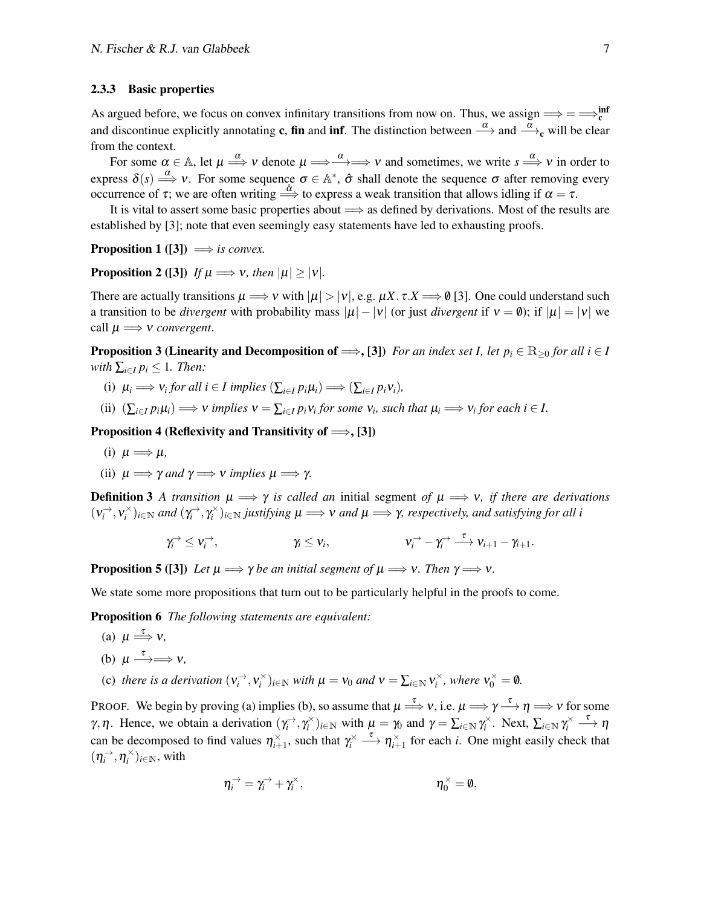#### 2.3.3 Basic properties

As argued before, we focus on convex infinitary transitions from now on. Thus, we assign  $\Longrightarrow = \Longrightarrow_{c}^{inf}$ and discontinue explicitly annotating **c**, fin and inf. The distinction between  $\frac{\alpha}{\rightarrow}$  and  $\frac{\alpha}{\rightarrow}$ <sub>c</sub> will be clear from the context.

For some  $\alpha \in \mathbb{A}$ , let  $\mu \Longrightarrow^{\alpha} \nu$  denote  $\mu \Longrightarrow^{\alpha} \Longrightarrow^{\alpha} \nu$  and sometimes, we write  $s \Longrightarrow^{\alpha} \nu$  in order to express  $\delta(s) \stackrel{\alpha}{\Longrightarrow} v$ . For some sequence  $\sigma \in \mathbb{A}^*$ ,  $\hat{\sigma}$  shall denote the sequence  $\sigma$  after removing every occurrence of  $\tau$ ; we are often writing  $\stackrel{\hat{\alpha}}{\Longrightarrow}$  to express a weak transition that allows idling if  $\alpha = \tau$ .

It is vital to assert some basic properties about  $\implies$  as defined by derivations. Most of the results are established by [\[3\]](#page-49-4); note that even seemingly easy statements have led to exhausting proofs.

**Proposition 1** ([\[3\]](#page-49-4))  $\implies$  *is convex.* 

**Proposition 2** ([\[3\]](#page-49-4)) *If*  $\mu \implies v$ *, then*  $|\mu| > |v|$ *.* 

There are actually transitions  $\mu \Longrightarrow v$  with  $|\mu| > |v|$ , e.g.  $\mu X \cdot \tau X \Longrightarrow \emptyset$  [\[3\]](#page-49-4). One could understand such a transition to be *divergent* with probability mass  $|\mu| - |\nu|$  (or just *divergent* if  $\nu = \emptyset$ ); if  $|\mu| = |\nu|$  we call  $\mu \Longrightarrow v$  *convergent.* 

<span id="page-6-5"></span>**Proposition 3 (Linearity and Decomposition of**  $\implies$ **, [\[3\]](#page-49-4))** *For an index set I, let*  $p_i \in \mathbb{R}_{\geq 0}$  *for all*  $i \in I$ *with*  $\sum_{i \in I} p_i \leq 1$ *. Then:* 

- <span id="page-6-6"></span>(i)  $\mu_i \Longrightarrow \nu_i$  *for all*  $i \in I$  *implies*  $(\sum_{i \in I} p_i \mu_i) \Longrightarrow (\sum_{i \in I} p_i \nu_i)$ *,*
- (ii)  $(\sum_{i\in I} p_i \mu_i) \Longrightarrow v$  *implies*  $v = \sum_{i\in I} p_i v_i$  *for some*  $v_i$ *, such that*  $\mu_i \Longrightarrow v_i$  *for each i*  $\in I$ *.*

<span id="page-6-7"></span>Proposition 4 (Reflexivity and Transitivity of  $\Longrightarrow$ , [\[3\]](#page-49-4))

- (i)  $\mu \Longrightarrow \mu$ ,
- (ii)  $\mu \Longrightarrow \gamma$  *and*  $\gamma \Longrightarrow \gamma$  *implies*  $\mu \Longrightarrow \gamma$ .

**Definition 3** A transition  $\mu \implies \gamma$  is called an initial segment of  $\mu \implies v$ , if there are derivations  $(v_i^{\rightarrow}, v_i^{\times})_{i \in \mathbb{N}}$  and  $(\gamma_i^{\rightarrow}, \gamma_i^{\times})_{i \in \mathbb{N}}$  *justifying*  $\mu \Longrightarrow v$  and  $\mu \Longrightarrow \gamma$ , respectively, and satisfying for all i

$$
\gamma_i^{\rightarrow} \leq v_i^{\rightarrow}, \qquad \qquad \gamma_i \leq v_i, \qquad \qquad v_i^{\rightarrow} - \gamma_i^{\rightarrow} \stackrel{\tau}{\longrightarrow} v_{i+1} - \gamma_{i+1}.
$$

<span id="page-6-2"></span>**Proposition 5** ([\[3\]](#page-49-4)) *Let*  $\mu \Longrightarrow \gamma$  *be an initial segment of*  $\mu \Longrightarrow \nu$ *. Then*  $\gamma \Longrightarrow \nu$ *.* 

<span id="page-6-4"></span>We state some more propositions that turn out to be particularly helpful in the proofs to come.

Proposition 6 *The following statements are equivalent:*

- <span id="page-6-0"></span>(a)  $\mu \stackrel{\tau}{\Longrightarrow} v$ ,
- <span id="page-6-1"></span>(b)  $\mu \longrightarrow^{\tau} \rightarrow \nu$ ,
- <span id="page-6-3"></span>(c) there is a derivation  $(v_i^{\rightharpoonup}, v_i^{\rightharpoonup})_{i \in \mathbb{N}}$  with  $\mu = v_0$  and  $v = \sum_{i \in \mathbb{N}} v_i^{\rightharpoonup}$ , where  $v_0^{\rightharpoonup} = \emptyset$ .

PROOF. We begin by proving [\(a\)](#page-6-0) implies [\(b\),](#page-6-1) so assume that  $\mu \stackrel{\tau}{\Longrightarrow} \nu$ , i.e.  $\mu \Longrightarrow \gamma \stackrel{\tau}{\Longrightarrow} \eta \Longrightarrow \nu$  for some *γ*, *η*. Hence, we obtain a derivation  $(\gamma_i^{\rightarrow}, \gamma_i^{\times})_{i \in \mathbb{N}}$  with  $\mu = \gamma_0$  and  $\gamma = \sum_{i \in \mathbb{N}} \gamma_i^{\times}$ . Next,  $\sum_{i \in \mathbb{N}} \gamma_i^{\times} \stackrel{\tau}{\longrightarrow} \eta$ can be decomposed to find values  $\eta_{i+1}^{\times}$ , such that  $\gamma_i^{\times} \longrightarrow \eta_{i+1}^{\times}$  for each *i*. One might easily check that  $(\eta_i^{\rightarrow}, \eta_i^{\times})_{i \in \mathbb{N}}$ , with

$$
\eta_i^{\rightarrow} = \gamma_i^{\rightarrow} + \gamma_i^{\times}, \qquad \eta_0^{\times} = \emptyset,
$$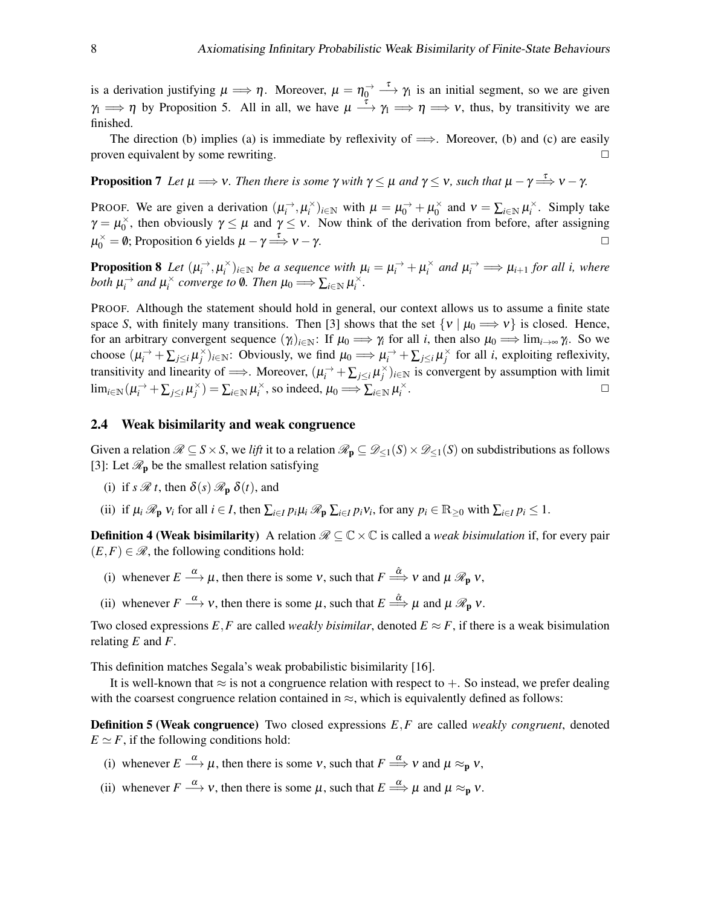is a derivation justifying  $\mu \Longrightarrow \eta$ . Moreover,  $\mu = \eta_0^{\rightarrow} \stackrel{\tau}{\longrightarrow} \gamma_1$  is an initial segment, so we are given  $\gamma_1 \implies \eta$  by [Proposition 5.](#page-6-2) All in all, we have  $\mu \stackrel{\tau}{\longrightarrow} \gamma_1 \implies \eta \implies v$ , thus, by transitivity we are finished.

The direction [\(b\)](#page-6-1) implies [\(a\)](#page-6-0) is immediate by reflexivity of  $\implies$ . Moreover, (b) and [\(c\)](#page-6-3) are easily proven equivalent by some rewriting.

<span id="page-7-2"></span>**Proposition 7** Let  $\mu \Longrightarrow \nu$ . Then there is some  $\gamma$  with  $\gamma \leq \mu$  and  $\gamma \leq \nu$ , such that  $\mu - \gamma \stackrel{\tau}{\Longrightarrow} \nu - \gamma$ .

PROOF. We are given a derivation  $(\mu_i^{\rightarrow}, \mu_i^{\times})_{i \in \mathbb{N}}$  with  $\mu = \mu_0^{\rightarrow} + \mu_0^{\times}$  $\sum_{i=1}^{\infty}$  and  $v = \sum_{i \in \mathbb{N}} \mu_i^{\times}$ . Simply take  $\gamma = \mu_0^{\times}$  $\gamma_0^*$ , then obviously  $\gamma \leq \mu$  and  $\gamma \leq \nu$ . Now think of the derivation from before, after assigning  $\mu_0^{\times} = \mathbf{0}$ ; [Proposition 6](#page-6-4) yields  $\mu - \gamma \stackrel{\tau}{\Longrightarrow} \mathbf{v} - \gamma$ .

<span id="page-7-1"></span>**Proposition 8** Let  $(\mu_i^{\rightarrow}, \mu_i^{\times})_{i \in \mathbb{N}}$  be a sequence with  $\mu_i = \mu_i^{\rightarrow} + \mu_i^{\times}$  and  $\mu_i^{\rightarrow} \implies \mu_{i+1}$  for all i, where *both*  $\mu_i^{\rightarrow}$  and  $\mu_i^{\times}$  converge to **0**. Then  $\mu_0 \Longrightarrow \sum_{i \in \mathbb{N}} \mu_i^{\times}$ .

PROOF. Although the statement should hold in general, our context allows us to assume a finite state space *S*, with finitely many transitions. Then [\[3\]](#page-49-4) shows that the set  $\{v \mid \mu_0 \implies v\}$  is closed. Hence, for an arbitrary convergent sequence  $(\gamma_i)_{i\in\mathbb{N}}$ : If  $\mu_0 \Longrightarrow \gamma_i$  for all *i*, then also  $\mu_0 \Longrightarrow \lim_{i\to\infty} \gamma_i$ . So we choose  $(\mu_i^{\rightarrow} + \sum_{j \leq i} \mu_j^{\times})_{i \in \mathbb{N}}$ : Obviously, we find  $\mu_0 \Longrightarrow \mu_i^{\rightarrow} + \sum_{j \leq i} \mu_j^{\times}$  for all *i*, exploiting reflexivity, transitivity and linearity of  $\implies$ . Moreover,  $(\mu_i^{\rightarrow} + \sum_{j \leq i} \mu_j^{\times})_{i \in \mathbb{N}}$  is convergent by assumption with limit  $\lim_{i \in \mathbb{N}} (\mu_i^{\rightarrow} + \sum_{j \leq i} \mu_j^{\times}) = \sum_{i \in \mathbb{N}} \mu_i^{\times}$ , so indeed,  $\mu_0 \Longrightarrow \sum_{i \in \mathbb{N}} \mu_i^{\times}$ .  $\Box$ 

#### 2.4 Weak bisimilarity and weak congruence

Given a relation  $\mathcal{R} \subseteq S \times S$ , we *lift* it to a relation  $\mathcal{R}_{p} \subseteq \mathcal{D}_{\leq 1}(S) \times \mathcal{D}_{\leq 1}(S)$  on subdistributions as follows [\[3\]](#page-49-4): Let  $\mathcal{R}_{\textbf{p}}$  be the smallest relation satisfying

- (i) if  $s \mathcal{R} t$ , then  $\delta(s) \mathcal{R}_n \delta(t)$ , and
- (ii) if  $\mu_i \mathcal{R}_{\mathbf{p}} v_i$  for all  $i \in I$ , then  $\sum_{i \in I} p_i \mu_i \mathcal{R}_{\mathbf{p}} \sum_{i \in I} p_i v_i$ , for any  $p_i \in \mathbb{R}_{\geq 0}$  with  $\sum_{i \in I} p_i \leq 1$ .

<span id="page-7-0"></span>**Definition 4 (Weak bisimilarity)** A relation  $\mathcal{R} \subseteq \mathbb{C} \times \mathbb{C}$  is called a *weak bisimulation* if, for every pair  $(E, F) \in \mathcal{R}$ , the following conditions hold:

- (i) whenever  $E \stackrel{\alpha}{\longrightarrow} \mu$ , then there is some v, such that  $F \stackrel{\hat{\alpha}}{\Longrightarrow} v$  and  $\mu \mathcal{R}_{p} v$ ,
- (ii) whenever  $F \stackrel{\alpha}{\longrightarrow} v$ , then there is some  $\mu$ , such that  $E \stackrel{\hat{\alpha}}{\Longrightarrow} \mu$  and  $\mu \mathcal{R}_{p} v$ .

Two closed expressions  $E$ , F are called *weakly bisimilar*, denoted  $E \approx F$ , if there is a weak bisimulation relating *E* and *F*.

This definition matches Segala's weak probabilistic bisimilarity [\[16\]](#page-50-5).

It is well-known that  $\approx$  is not a congruence relation with respect to  $+$ . So instead, we prefer dealing with the coarsest congruence relation contained in  $\approx$ , which is equivalently defined as follows:

<span id="page-7-3"></span>Definition 5 (Weak congruence) Two closed expressions *E*,*F* are called *weakly congruent*, denoted  $E \simeq F$ , if the following conditions hold:

- (i) whenever  $E \stackrel{\alpha}{\longrightarrow} \mu$ , then there is some v, such that  $F \stackrel{\alpha}{\Longrightarrow} v$  and  $\mu \approx_{\mathbf{p}} v$ ,
- (ii) whenever  $F \stackrel{\alpha}{\longrightarrow} v$ , then there is some  $\mu$ , such that  $E \stackrel{\alpha}{\Longrightarrow} \mu$  and  $\mu \approx_{p} v$ .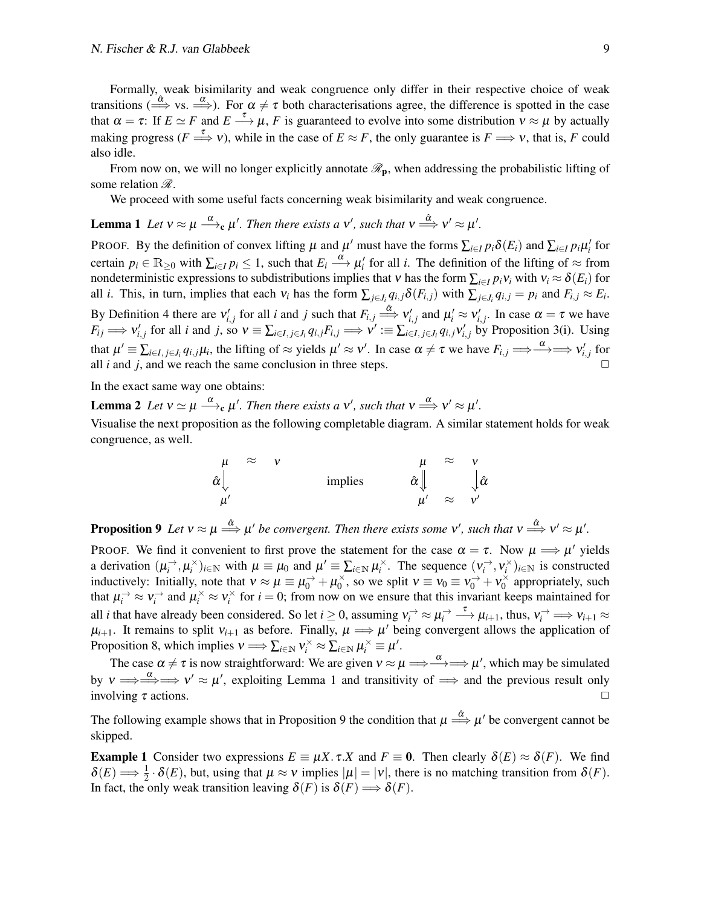Formally, weak bisimilarity and weak congruence only differ in their respective choice of weak transitions ( $\stackrel{\circ}{\Rightarrow}$  vs.  $\stackrel{\alpha}{\Longrightarrow}$ ). For  $\alpha \neq \tau$  both characterisations agree, the difference is spotted in the case that  $\alpha = \tau$ : If  $E \simeq F$  and  $E \to \mu$ , *F* is guaranteed to evolve into some distribution  $v \approx \mu$  by actually making progress  $(F \stackrel{\tau}{\Longrightarrow} v)$ , while in the case of  $E \approx F$ , the only guarantee is  $F \Longrightarrow v$ , that is, F could also idle.

From now on, we will no longer explicitly annotate  $\mathcal{R}_{p}$ , when addressing the probabilistic lifting of some relation  $\mathscr R$ .

We proceed with some useful facts concerning weak bisimilarity and weak congruence.

<span id="page-8-0"></span>**Lemma 1** Let  $v \approx \mu \stackrel{\alpha}{\longrightarrow}$   $\mu'$ . Then there exists a v', such that  $v \stackrel{\hat{\alpha}}{\Longrightarrow} v' \approx \mu'$ .

PROOF. By the definition of convex lifting  $\mu$  and  $\mu'$  must have the forms  $\sum_{i\in I} p_i \delta(E_i)$  and  $\sum_{i\in I} p_i \mu'_i$  for certain  $p_i \in \mathbb{R}_{\geq 0}$  with  $\sum_{i \in I} p_i \leq 1$ , such that  $E_i \stackrel{\alpha}{\longrightarrow} \mu'_i$  for all *i*. The definition of the lifting of  $\approx$  from nondeterministic expressions to subdistributions implies that v has the form  $\sum_{i\in I} p_i v_i$  with  $v_i \approx \delta(E_i)$  for all *i*. This, in turn, implies that each  $v_i$  has the form  $\sum_{j \in J_i} q_{i,j} \delta(F_{i,j})$  with  $\sum_{j \in J_i} q_{i,j} = p_i$  and  $F_{i,j} \approx E_i$ . By [Definition 4](#page-7-0) there are  $v'_{i,j}$  for all *i* and *j* such that  $F_{i,j} \stackrel{\hat{\alpha}}{\Longrightarrow} v'_{i,j}$  and  $\mu'_i \approx v'_{i,j}$ . In case  $\alpha = \tau$  we have  $F_{ij} \Longrightarrow v'_{i,j}$  for all *i* and *j*, so  $v \equiv \sum_{i \in I, j \in J_i} q_{i,j} F_{i,j} \Longrightarrow v' := \sum_{i \in I, j \in J_i} q_{i,j} v'_{i,j}$  by [Proposition 3](#page-6-5)[\(i\).](#page-6-6) Using that  $\mu' \equiv \sum_{i \in I, j \in J_i} q_{i,j} \mu_i$ , the lifting of  $\approx$  yields  $\mu' \approx v'$ . In case  $\alpha \neq \tau$  we have  $F_{i,j} \Longrightarrow \xrightarrow{\alpha} \gg v'_{i,j}$  for all  $i$  and  $j$ , and we reach the same conclusion in three steps.

In the exact same way one obtains:

**Lemma 2** Let  $v \simeq \mu \stackrel{\alpha}{\longrightarrow}_c \mu'$ . Then there exists a v', such that  $v \stackrel{\alpha}{\Longrightarrow} v' \approx \mu'$ .

Visualise the next proposition as the following completable diagram. A similar statement holds for weak congruence, as well.

<span id="page-8-2"></span>
$$
\begin{array}{ccc}\n\mu & \approx & v & \mu & \approx & v \\
\hat{\alpha} \parallel & \text{implies} & \hat{\alpha} \parallel & \hat{\alpha} \\
\mu' & & \mu' & \approx & v'\n\end{array}
$$

<span id="page-8-1"></span>**Proposition 9** Let  $v \approx \mu \stackrel{\hat{\alpha}}{\Longrightarrow} \mu'$  be convergent. Then there exists some v', such that  $v \stackrel{\hat{\alpha}}{\Longrightarrow} v' \approx \mu'$ .

PROOF. We find it convenient to first prove the statement for the case  $\alpha = \tau$ . Now  $\mu \Longrightarrow \mu'$  yields a derivation  $(\mu_i^{\rightarrow}, \mu_i^{\times})_{i \in \mathbb{N}}$  with  $\mu \equiv \mu_0$  and  $\mu' \equiv \sum_{i \in \mathbb{N}} \mu_i^{\times}$ . The sequence  $(\nu_i^{\rightarrow}, \nu_i^{\times})_{i \in \mathbb{N}}$  is constructed inductively: Initially, note that  $v \approx \mu \equiv \mu_0^{\rightarrow} + \mu_0^{\times}$  $v_0^{\times}$ , so we split  $v \equiv v_0 \equiv v_0^{\rightarrow} + v_0^{\times}$  $y_0^{\times}$  appropriately, such that  $\mu_i^{\rightarrow} \approx v_i^{\rightarrow}$  and  $\mu_i^{\times} \approx v_i^{\times}$  for  $i = 0$ ; from now on we ensure that this invariant keeps maintained for all *i* that have already been considered. So let  $i \ge 0$ , assuming  $v_i^{\to} \approx \mu_i^{\to} \frac{\tau}{\to} \mu_{i+1}$ , thus,  $v_i^{\to} \implies v_{i+1} \approx$  $\mu_{i+1}$ . It remains to split  $v_{i+1}$  as before. Finally,  $\mu \Longrightarrow \mu'$  being convergent allows the application of [Proposition 8,](#page-7-1) which implies  $v \Longrightarrow \sum_{i \in \mathbb{N}} v_i^{\times} \approx \sum_{i \in \mathbb{N}} \mu_i^{\times} \equiv \mu'.$ 

The case  $\alpha \neq \tau$  is now straightforward: We are given  $v \approx \mu \Longrightarrow \stackrel{\alpha}{\Longrightarrow} \Longrightarrow \mu'$ , which may be simulated by  $v \implies \stackrel{\alpha}{\Longrightarrow} \Rightarrow v' \approx \mu'$ , exploiting [Lemma 1](#page-8-0) and transitivity of  $\implies$  and the previous result only involving  $\tau$  actions.

The following example shows that in [Proposition 9](#page-8-1) the condition that  $\mu \stackrel{\hat{\alpha}}{\Longrightarrow} \mu'$  be convergent cannot be skipped.

<span id="page-8-3"></span>**Example 1** Consider two expressions  $E = \mu X \cdot \tau X$  and  $F = 0$ . Then clearly  $\delta(E) \approx \delta(F)$ . We find  $\delta(E) \Longrightarrow \frac{1}{2} \cdot \delta(E)$ , but, using that  $\mu \approx \nu$  implies  $|\mu| = |\nu|$ , there is no matching transition from  $\delta(F)$ . In fact, the only weak transition leaving  $\delta(F)$  is  $\delta(F) \Longrightarrow \delta(F)$ .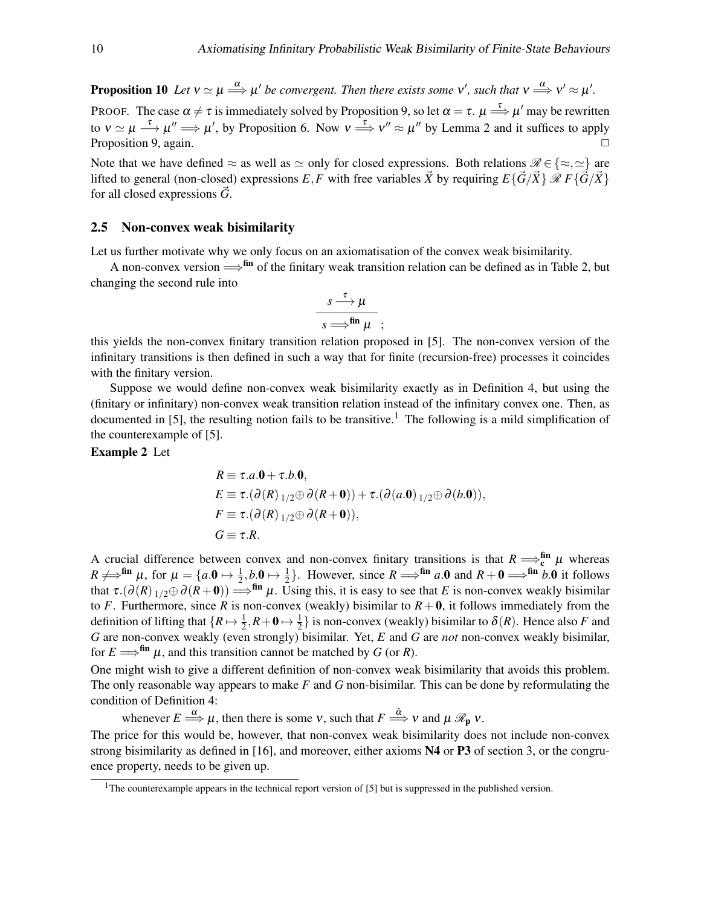**Proposition 10** Let  $v \simeq \mu \stackrel{\alpha}{\Longrightarrow} \mu'$  be convergent. Then there exists some  $v'$ , such that  $v \stackrel{\alpha}{\Longrightarrow} v' \approx \mu'.$ 

PROOF. The case  $\alpha \neq \tau$  is immediately solved by [Proposition 9,](#page-8-1) so let  $\alpha = \tau$ .  $\mu \stackrel{\tau}{\Longrightarrow} \mu'$  may be rewritten to  $v \simeq \mu \stackrel{\tau}{\longrightarrow} \mu'' \Longrightarrow \mu'$ , by [Proposition 6.](#page-6-4) Now  $v \stackrel{\tau}{\Longrightarrow} v'' \approx \mu''$  by [Lemma 2](#page-8-2) and it suffices to apply [Proposition 9,](#page-8-1) again. ✷

Note that we have defined  $\approx$  as well as  $\approx$  only for closed expressions. Both relations  $\mathscr{R} \in \{\approx, \approx\}$  are lifted to general (non-closed) expressions *E*, *F* with free variables  $\vec{X}$  by requiring  $E\{\vec{G}/\vec{X}\}\mathcal{R} F\{\vec{G}/\vec{X}\}\$ for all closed expressions  $\dot{G}$ .

#### <span id="page-9-0"></span>2.5 Non-convex weak bisimilarity

Let us further motivate why we only focus on an axiomatisation of the convex weak bisimilarity.

A non-convex version  $\Longrightarrow$ <sup>fin</sup> of the finitary weak transition relation can be defined as in [Table 2,](#page-5-1) but changing the second rule into

$$
\frac{s\xrightarrow{\tau}\mu}{s\Longrightarrow^{\text{fin}}\mu};
$$

this yields the non-convex finitary transition relation proposed in [\[5\]](#page-49-2). The non-convex version of the infinitary transitions is then defined in such a way that for finite (recursion-free) processes it coincides with the finitary version.

Suppose we would define non-convex weak bisimilarity exactly as in [Definition 4,](#page-7-0) but using the (finitary or infinitary) non-convex weak transition relation instead of the infinitary convex one. Then, as documented in [\[5\]](#page-49-2), the resulting notion fails to be transitive.<sup>[1](#page-9-1)</sup> The following is a mild simplification of the counterexample of [\[5\]](#page-49-2).

#### Example 2 Let

$$
R \equiv \tau.a.\mathbf{0} + \tau.b.\mathbf{0},
$$
  
\n
$$
E \equiv \tau.(\partial(R)_{1/2} \oplus \partial(R + \mathbf{0})) + \tau.(\partial(a.\mathbf{0})_{1/2} \oplus \partial(b.\mathbf{0})),
$$
  
\n
$$
F \equiv \tau.(\partial(R)_{1/2} \oplus \partial(R + \mathbf{0})),
$$
  
\n
$$
G \equiv \tau.R.
$$

A crucial difference between convex and non-convex finitary transitions is that  $R \implies_c^{\text{fin}} \mu$  whereas  $R \neq f$ <sup>fin</sup>  $\mu$ , for  $\mu = \{a \cdot 0 \mapsto \frac{1}{2}, b \cdot 0 \mapsto \frac{1}{2}\}$ . However, since  $R \Longrightarrow$ <sup>fin</sup>  $a \cdot 0$  and  $R + 0 \Longrightarrow$ <sup>fin</sup>  $b \cdot 0$  it follows that  $\tau$ .( $\partial(R)$  1/2⊕ $\partial(R+0)$ )  $\Longrightarrow$  f<sup>in</sup>  $\mu$ . Using this, it is easy to see that *E* is non-convex weakly bisimilar to *F*. Furthermore, since *R* is non-convex (weakly) bisimilar to  $R + 0$ , it follows immediately from the definition of lifting that  $\{R \mapsto \frac{1}{2}, R + \mathbf{0} \mapsto \frac{1}{2}\}$  is non-convex (weakly) bisimilar to  $\delta(R)$ . Hence also *F* and *G* are non-convex weakly (even strongly) bisimilar. Yet, *E* and *G* are *not* non-convex weakly bisimilar, for  $E \Longrightarrow^{\text{fin}} \mu$ , and this transition cannot be matched by *G* (or *R*).

One might wish to give a different definition of non-convex weak bisimilarity that avoids this problem. The only reasonable way appears to make *F* and *G* non-bisimilar. This can be done by reformulating the condition of [Definition 4:](#page-7-0)

whenever  $E \stackrel{\alpha}{\Longrightarrow} \mu$ , then there is some v, such that  $F \stackrel{\hat{\alpha}}{\Longrightarrow} v$  and  $\mu \mathcal{R}_{p} v$ .

The price for this would be, however, that non-convex weak bisimilarity does not include non-convex strong bisimilarity as defined in [\[16\]](#page-50-5), and moreover, either axioms N4 or P3 of [section 3,](#page-11-0) or the congruence property, needs to be given up.

<span id="page-9-1"></span><sup>&</sup>lt;sup>1</sup>The counterexample appears in the technical report version of [\[5\]](#page-49-2) but is suppressed in the published version.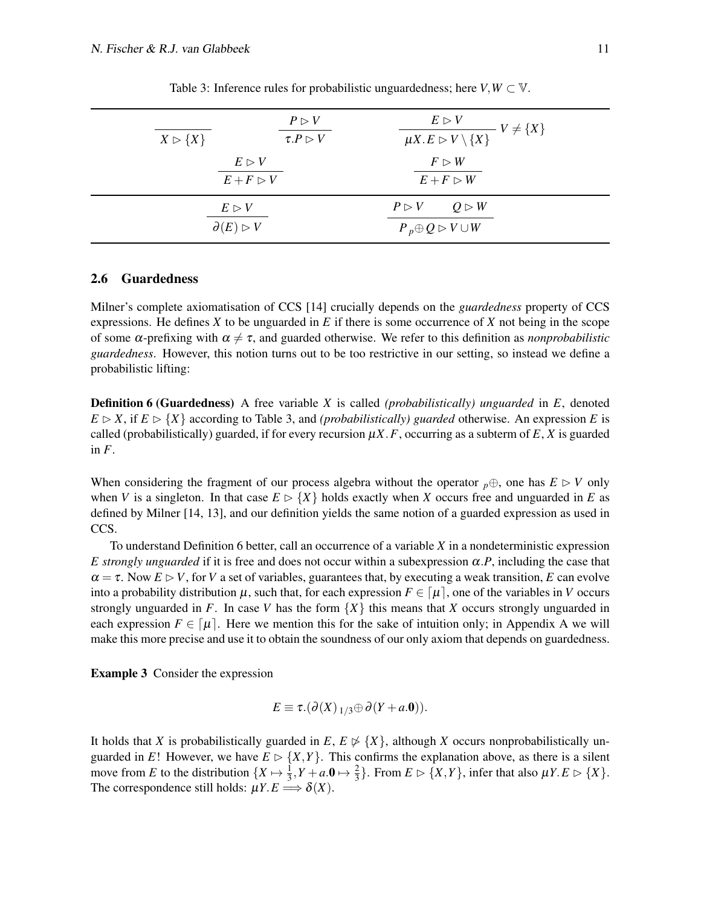<span id="page-10-0"></span>

| $X \triangleright \{X\}$                               | $P \triangleright V$<br>$\tau.P \triangleright V$ | $E \triangleright V$<br>$-V \neq \{X\}$<br>$\overline{\mu X.E \triangleright V \setminus \{X\}}$ |
|--------------------------------------------------------|---------------------------------------------------|--------------------------------------------------------------------------------------------------|
| $E \triangleright V$<br>$E+F \triangleright V$         |                                                   | $F \triangleright W$<br>$E + F > W$                                                              |
| $E \triangleright V$<br>$\partial(E) \triangleright V$ |                                                   | $P \triangleright V$ $Q \triangleright W$<br>$P_p \oplus Q \rhd V \cup W$                        |

Table 3: Inference rules for probabilistic unguardedness; here  $V, W \subset V$ .

#### 2.6 Guardedness

Milner's complete axiomatisation of CCS [\[14\]](#page-50-4) crucially depends on the *guardedness* property of CCS expressions. He defines *X* to be unguarded in *E* if there is some occurrence of *X* not being in the scope of some  $\alpha$ -prefixing with  $\alpha \neq \tau$ , and guarded otherwise. We refer to this definition as *nonprobabilistic guardedness*. However, this notion turns out to be too restrictive in our setting, so instead we define a probabilistic lifting:

<span id="page-10-1"></span>Definition 6 (Guardedness) A free variable *X* is called *(probabilistically) unguarded* in *E*, denoted  $E \triangleright X$ , if  $E \triangleright \{X\}$  according to [Table 3,](#page-10-0) and *(probabilistically) guarded* otherwise. An expression *E* is called (probabilistically) guarded, if for every recursion  $\mu X$ . *F*, occurring as a subterm of *E*, *X* is guarded in *F*.

When considering the fragment of our process algebra without the operator  $p \oplus$ , one has  $E \triangleright V$  only when *V* is a singleton. In that case  $E \triangleright \{X\}$  holds exactly when *X* occurs free and unguarded in *E* as defined by Milner [\[14,](#page-50-4) [13\]](#page-50-9), and our definition yields the same notion of a guarded expression as used in CCS.

To understand [Definition 6](#page-10-1) better, call an occurrence of a variable *X* in a nondeterministic expression *E* strongly unguarded if it is free and does not occur within a subexpression  $\alpha.P$ , including the case that  $\alpha = \tau$ . Now  $E \triangleright V$ , for *V* a set of variables, guarantees that, by executing a weak transition, *E* can evolve into a probability distribution  $\mu$ , such that, for each expression  $F \in [\mu]$ , one of the variables in *V* occurs strongly unguarded in *F*. In case *V* has the form  $\{X\}$  this means that *X* occurs strongly unguarded in each expression  $F \in [\mu]$ . Here we mention this for the sake of intuition only; in [Appendix A](#page-36-1) we will make this more precise and use it to obtain the soundness of our only axiom that depends on guardedness.

Example 3 Consider the expression

$$
E \equiv \tau.(\partial(X)_{1/3} \oplus \partial(Y + a.0)).
$$

It holds that *X* is probabilistically guarded in  $E, E \not\triangleright \{X\}$ , although *X* occurs nonprobabilistically unguarded in *E*! However, we have  $E \supset \{X, Y\}$ . This confirms the explanation above, as there is a silent move from *E* to the distribution  $\{X \mapsto \frac{1}{3}, Y + a \cdot \mathbf{0} \mapsto \frac{2}{3}\}$ . From  $E \triangleright \{X, Y\}$ , infer that also  $\mu Y \cdot E \triangleright \{X\}$ . The correspondence still holds:  $\mu Y.E \Longrightarrow \delta(X)$ .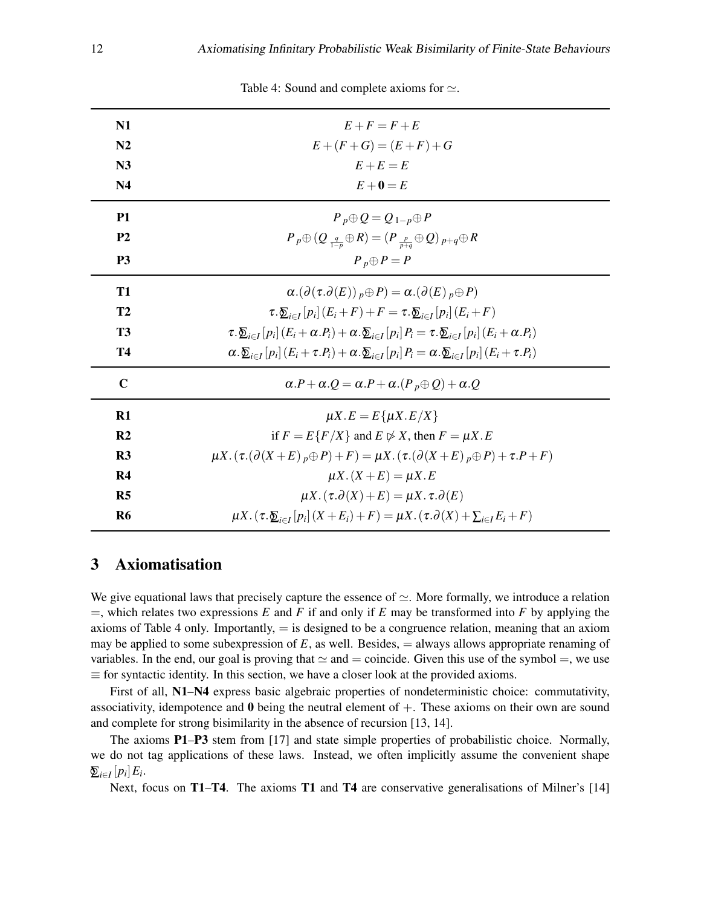<span id="page-11-1"></span>

| N1             | $E+F=F+E$                                                                                                                                         |
|----------------|---------------------------------------------------------------------------------------------------------------------------------------------------|
| N <sub>2</sub> | $E + (F + G) = (E + F) + G$                                                                                                                       |
| N3             | $E+E=E$                                                                                                                                           |
| N <sub>4</sub> | $E+0=E$                                                                                                                                           |
| <b>P1</b>      | $P_p \oplus Q = Q_{1-p} \oplus P$                                                                                                                 |
| P <sub>2</sub> | $P_p \oplus (Q_{\frac{q}{1-p}} \oplus R) = (P_{\frac{p}{p+q}} \oplus Q)_{p+q} \oplus R$                                                           |
| P <sub>3</sub> | $P_p \oplus P = P$                                                                                                                                |
| <b>T1</b>      | $\alpha.(\partial(\tau.\partial(E))_{p}\oplus P)=\alpha.(\partial(E)_{p}\oplus P)$                                                                |
| T2             | $\tau \cdot \sum_{i \in I} [p_i] (E_i + F) + F = \tau \cdot \sum_{i \in I} [p_i] (E_i + F)$                                                       |
| T <sub>3</sub> | $\tau \cdot \sum_{i \in I} [p_i] (E_i + \alpha P_i) + \alpha \cdot \sum_{i \in I} [p_i] P_i = \tau \cdot \sum_{i \in I} [p_i] (E_i + \alpha P_i)$ |
| <b>T4</b>      | $\alpha \cdot \sum_{i \in I} [p_i] (E_i + \tau P_i) + \alpha \cdot \sum_{i \in I} [p_i] P_i = \alpha \cdot \sum_{i \in I} [p_i] (E_i + \tau P_i)$ |
| $\mathbf C$    | $\alpha.P + \alpha.Q = \alpha.P + \alpha.(P_p \oplus Q) + \alpha.Q$                                                                               |
| R1             | $\mu X.E = E\{\mu X.E/X\}$                                                                                                                        |
| R <sub>2</sub> | if $F = E\{F/X\}$ and $E \not\triangleright X$ , then $F = \mu X.E$                                                                               |
| R <sub>3</sub> | $\mu X. (\tau. (\partial (X+E)_p \oplus P) + F) = \mu X. (\tau. (\partial (X+E)_p \oplus P) + \tau. P + F)$                                       |
| R <sub>4</sub> | $\mu X.(X+E) = \mu X.E$                                                                                                                           |
| R <sub>5</sub> | $\mu X. (\tau . \partial(X) + E) = \mu X. \tau . \partial(E)$                                                                                     |
| R <sub>6</sub> | $\mu X \cdot (\tau \cdot \mathcal{L}_{i \in I}[p_i](X + E_i) + F) = \mu X \cdot (\tau \cdot \partial(X) + \sum_{i \in I} E_i + F)$                |

Table 4: Sound and complete axioms for  $\simeq$ .

# <span id="page-11-0"></span>3 Axiomatisation

We give equational laws that precisely capture the essence of  $\simeq$ . More formally, we introduce a relation  $=$ , which relates two expressions *E* and *F* if and only if *E* may be transformed into *F* by applying the axioms of [Table 4](#page-11-1) only. Importantly,  $=$  is designed to be a congruence relation, meaning that an axiom may be applied to some subexpression of  $E$ , as well. Besides,  $=$  always allows appropriate renaming of variables. In the end, our goal is proving that  $\simeq$  and  $=$  coincide. Given this use of the symbol  $=$ , we use  $\equiv$  for syntactic identity. In this section, we have a closer look at the provided axioms.

First of all, N1–N4 express basic algebraic properties of nondeterministic choice: commutativity, associativity, idempotence and  $\bf{0}$  being the neutral element of  $+$ . These axioms on their own are sound and complete for strong bisimilarity in the absence of recursion [\[13,](#page-50-9) [14\]](#page-50-4).

The axioms **P1–P3** stem from [\[17\]](#page-50-8) and state simple properties of probabilistic choice. Normally, we do not tag applications of these laws. Instead, we often implicitly assume the convenient shape  $\sum_{i\in I} [p_i] E_i$ .

Next, focus on T1–T4. The axioms T1 and T4 are conservative generalisations of Milner's [\[14\]](#page-50-4)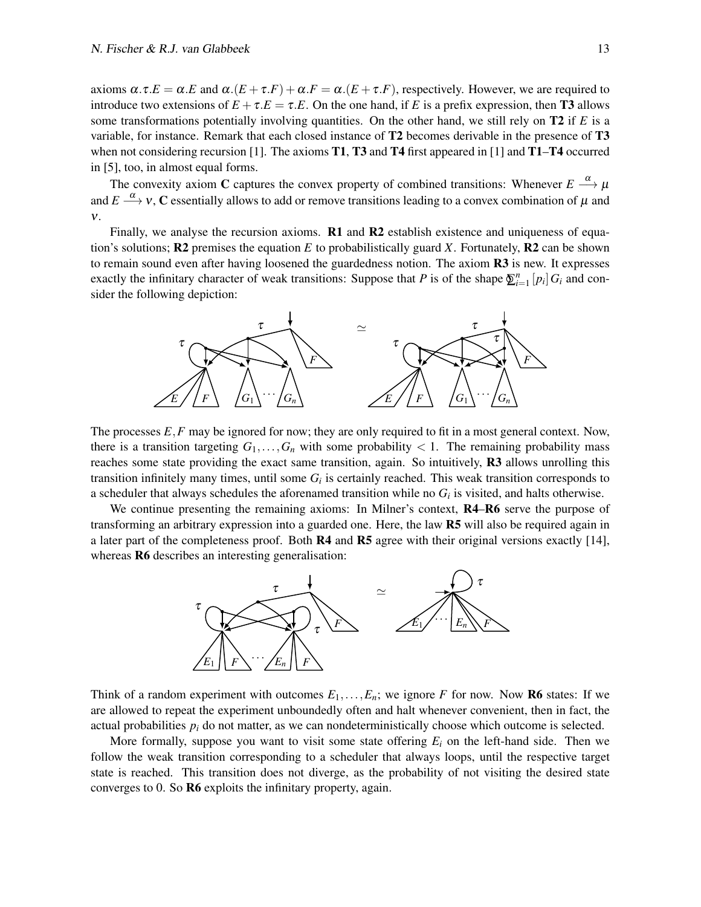axioms  $\alpha \tau.E = \alpha.E$  and  $\alpha.(E + \tau.F) + \alpha.F = \alpha.(E + \tau.F)$ , respectively. However, we are required to introduce two extensions of  $E + \tau.E = \tau.E$ . On the one hand, if *E* is a prefix expression, then **T3** allows some transformations potentially involving quantities. On the other hand, we still rely on T2 if *E* is a variable, for instance. Remark that each closed instance of T2 becomes derivable in the presence of T3 when not considering recursion [\[1\]](#page-49-0). The axioms **T1, T3** and **T4** first appeared in [1] and **T1–T4** occurred in [\[5\]](#page-49-2), too, in almost equal forms.

The convexity axiom C captures the convex property of combined transitions: Whenever  $E \stackrel{\alpha}{\longrightarrow} \mu$ and  $E\stackrel{\alpha}{\longrightarrow}$   $v,$   ${\bf C}$  essentially allows to add or remove transitions leading to a convex combination of  $\mu$  and ν.

Finally, we analyse the recursion axioms. **R1** and **R2** establish existence and uniqueness of equation's solutions;  $R2$  premises the equation *E* to probabilistically guard *X*. Fortunately,  $R2$  can be shown to remain sound even after having loosened the guardedness notion. The axiom **R3** is new. It expresses exactly the infinitary character of weak transitions: Suppose that *P* is of the shape  $\sum_{i=1}^{n} [p_i] G_i$  and consider the following depiction:



The processes  $E$ , *F* may be ignored for now; they are only required to fit in a most general context. Now, there is a transition targeting  $G_1, \ldots, G_n$  with some probability  $\lt 1$ . The remaining probability mass reaches some state providing the exact same transition, again. So intuitively, R3 allows unrolling this transition infinitely many times, until some *G<sup>i</sup>* is certainly reached. This weak transition corresponds to a scheduler that always schedules the aforenamed transition while no  $G_i$  is visited, and halts otherwise.

We continue presenting the remaining axioms: In Milner's context,  $R4-R6$  serve the purpose of transforming an arbitrary expression into a guarded one. Here, the law R5 will also be required again in a later part of the completeness proof. Both R4 and R5 agree with their original versions exactly [\[14\]](#page-50-4), whereas **R6** describes an interesting generalisation:



Think of a random experiment with outcomes  $E_1, \ldots, E_n$ ; we ignore *F* for now. Now **R6** states: If we are allowed to repeat the experiment unboundedly often and halt whenever convenient, then in fact, the actual probabilities *p<sup>i</sup>* do not matter, as we can nondeterministically choose which outcome is selected.

More formally, suppose you want to visit some state offering  $E_i$  on the left-hand side. Then we follow the weak transition corresponding to a scheduler that always loops, until the respective target state is reached. This transition does not diverge, as the probability of not visiting the desired state converges to 0. So R6 exploits the infinitary property, again.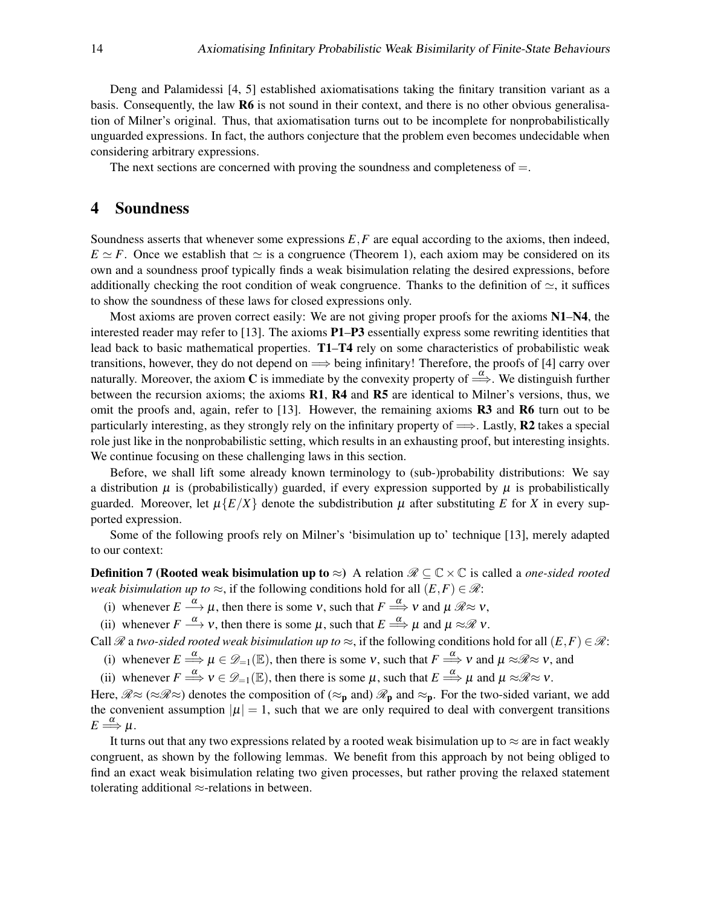Deng and Palamidessi [\[4,](#page-49-1) [5\]](#page-49-2) established axiomatisations taking the finitary transition variant as a basis. Consequently, the law R6 is not sound in their context, and there is no other obvious generalisation of Milner's original. Thus, that axiomatisation turns out to be incomplete for nonprobabilistically unguarded expressions. In fact, the authors conjecture that the problem even becomes undecidable when considering arbitrary expressions.

The next sections are concerned with proving the soundness and completeness of  $=$ .

# <span id="page-13-0"></span>4 Soundness

Soundness asserts that whenever some expressions *E*,*F* are equal according to the axioms, then indeed,  $E \simeq F$ . Once we establish that  $\simeq$  is a congruence [\(Theorem 1\)](#page-14-0), each axiom may be considered on its own and a soundness proof typically finds a weak bisimulation relating the desired expressions, before additionally checking the root condition of weak congruence. Thanks to the definition of  $\approx$ , it suffices to show the soundness of these laws for closed expressions only.

Most axioms are proven correct easily: We are not giving proper proofs for the axioms  $N1-N4$ , the interested reader may refer to [\[13\]](#page-50-9). The axioms P1–P3 essentially express some rewriting identities that lead back to basic mathematical properties. T1–T4 rely on some characteristics of probabilistic weak transitions, however, they do not depend on  $\implies$  being infinitary! Therefore, the proofs of [\[4\]](#page-49-1) carry over naturally. Moreover, the axiom C is immediate by the convexity property of  $\Rightarrow^{\alpha}$ . We distinguish further between the recursion axioms; the axioms R1, R4 and R5 are identical to Milner's versions, thus, we omit the proofs and, again, refer to [\[13\]](#page-50-9). However, the remaining axioms R3 and R6 turn out to be particularly interesting, as they strongly rely on the infinitary property of  $\implies$ . Lastly, R2 takes a special role just like in the nonprobabilistic setting, which results in an exhausting proof, but interesting insights. We continue focusing on these challenging laws in this section.

Before, we shall lift some already known terminology to (sub-)probability distributions: We say a distribution  $\mu$  is (probabilistically) guarded, if every expression supported by  $\mu$  is probabilistically guarded. Moreover, let  $\mu\{E/X\}$  denote the subdistribution  $\mu$  after substituting *E* for *X* in every supported expression.

<span id="page-13-2"></span>Some of the following proofs rely on Milner's 'bisimulation up to' technique [\[13\]](#page-50-9), merely adapted to our context:

**Definition 7 (Rooted weak bisimulation up to**  $\approx$ **)** A relation  $\mathcal{R} \subseteq \mathbb{C} \times \mathbb{C}$  is called a *one-sided rooted weak bisimulation up to*  $\approx$ , if the following conditions hold for all  $(E, F) \in \mathcal{R}$ :

- (i) whenever  $E \stackrel{\alpha}{\longrightarrow} \mu$ , then there is some v, such that  $F \stackrel{\alpha}{\Longrightarrow} v$  and  $\mu \mathcal{R} \approx v$ ,
- (ii) whenever  $F \stackrel{\alpha}{\longrightarrow} v$ , then there is some  $\mu$ , such that  $E \stackrel{\alpha}{\Longrightarrow} \mu$  and  $\mu \approx \mathcal{R} v$ .

Call  $\mathcal R$  a *two-sided rooted weak bisimulation up to*  $\approx$ , if the following conditions hold for all  $(E, F) \in \mathcal R$ :

- (i) whenever  $E \stackrel{\alpha}{\Longrightarrow} \mu \in \mathcal{D}_{-1}(\mathbb{E})$ , then there is some v, such that  $F \stackrel{\alpha}{\Longrightarrow} v$  and  $\mu \approx \mathcal{R} \approx v$ , and
- (ii) whenever  $F \stackrel{\alpha}{\Longrightarrow} v \in \mathcal{D}_{-1}(\mathbb{E})$ , then there is some  $\mu$ , such that  $E \stackrel{\alpha}{\Longrightarrow} \mu$  and  $\mu \approx \mathcal{R} \approx v$ .

Here,  $\mathcal{R} \approx (\approx \mathcal{R} \approx)$  denotes the composition of  $(\approx_{p}$  and)  $\mathcal{R}_{p}$  and  $\approx_{p}$ . For the two-sided variant, we add the convenient assumption  $|\mu| = 1$ , such that we are only required to deal with convergent transitions  $E \stackrel{\alpha}{\Longrightarrow} \mu.$ 

<span id="page-13-1"></span>It turns out that any two expressions related by a rooted weak bisimulation up to  $\approx$  are in fact weakly congruent, as shown by the following lemmas. We benefit from this approach by not being obliged to find an exact weak bisimulation relating two given processes, but rather proving the relaxed statement tolerating additional  $\approx$ -relations in between.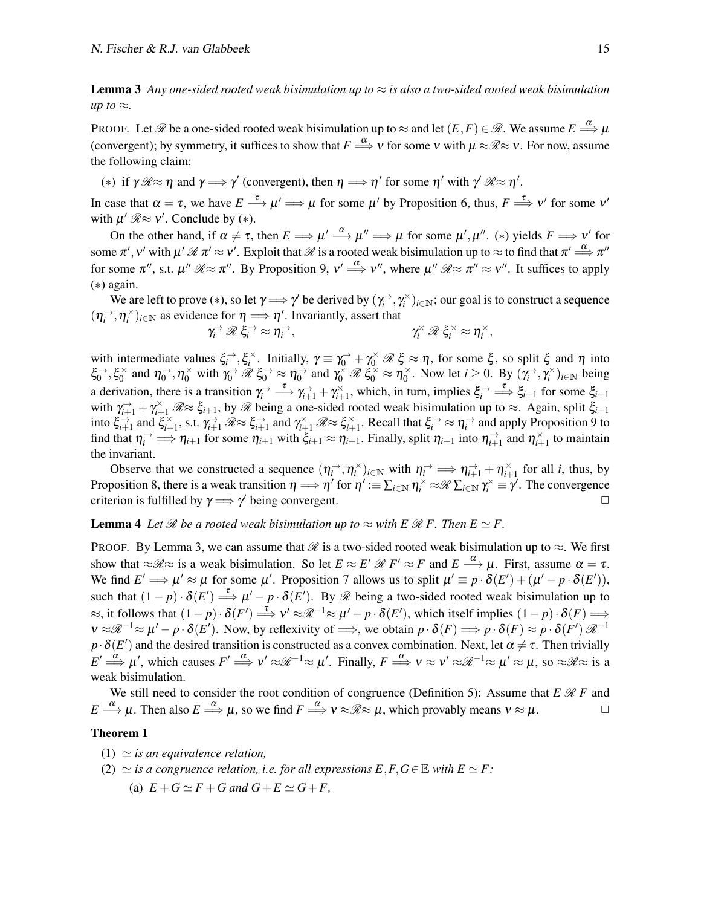**Lemma 3** Any one-sided rooted weak bisimulation up to  $\approx$  *is also a two-sided rooted weak bisimulation up to*  $\approx$ *.* 

PROOF. Let  $\mathscr R$  be a one-sided rooted weak bisimulation up to  $\approx$  and let  $(E,F)\in\mathscr R.$  We assume  $E\stackrel{\alpha}{\Longrightarrow}\mu$ (convergent); by symmetry, it suffices to show that  $F \stackrel{\alpha}{\Longrightarrow} v$  for some  $v$  with  $\mu \approx \mathcal{R} \approx v$ . For now, assume the following claim:

<span id="page-14-1"></span>(\*) if  $\gamma \mathcal{R} \approx \eta$  and  $\gamma \Longrightarrow \gamma'$  (convergent), then  $\eta \Longrightarrow \eta'$  for some  $\eta'$  with  $\gamma' \mathcal{R} \approx \eta'$ .

In case that  $\alpha = \tau$ , we have  $E \stackrel{\tau}{\longrightarrow} \mu' \Longrightarrow \mu$  for some  $\mu'$  by [Proposition 6,](#page-6-4) thus,  $F \stackrel{\tau}{\Longrightarrow} v'$  for some  $v'$ with  $\mu' \mathcal{R} \approx v'$ . Conclude by (\*).

On the other hand, if  $\alpha \neq \tau$ , then  $E \Longrightarrow \mu' \stackrel{\alpha}{\longrightarrow} \mu'' \Longrightarrow \mu$  for some  $\mu', \mu''$ . (\*) yields  $F \Longrightarrow \nu'$  for some  $\pi',\nu'$  with  $\mu'\mathscr{R}\pi'\approx \nu'.$  Exploit that  $\mathscr{R}$  is a rooted weak bisimulation up to  $\approx$  to find that  $\pi'\mathop{\Longrightarrow}\limits^{\alpha}\pi''$ for some  $\pi''$ , s.t.  $\mu''$   $\mathscr{R} \approx \pi''$ . By [Proposition 9,](#page-8-1)  $v' \stackrel{\alpha}{\Longrightarrow} v''$ , where  $\mu''$   $\mathscr{R} \approx \pi'' \approx v''$ . It suffices to apply ([∗](#page-14-1)) again.

We are left to prove (\*), so let  $\gamma \Longrightarrow \gamma'$  be derived by  $(\gamma_i^{\rightarrow}, \gamma_i^{\times})_{i \in \mathbb{N}}$ ; our goal is to construct a sequence  $(\eta_i^{\rightarrow}, \eta_i^{\times})_{i \in \mathbb{N}}$  as evidence for  $\eta \Longrightarrow \eta'$ . Invariantly, assert that →  $\rightarrow$  $\rightarrow$ ×, × × ,

$$
\gamma_i^{\rightarrow} \mathscr{R} \xi_i^{\rightarrow} \approx \eta_i^{\rightarrow}, \qquad \qquad \gamma_i^{\times} \mathscr{R} \xi_i^{\times} \approx \eta_i^{\times}
$$

with intermediate values  $\xi_i^{\,\rightarrow}$ ,  $\xi_i^{\times}$ . Initially,  $\gamma \equiv \gamma_0^{\rightarrow} + \gamma_0^{\times} \mathcal{R} \xi \approx \eta$ , for some  $\xi$ , so split  $\xi$  and  $\eta$  into  $\xi_0^{\rightarrow}, \xi_0^{\times}$  $\gamma_0^{\times}$  and  $\eta_0^{\rightarrow}$ ,  $\eta_0^{\times}$  with  $\gamma_0^{\rightarrow}$   $\mathscr{R} \xi_0^{\rightarrow} \approx \eta_0^{\rightarrow}$  and  $\gamma_0^{\times}$   $\mathscr{R} \xi_0^{\times} \approx \eta_0^{\times}$  $\int_0^\times$ . Now let *i*  $\geq 0$ . By  $(\gamma_i^\rightarrow, \gamma_i^\times)_{i \in \mathbb{N}}$  being a derivation, there is a transition  $\gamma_i^{\rightarrow} \longrightarrow \gamma_{i+1}^{\rightarrow} + \gamma_{i+1}^{\times}$ , which, in turn, implies  $\xi_i^{\rightarrow} \longrightarrow \xi_{i+1}$  for some  $\xi_{i+1}$ with  $\gamma_{i+1}^{\rightarrow} + \gamma_{i+1}^{\times} \mathcal{R} \approx \xi_{i+1}$ , by  $\mathcal{R}$  being a one-sided rooted weak bisimulation up to  $\approx$ . Again, split  $\xi_{i+1}$  $\sharp_{i+1}^{\leq \rightarrow}$  and  $\xi_{i+1}^{\geq \rightarrow}$  s.t.  $\gamma_{i+1}^{\rightarrow} \mathcal{R} \approx \xi_{i+1}^{\rightarrow}$  and  $\gamma_{i+1}^{\times} \mathcal{R} \approx \xi_{i+1}^{\times}$ . Recall that  $\xi_i^{\rightarrow} \approx \eta_i^{\rightarrow}$  and apply [Proposition 9](#page-8-1) to find that  $\eta_i^{\rightarrow} \implies \eta_{i+1}$  for some  $\eta_{i+1}$  with  $\xi_{i+1} \approx \eta_{i+1}$ . Finally, split  $\eta_{i+1}$  into  $\eta_{i+1}^{\rightarrow}$  and  $\eta_{i+1}^{\times}$  to maintain the invariant.

Observe that we constructed a sequence  $(\eta_i^{\rightarrow}, \eta_i^{\times})_{i \in \mathbb{N}}$  with  $\eta_i^{\rightarrow} \implies \eta_{i+1}^{\rightarrow} + \eta_{i+1}^{\times}$  for all *i*, thus, by [Proposition 8,](#page-7-1) there is a weak transition  $\eta \Longrightarrow \eta'$  for  $\eta' := \sum_{i \in \mathbb{N}} \eta_i^{\times} \approx \mathcal{R} \sum_{i \in \mathbb{N}} \gamma_i^{\times} \equiv \gamma'$ . The convergence criterion is fulfilled by  $\gamma \Longrightarrow \gamma'$  being convergent.

<span id="page-14-3"></span>**Lemma 4** Let  $\mathcal{R}$  be a rooted weak bisimulation up to  $\approx$  with E  $\mathcal{R}$  F. Then  $E \simeq F$ .

PROOF. By [Lemma 3,](#page-13-1) we can assume that  $\mathscr R$  is a two-sided rooted weak bisimulation up to  $\approx$ . We first show that  $\approx \mathcal{R} \approx$  is a weak bisimulation. So let  $E \approx E' \mathcal{R} F' \approx F$  and  $E \stackrel{\alpha}{\longrightarrow} \mu$ . First, assume  $\alpha = \tau$ . We find  $E' \Longrightarrow \mu' \approx \mu$  for some  $\mu'$ . [Proposition 7](#page-7-2) allows us to split  $\mu' \equiv p \cdot \delta(E') + (\mu' - p \cdot \delta(E'))$ , such that  $(1-p) \cdot \delta(E') \stackrel{\tau}{\Longrightarrow} \mu' - p \cdot \delta(E')$ . By  $\mathscr R$  being a two-sided rooted weak bisimulation up to  $\approx$ , it follows that  $(1-p) \cdot \delta(F') \stackrel{\tau}{\Longrightarrow} v' \approx \mathcal{R}^{-1} \approx \mu' - p \cdot \delta(E')$ , which itself implies  $(1-p) \cdot \delta(F) \Longrightarrow$  $v \approx \mathscr{R}^{-1} \approx \mu' - p \cdot \delta(E')$ . Now, by reflexivity of  $\Longrightarrow$ , we obtain  $p \cdot \delta(F) \Longrightarrow p \cdot \delta(F) \approx p \cdot \delta(F') \mathscr{R}^{-1}$  $p\cdot\delta(E')$  and the desired transition is constructed as a convex combination. Next, let  $\alpha\neq\tau$ . Then trivially  $E' \stackrel{\alpha}{\Longrightarrow} \mu'$ , which causes  $F' \stackrel{\alpha}{\Longrightarrow} v' \approx \mathcal{R}^{-1} \approx \mu'$ . Finally,  $F \stackrel{\alpha}{\Longrightarrow} v \approx v' \approx \mathcal{R}^{-1} \approx \mu' \approx \mu$ , so  $\approx \mathcal{R} \approx$  is a weak bisimulation.

We still need to consider the root condition of congruence [\(Definition 5\)](#page-7-3): Assume that  $E \mathcal{R} F$  and *E*  $\stackrel{\alpha}{\longrightarrow} \mu$ . Then also  $E \stackrel{\alpha}{\Longrightarrow} \mu$ , so we find  $F \stackrel{\alpha}{\Longrightarrow} v \approx \mathcal{R} \approx \mu$ , which provably means  $v \approx \mu$ .

#### <span id="page-14-0"></span>Theorem 1

- $(1) \simeq$  *is an equivalence relation,*
- <span id="page-14-2"></span>(2)  $\simeq$  *is a congruence relation, i.e. for all expressions E,F,G*∈E *with E*  $\simeq$  *F:* 
	- (a)  $E + G \simeq F + G$  and  $G + E \simeq G + F$ ,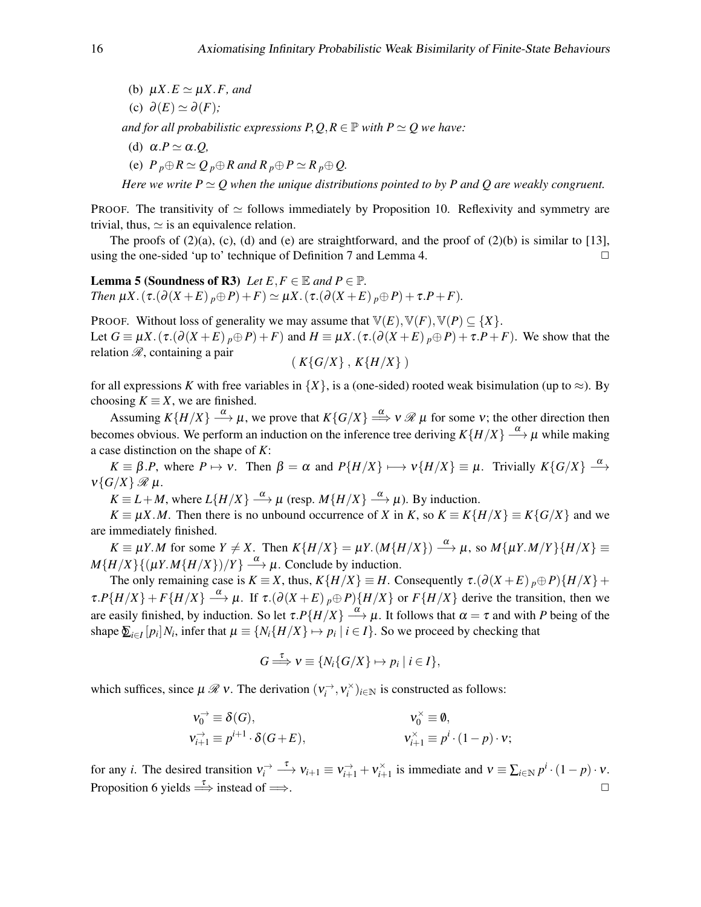- <span id="page-15-3"></span>(b)  $\mu X.E \simeq \mu X.F$ , and
- <span id="page-15-1"></span>(c)  $\partial(E) \simeq \partial(F)$ ;

<span id="page-15-2"></span>*and for all probabilistic expressions*  $P, Q, R \in \mathbb{P}$  *with*  $P \simeq Q$  *we have:* 

(d)  $\alpha.P \simeq \alpha.Q$ ,

(e)  $P_p \oplus R \simeq Q_p \oplus R$  and  $R_p \oplus P \simeq R_p \oplus Q$ .

<span id="page-15-0"></span>*Here we write P*  $\simeq$  *O when the unique distributions pointed to by P and O are weakly congruent.* 

PROOF. The transitivity of  $\simeq$  follows immediately by [Proposition 10.](#page-8-3) Reflexivity and symmetry are trivial, thus,  $\simeq$  is an equivalence relation.

The proofs of  $(2)(a)$ ,  $(c)$ ,  $(d)$  and  $(e)$  are straightforward, and the proof of  $(2)(b)$  $(2)(b)$  is similar to [\[13\]](#page-50-9), using the one-sided 'up to' technique of [Definition 7](#page-13-2) and [Lemma 4.](#page-14-3)  $\Box$ 

<span id="page-15-4"></span>**Lemma 5 (Soundness of R3)** *Let*  $E, F \in \mathbb{E}$  *and*  $P \in \mathbb{P}$ *. Then*  $\mu X \cdot (\tau \cdot (\partial (X + E))_{p} \oplus P) + F) \simeq \mu X \cdot (\tau \cdot (\partial (X + E))_{p} \oplus P) + \tau \cdot P + F)$ .

PROOF. Without loss of generality we may assume that  $\mathbb{V}(E), \mathbb{V}(F), \mathbb{V}(P) \subseteq \{X\}.$ Let  $G \equiv \mu X \cdot (\tau \cdot (\partial (X + E)) \cdot p \oplus P) + F$  and  $H \equiv \mu X \cdot (\tau \cdot (\partial (X + E)) \cdot p \oplus P) + \tau \cdot P + F)$ . We show that the relation  $\mathcal{R}$ , containing a pair  $(K{G/X}, K{H/X})$ 

for all expressions *K* with free variables in  $\{X\}$ , is a (one-sided) rooted weak bisimulation (up to  $\approx$ ). By choosing  $K \equiv X$ , we are finished.

Assuming  $K\{H/X\} \stackrel{\alpha}{\longrightarrow} \mu$ , we prove that  $K\{G/X\} \stackrel{\alpha}{\Longrightarrow} v \mathscr{R} \mu$  for some v; the other direction then becomes obvious. We perform an induction on the inference tree deriving  $K\{H/X\} \stackrel{\alpha}{\longrightarrow} \mu$  while making a case distinction on the shape of *K*:

 $K \equiv \beta.P$ , where  $P \mapsto \nu$ . Then  $\beta = \alpha$  and  $P\{H/X\} \longmapsto \nu\{H/X\} \equiv \mu$ . Trivially  $K\{G/X\} \stackrel{\alpha}{\longrightarrow}$  $v\{G/X\}$   $\mathcal{R}$   $\mu$ .

 $K \equiv L + M$ , where  $L\{H/X\} \stackrel{\alpha}{\longrightarrow} \mu$  (resp.  $M\{H/X\} \stackrel{\alpha}{\longrightarrow} \mu$ ). By induction.

*K* ≡  $\mu$ *X*.*M*. Then there is no unbound occurrence of *X* in *K*, so *K* ≡ *K*{*H*/*X*} ≡ *K*{*G*/*X*} and we are immediately finished.

 $K \equiv \mu Y.M$  for some  $Y \neq X$ . Then  $K\{H/X\} = \mu Y. (M\{H/X\}) \stackrel{\alpha}{\longrightarrow} \mu$ , so  $M\{\mu Y.M/Y\}\{H/X\} \equiv$  $M\{H/X\}\{(\mu Y. M\{H/X\})/Y\} \stackrel{\alpha}{\longrightarrow} \mu$ . Conclude by induction.

The only remaining case is  $K \equiv X$ , thus,  $K\{H/X\} \equiv H$ . Consequently  $\tau \cdot (\partial (X + E)_{p} \oplus P)\{H/X\}$ +  $\tau.P\{H/X\}$  +  $F\{H/X\}$   $\stackrel{\alpha}{\longrightarrow} \mu$ . If  $\tau.(\partial(X+E)_p \oplus P)\{H/X\}$  or  $F\{H/X\}$  derive the transition, then we are easily finished, by induction. So let  $\tau.P\{H/X\} \stackrel{\alpha}{\longrightarrow} \mu$ . It follows that  $\alpha = \tau$  and with *P* being of the shape  $\sum_{i\in I} [p_i]N_i$ , infer that  $\mu \equiv \{N_i\{H/X\} \mapsto p_i \mid i \in I\}$ . So we proceed by checking that

$$
G \stackrel{\tau}{\Longrightarrow} \nu \equiv \{ N_i \{ G/X \} \mapsto p_i \mid i \in I \},\
$$

which suffices, since  $\mu \mathcal{R} v$ . The derivation  $(v_i^{\rightarrow}, v_i^{\times})_{i \in \mathbb{N}}$  is constructed as follows:

$$
v_0^{\rightarrow} \equiv \delta(G), \qquad v_0^{\times} \equiv \emptyset, \n v_{i+1}^{\rightarrow} \equiv p^{i+1} \cdot \delta(G+E), \qquad v_{i+1}^{\times} \equiv p^i \cdot (1-p) \cdot v;
$$

for any *i*. The desired transition  $v_i^{\rightarrow} \longrightarrow v_{i+1} \equiv v_{i+1}^{\rightarrow} + v_{i+1}^{\times}$  is immediate and  $v \equiv \sum_{i \in \mathbb{N}} p^i \cdot (1-p) \cdot v$ . [Proposition 6](#page-6-4) yields  $\xrightarrow{\tau}$  instead of  $\implies$ .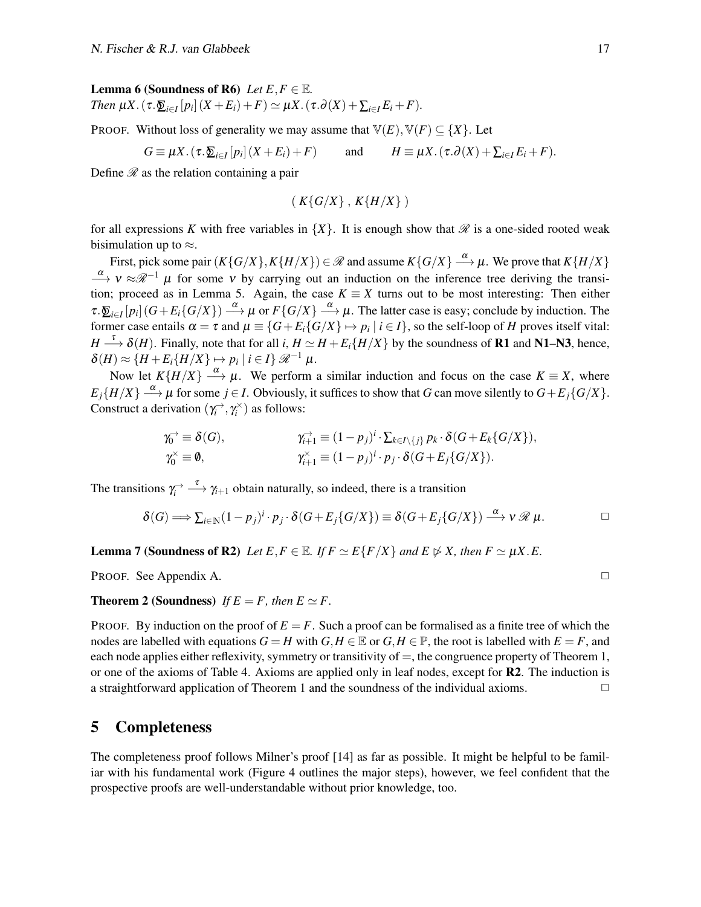#### **Lemma 6 (Soundness of R6)** *Let*  $E, F \in \mathbb{E}$ *.*

*Then*  $\mu X$ . ( $\tau$ . $\sum_{i \in I} [p_i] (X + E_i) + F) \simeq \mu X$ . ( $\tau$ . $\partial(X) + \sum_{i \in I} E_i + F$ ).

PROOF. Without loss of generality we may assume that  $\mathbb{V}(E), \mathbb{V}(F) \subseteq \{X\}$ . Let

$$
G \equiv \mu X. (\tau. \underline{\delta}_{i \in I} [p_i] (X + E_i) + F) \quad \text{and} \quad H \equiv \mu X. (\tau. \partial(X) + \sum_{i \in I} E_i + F).
$$

Define  $\mathscr R$  as the relation containing a pair

$$
(K{G/X}, K{H/X})
$$

for all expressions *K* with free variables in  $\{X\}$ . It is enough show that  $\mathcal{R}$  is a one-sided rooted weak bisimulation up to  $\approx$ .

First, pick some pair  $(K{G/X}, K{H/X}) \in \mathscr{R}$  and assume  $K{G/X} \xrightarrow{\alpha} \mu$ . We prove that  $K{H/X}$  $\frac{\alpha}{\longrightarrow}$  v ≈ $\mathcal{R}^{-1}$   $\mu$  for some v by carrying out an induction on the inference tree deriving the transi-tion; proceed as in [Lemma 5.](#page-15-4) Again, the case  $K \equiv X$  turns out to be most interesting: Then either  $\tau \cdot \sum_{i \in I} [p_i] (G + E_i \{G/X\}) \stackrel{\alpha}{\longrightarrow} \mu$  or  $F \{G/X\} \stackrel{\alpha}{\longrightarrow} \mu$ . The latter case is easy; conclude by induction. The former case entails  $\alpha = \tau$  and  $\mu \equiv \{G + E_i\{G/X\} \mapsto p_i \mid i \in I\}$ , so the self-loop of *H* proves itself vital:  $H \stackrel{\tau}{\longrightarrow} \delta(H)$ . Finally, note that for all *i*,  $H \simeq H + E_i \{H/X\}$  by the soundness of **R1** and **N1–N3**, hence,  $\delta(H) \approx \{H + E_i\{H/X\} \mapsto p_i \mid i \in I\} \mathcal{R}^{-1} \mu.$ 

Now let  $K\{H/X\} \stackrel{\alpha}{\longrightarrow} \mu$ . We perform a similar induction and focus on the case  $K \equiv X$ , where  $E_j\{H/X\} \stackrel{\alpha}{\longrightarrow} \mu$  for some  $j \in I$ . Obviously, it suffices to show that *G* can move silently to  $G + E_j\{G/X\}$ . Construct a derivation  $(\gamma_i^{\rightarrow}, \gamma_i^{\times})$  as follows:

$$
\gamma_0^{\rightarrow} \equiv \delta(G), \qquad \gamma_{i+1}^{\rightarrow} \equiv (1-p_j)^i \cdot \sum_{k \in I \setminus \{j\}} p_k \cdot \delta(G + E_k\{G/X\}),
$$
  

$$
\gamma_0^{\times} \equiv \emptyset, \qquad \gamma_{i+1}^{\times} \equiv (1-p_j)^i \cdot p_j \cdot \delta(G + E_j\{G/X\}).
$$

The transitions  $\gamma_i^{\rightarrow} \longrightarrow \gamma_{i+1}$  obtain naturally, so indeed, there is a transition

$$
\delta(G) \Longrightarrow \sum_{i \in \mathbb{N}} (1 - p_j)^i \cdot p_j \cdot \delta(G + E_j \{G/X\}) \equiv \delta(G + E_j \{G/X\}) \stackrel{\alpha}{\longrightarrow} \nu \mathscr{R} \mu.
$$

**Lemma 7 (Soundness of R2)** Let  $E, F \in \mathbb{E}$ . If  $F \simeq E\{F/X\}$  and  $E \not\triangleright X$ , then  $F \simeq \mu X.E$ .

PROOF. See [Appendix A.](#page-36-1) ◯

#### **Theorem 2 (Soundness)** *If*  $E = F$ *, then*  $E \simeq F$ *.*

PROOF. By induction on the proof of  $E = F$ . Such a proof can be formalised as a finite tree of which the nodes are labelled with equations  $G = H$  with  $G, H \in \mathbb{E}$  or  $G, H \in \mathbb{P}$ , the root is labelled with  $E = F$ , and each node applies either reflexivity, symmetry or transitivity of  $=$ , the congruence property of [Theorem 1,](#page-14-0) or one of the axioms of [Table 4.](#page-11-1) Axioms are applied only in leaf nodes, except for R2. The induction is a straightforward application of [Theorem 1](#page-14-0) and the soundness of the individual axioms.  $\Box$ 

### <span id="page-16-0"></span>5 Completeness

<span id="page-16-1"></span>The completeness proof follows Milner's proof [\[14\]](#page-50-4) as far as possible. It might be helpful to be familiar with his fundamental work [\(Figure 4](#page-17-0) outlines the major steps), however, we feel confident that the prospective proofs are well-understandable without prior knowledge, too.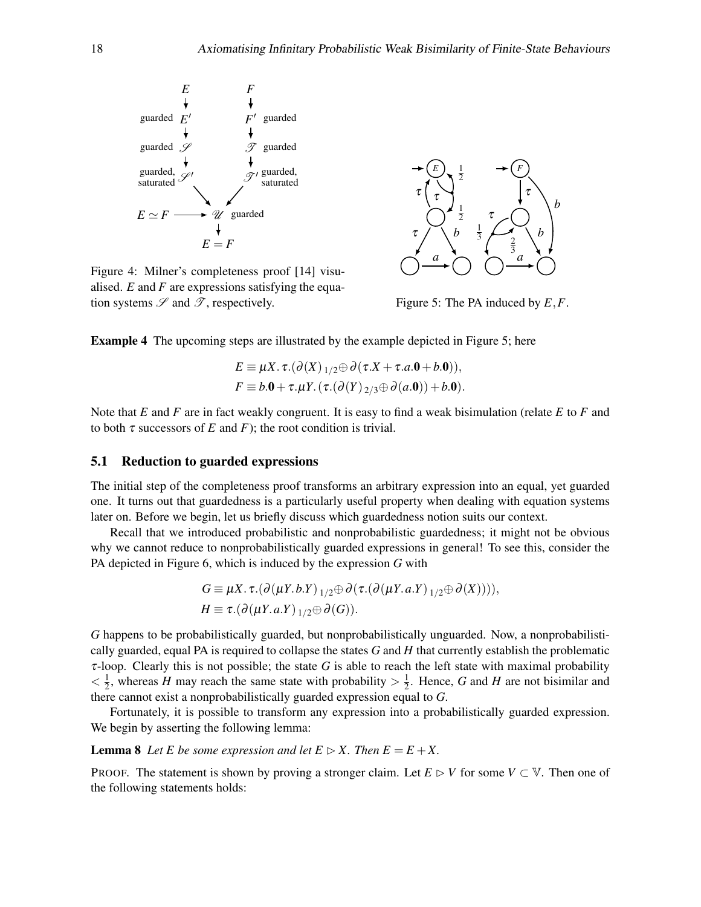<span id="page-17-0"></span>

Figure 4: Milner's completeness proof [\[14\]](#page-50-4) visualised. *E* and *F* are expressions satisfying the equation systems  $\mathscr S$  and  $\mathscr T$ , respectively.



Figure 5: The PA induced by *E*,*F*.

Example 4 The upcoming steps are illustrated by the example depicted in [Figure 5;](#page-17-0) here

$$
E \equiv \mu X. \tau. (\partial(X)_{1/2} \oplus \partial(\tau.X + \tau.a.0 + b.0)),
$$
  
\n
$$
F \equiv b.0 + \tau.\mu Y. (\tau. (\partial(Y)_{2/3} \oplus \partial(a.0)) + b.0).
$$

Note that *E* and *F* are in fact weakly congruent. It is easy to find a weak bisimulation (relate *E* to *F* and to both  $\tau$  successors of *E* and *F*); the root condition is trivial.

#### 5.1 Reduction to guarded expressions

The initial step of the completeness proof transforms an arbitrary expression into an equal, yet guarded one. It turns out that guardedness is a particularly useful property when dealing with equation systems later on. Before we begin, let us briefly discuss which guardedness notion suits our context.

Recall that we introduced probabilistic and nonprobabilistic guardedness; it might not be obvious why we cannot reduce to nonprobabilistically guarded expressions in general! To see this, consider the PA depicted in [Figure 6,](#page-19-0) which is induced by the expression *G* with

$$
G \equiv \mu X. \tau. (\partial (\mu Y. b. Y)_{1/2} \oplus \partial (\tau. (\partial (\mu Y. a. Y)_{1/2} \oplus \partial (X)))),
$$
  
\n
$$
H \equiv \tau. (\partial (\mu Y. a. Y)_{1/2} \oplus \partial (G)).
$$

*G* happens to be probabilistically guarded, but nonprobabilistically unguarded. Now, a nonprobabilistically guarded, equal PA is required to collapse the states *G* and *H* that currently establish the problematic τ-loop. Clearly this is not possible; the state *G* is able to reach the left state with maximal probability  $<\frac{1}{2}$  $\frac{1}{2}$ , whereas *H* may reach the same state with probability  $> \frac{1}{2}$  $\frac{1}{2}$ . Hence, *G* and *H* are not bisimilar and there cannot exist a nonprobabilistically guarded expression equal to *G*.

Fortunately, it is possible to transform any expression into a probabilistically guarded expression. We begin by asserting the following lemma:

<span id="page-17-1"></span>**Lemma 8** Let E be some expression and let  $E \triangleright X$ . Then  $E = E + X$ .

PROOF. The statement is shown by proving a stronger claim. Let  $E \supset V$  for some  $V \subset V$ . Then one of the following statements holds: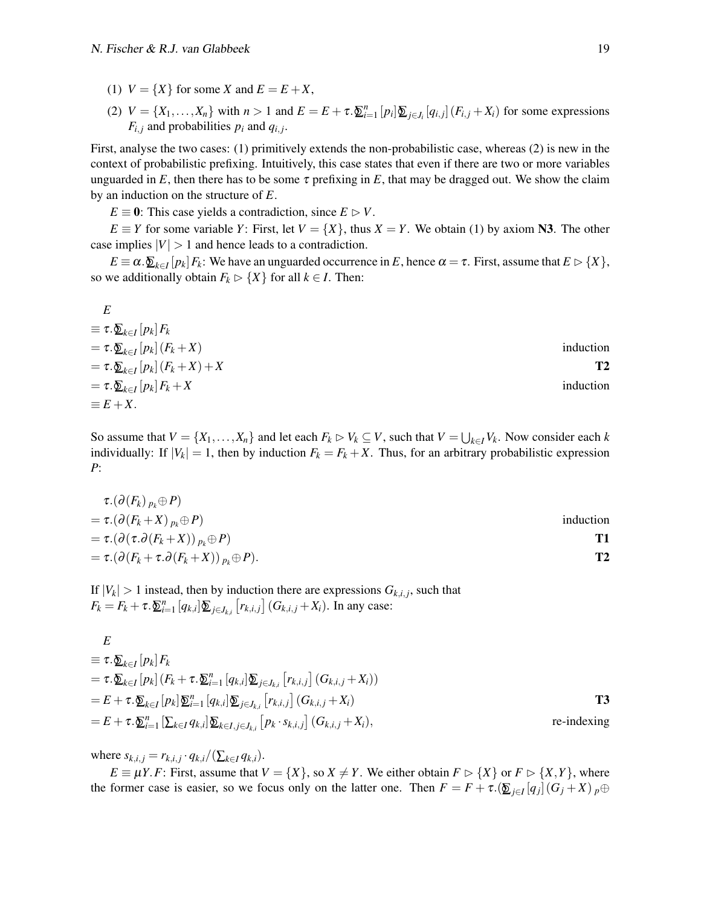- <span id="page-18-0"></span>(1)  $V = \{X\}$  for some *X* and  $E = E + X$ ,
- <span id="page-18-1"></span>(2)  $V = \{X_1, \ldots, X_n\}$  with  $n > 1$  and  $E = E + \tau \cdot \underline{\mathfrak{D}}_{i=1}^n [p_i] \underline{\mathfrak{D}}_{j \in J_i} [q_{i,j}] (F_{i,j} + X_i)$  for some expressions  $F_{i,j}$  and probabilities  $p_i$  and  $q_{i,j}$ .

First, analyse the two cases: [\(1\)](#page-18-0) primitively extends the non-probabilistic case, whereas [\(2\)](#page-18-1) is new in the context of probabilistic prefixing. Intuitively, this case states that even if there are two or more variables unguarded in  $E$ , then there has to be some  $\tau$  prefixing in  $E$ , that may be dragged out. We show the claim by an induction on the structure of *E*.

 $E \equiv 0$ : This case yields a contradiction, since  $E \triangleright V$ .

 $E \equiv Y$  for some variable *Y*: First, let  $V = \{X\}$ , thus  $X = Y$ . We obtain [\(1\)](#page-18-0) by axiom N3. The other case implies  $|V| > 1$  and hence leads to a contradiction.

 $E \equiv \alpha \cdot \sum_{k \in I} [p_k] F_k$ : We have an unguarded occurrence in *E*, hence  $\alpha = \tau$ . First, assume that  $E \triangleright \{X\}$ , so we additionally obtain  $F_k \triangleright \{X\}$  for all  $k \in I$ . Then:

| E                                                                  |                |
|--------------------------------------------------------------------|----------------|
| $\equiv \tau . \underline{\delta}_{k\in I} \left[ p_k \right] F_k$ |                |
| $= \tau \cdot \sum_{k \in I} [p_k] (F_k + X)$                      | induction      |
| $= \tau \cdot \sum_{k \in I} [p_k] (F_k + X) + X$                  | T <sub>2</sub> |
| $=\tau.\underline{\delta}_{k\in I}[p_k]F_k+X$                      | induction      |
| $\equiv E+X.$                                                      |                |

So assume that  $V = \{X_1, \ldots, X_n\}$  and let each  $F_k \rhd V_k \subseteq V$ , such that  $V = \bigcup_{k \in I} V_k$ . Now consider each *k* individually: If  $|V_k| = 1$ , then by induction  $F_k = F_k + X$ . Thus, for an arbitrary probabilistic expression *P*:

$$
\tau.(\partial(F_k)_{p_k} \oplus P)
$$
\n
$$
= \tau.(\partial(F_k + X)_{p_k} \oplus P)
$$
\n
$$
= \tau.(\partial(\tau. \partial(F_k + X))_{p_k} \oplus P)
$$
\n
$$
= \tau.(\partial(F_k + \tau. \partial(F_k + X))_{p_k} \oplus P).
$$
\nT2

If  $|V_k| > 1$  instead, then by induction there are expressions  $G_{k,i,j}$ , such that  $F_k = F_k + \tau \cdot \sum_{i=1}^n [q_{k,i}] \sum_{j \in J_{k,i}} [r_{k,i,j}] (G_{k,i,j} + X_i)$ . In any case:

$$
E
$$
  
\n
$$
\equiv \tau \cdot \underline{\Sigma}_{k \in I} [p_k] F_k
$$
  
\n
$$
= \tau \cdot \underline{\Sigma}_{k \in I} [p_k] (F_k + \tau \cdot \underline{\Sigma}_{i=1}^n [q_{k,i}] \underline{\Sigma}_{j \in J_{k,i}} [r_{k,i,j}] (G_{k,i,j} + X_i))
$$
  
\n
$$
= E + \tau \cdot \underline{\Sigma}_{k \in I} [p_k] \underline{\Sigma}_{i=1}^n [q_{k,i}] \underline{\Sigma}_{j \in J_{k,i}} [r_{k,i,j}] (G_{k,i,j} + X_i)
$$
  
\n
$$
= E + \tau \cdot \underline{\Sigma}_{i=1}^n [\sum_{k \in I} q_{k,i}] \underline{\Sigma}_{k \in I, j \in J_{k,i}} [p_k \cdot s_{k,i,j}] (G_{k,i,j} + X_i),
$$
  
\n
$$
= \text{indexing}
$$

 $\text{where } s_{k,i,j} = r_{k,i,j} \cdot q_{k,i}/(\sum_{k \in I} q_{k,i}).$ 

*E* ≡  $\mu$ *Y*.*F*: First, assume that *V* = {*X*}, so *X* ≠ *Y*. We either obtain *F* ⊳ {*X*} or *F* ⊳ {*X,Y*}, where the former case is easier, so we focus only on the latter one. Then  $F = F + \tau \cdot (\sum_{j \in I} [q_j] (G_j + X)_{p \oplus j}$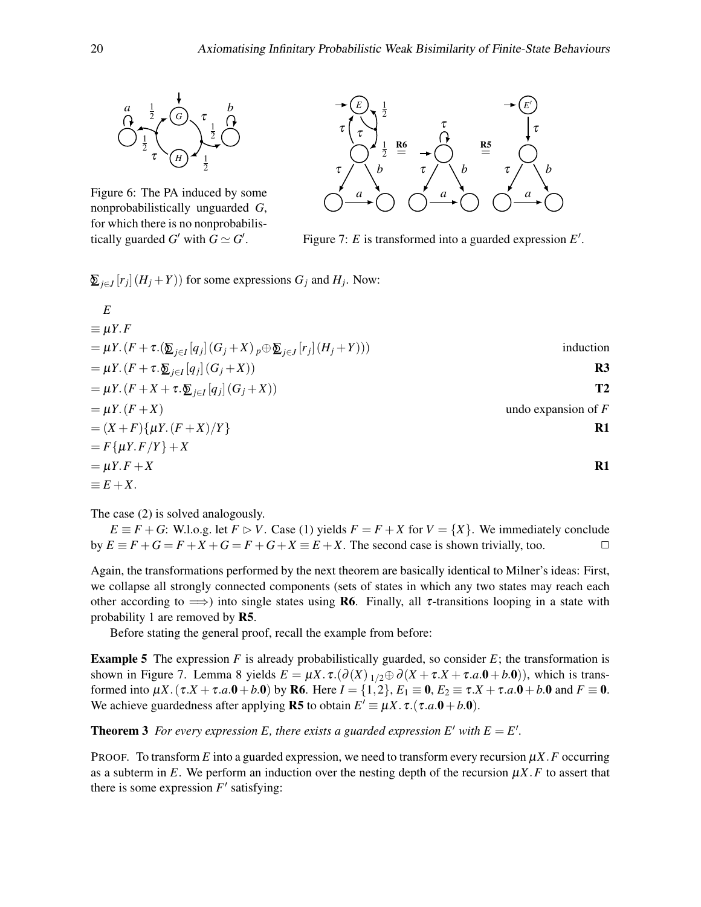<span id="page-19-0"></span>

Figure 6: The PA induced by some nonprobabilistically unguarded *G*, for which there is no nonprobabilistically guarded *G*<sup> $\prime$ </sup> with  $G \simeq G'$ .



Figure 7:  $E$  is transformed into a guarded expression  $E'$ .

 $\sum_{j \in J} [r_j](H_j + Y)$  for some expressions  $G_j$  and  $H_j$ . Now:

$$
E
$$
  
\n
$$
\equiv \mu Y.F
$$
  
\n
$$
= \mu Y.(F + \tau .(\underbrace{\mathbf{\Sigma}}_{j\in I}[q_j](G_j + X)_{p} \oplus \underbrace{\mathbf{\Sigma}}_{j\in J}[r_j](H_j + Y)))
$$
 induction  
\n
$$
= \mu Y.(F + \tau .\underbrace{\mathbf{\Sigma}}_{j\in I}[q_j](G_j + X))
$$
  
\n
$$
= \mu Y.(F + X) + \tau .\underbrace{\mathbf{\Sigma}}_{j\in I}[q_j](G_j + X))
$$
  
\n
$$
= \mu Y.(F + X)
$$
  
\n
$$
= (\chi + F)\{\mu Y.(F + X)/Y\}
$$
  
\n
$$
= F\{\mu Y.F/Y\} + X
$$
  
\n
$$
= \mu Y.F + X
$$
  
\n
$$
= E + X.
$$

The case [\(2\)](#page-18-1) is solved analogously.

 $E \equiv F + G$ : W.l.o.g. let  $F \supset V$ . Case [\(1\)](#page-18-0) yields  $F = F + X$  for  $V = \{X\}$ . We immediately conclude  $\Box$  by  $E \equiv F + G = F + X + G = F + G + X \equiv E + X$ . The second case is shown trivially, too.

Again, the transformations performed by the next theorem are basically identical to Milner's ideas: First, we collapse all strongly connected components (sets of states in which any two states may reach each other according to  $\implies$ ) into single states using **R6**. Finally, all  $\tau$ -transitions looping in a state with probability 1 are removed by R5.

Before stating the general proof, recall the example from before:

**Example 5** The expression  $F$  is already probabilistically guarded, so consider  $E$ ; the transformation is shown in [Figure 7.](#page-19-0) [Lemma 8](#page-17-1) yields  $E = \mu X \cdot \tau \cdot (\partial(X)_{1/2} \oplus \partial(X + \tau \cdot X + \tau \cdot a \cdot \mathbf{0} + b \cdot \mathbf{0}))$ , which is transformed into  $\mu X$ . ( $\tau.X + \tau.a.0 + b.0$ ) by **R6**. Here  $I = \{1, 2\}$ ,  $E_1 \equiv 0$ ,  $E_2 \equiv \tau.X + \tau.a.0 + b.0$  and  $F \equiv 0$ . We achieve guardedness after applying **R5** to obtain  $E' \equiv \mu X \cdot \tau \cdot (\tau.a.0 + b.0)$ .

<span id="page-19-1"></span>**Theorem 3** For every expression E, there exists a guarded expression E' with  $E = E'$ .

PROOF. To transform  $E$  into a guarded expression, we need to transform every recursion  $\mu X$ . F occurring as a subterm in  $E$ . We perform an induction over the nesting depth of the recursion  $\mu X$ .  $F$  to assert that there is some expression  $F'$  satisfying: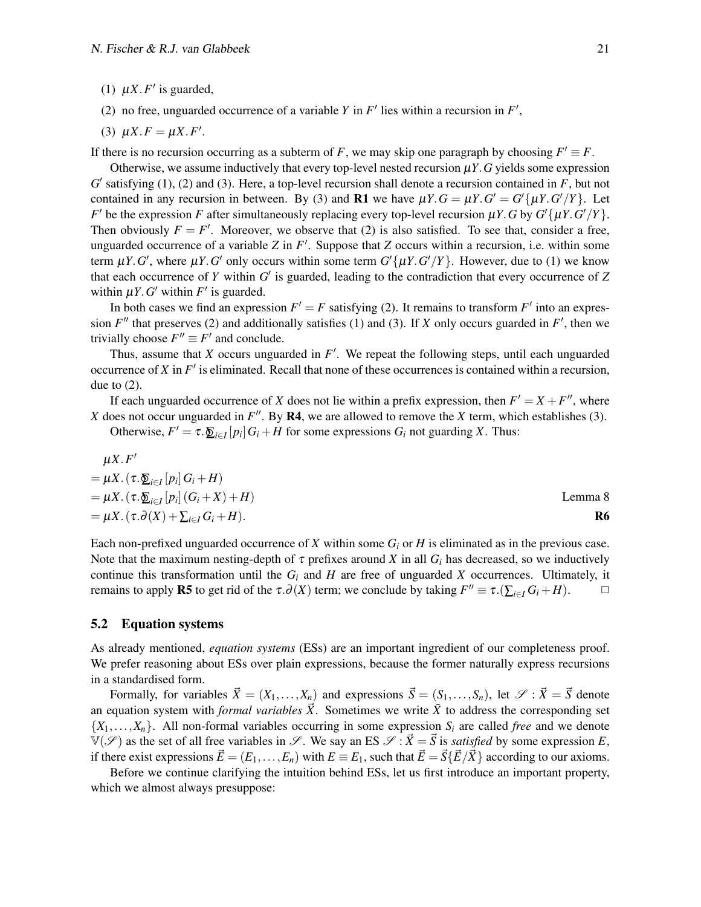- <span id="page-20-0"></span>(1)  $\mu X.F'$  is guarded,
- <span id="page-20-1"></span>(2) no free, unguarded occurrence of a variable *Y* in  $F'$  lies within a recursion in  $F'$ ,
- <span id="page-20-2"></span>(3)  $\mu X.F = \mu X.F'$ .

If there is no recursion occurring as a subterm of *F*, we may skip one paragraph by choosing  $F' \equiv F$ .

Otherwise, we assume inductively that every top-level nested recursion µ*Y*.*G* yields some expression  $G'$  satisfying [\(1\),](#page-20-0) [\(2\)](#page-20-1) and [\(3\).](#page-20-2) Here, a top-level recursion shall denote a recursion contained in  $F$ , but not contained in any recursion in between. By [\(3\)](#page-20-2) and **R1** we have  $\mu Y \cdot G = \mu Y \cdot G' = G' \{ \mu Y \cdot G'/Y \}$ . Let *F*<sup> $\prime$ </sup> be the expression *F* after simultaneously replacing every top-level recursion  $\mu$ *Y*. *G* by *G*<sup> $\prime$ </sup>{ $\mu$ *Y*. *G*<sup> $\prime$ </sup>/*Y*}. Then obviously  $F = F'$ . Moreover, we observe that [\(2\)](#page-20-1) is also satisfied. To see that, consider a free, unguarded occurrence of a variable  $Z$  in  $F'$ . Suppose that  $Z$  occurs within a recursion, i.e. within some term  $\mu$ *Y*.*G*', where  $\mu$ *Y*.*G*' only occurs within some term  $G'\{\mu$ *Y*.*G*'/*Y*}. However, due to [\(1\)](#page-20-0) we know that each occurrence of  $Y$  within  $G'$  is guarded, leading to the contradiction that every occurrence of  $Z$ within  $\mu Y$ . *G*<sup> $\prime$ </sup> within *F*<sup> $\prime$ </sup> is guarded.

In both cases we find an expression  $F' = F$  satisfying [\(2\).](#page-20-1) It remains to transform  $F'$  into an expression  $F''$  that preserves [\(2\)](#page-20-1) and additionally satisfies [\(1\)](#page-20-0) and [\(3\).](#page-20-2) If *X* only occurs guarded in  $F'$ , then we trivially choose  $F'' \equiv F'$  and conclude.

Thus, assume that  $X$  occurs unguarded in  $F'$ . We repeat the following steps, until each unguarded occurrence of  $X$  in  $F'$  is eliminated. Recall that none of these occurrences is contained within a recursion, due to  $(2)$ .

If each unguarded occurrence of *X* does not lie within a prefix expression, then  $F' = X + F''$ , where *X* does not occur unguarded in  $F''$ . By R4, we are allowed to remove the *X* term, which establishes [\(3\).](#page-20-2)

Otherwise,  $F' = \tau \cdot \sum_{i \in I} [p_i] G_i + H$  for some expressions  $G_i$  not guarding *X*. Thus:

$$
\mu X.F'
$$
  
=  $\mu X. (\tau.\underline{\Sigma}_{i\in I}[p_i]G_i + H)$   
=  $\mu X. (\tau.\underline{\Sigma}_{i\in I}[p_i](G_i + X) + H)$   
=  $\mu X. (\tau.\partial(X) + \Sigma_{i\in I}G_i + H).$  Lemma 8  
66

Each non-prefixed unguarded occurrence of *X* within some *G<sup>i</sup>* or *H* is eliminated as in the previous case. Note that the maximum nesting-depth of  $\tau$  prefixes around *X* in all  $G_i$  has decreased, so we inductively continue this transformation until the  $G_i$  and  $H$  are free of unguarded  $X$  occurrences. Ultimately, it remains to apply **R5** to get rid of the  $\tau.\partial(X)$  term; we conclude by taking  $F'' \equiv \tau.(\sum_{i \in I} G_i + H)$ .  $\Box$ 

#### 5.2 Equation systems

As already mentioned, *equation systems* (ESs) are an important ingredient of our completeness proof. We prefer reasoning about ESs over plain expressions, because the former naturally express recursions in a standardised form.

Formally, for variables  $\vec{X} = (X_1, \ldots, X_n)$  and expressions  $\vec{S} = (S_1, \ldots, S_n)$ , let  $\mathscr{S} : \vec{X} = \vec{S}$  denote an equation system with *formal variables*  $\vec{X}$ . Sometimes we write  $\tilde{X}$  to address the corresponding set  ${X_1, \ldots, X_n}$ . All non-formal variables occurring in some expression  $S_i$  are called *free* and we denote  $V(\mathscr{S})$  as the set of all free variables in  $\mathscr{S}$ . We say an ES  $\mathscr{S} : \vec{X} = \vec{S}$  is *satisfied* by some expression *E*, if there exist expressions  $\vec{E} = (E_1, \ldots, E_n)$  with  $E = E_1$ , such that  $\vec{E} = \vec{S} \{\vec{E}/\vec{X}\}\$ according to our axioms.

<span id="page-20-3"></span>Before we continue clarifying the intuition behind ESs, let us first introduce an important property, which we almost always presuppose: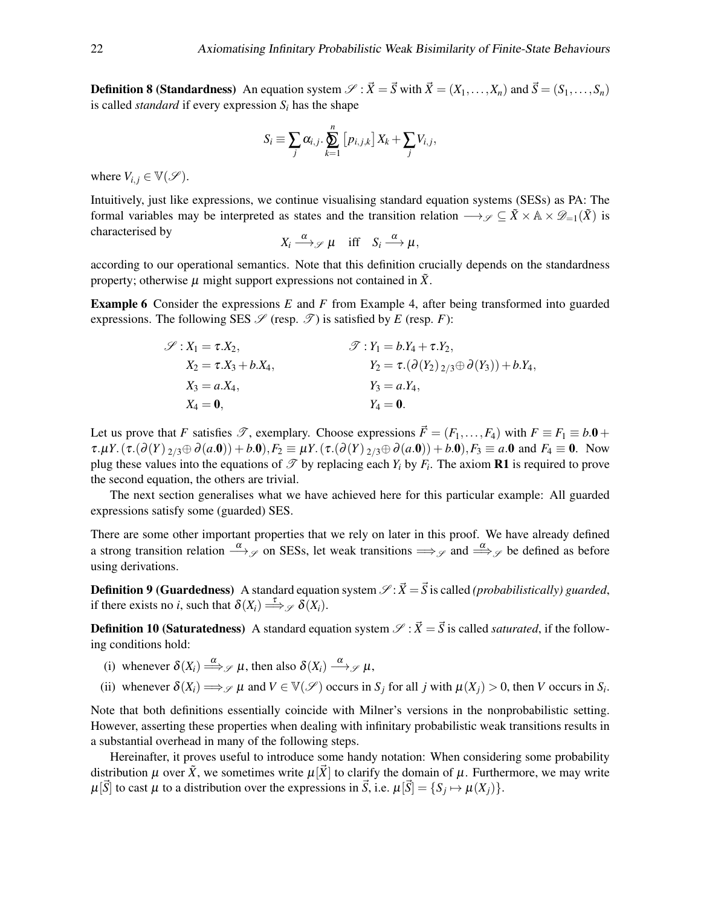**Definition 8 (Standardness)** An equation system  $\mathscr{S}$  :  $\vec{X} = \vec{S}$  with  $\vec{X} = (X_1, \ldots, X_n)$  and  $\vec{S} = (S_1, \ldots, S_n)$ is called *standard* if every expression *S<sup>i</sup>* has the shape

$$
S_i \equiv \sum_j \alpha_{i,j} \cdot \sum_{k=1}^n [p_{i,j,k}] X_k + \sum_j V_{i,j},
$$

where  $V_{i,j} \in \mathbb{V}(\mathscr{S})$ .

Intuitively, just like expressions, we continue visualising standard equation systems (SESs) as PA: The formal variables may be interpreted as states and the transition relation  $\longrightarrow_{\mathscr{S}} \subseteq \tilde{X} \times \mathbb{A} \times \mathscr{D}_{-1}(\tilde{X})$  is characterised by

$$
X_i \xrightarrow{\alpha} \mathscr{S} \mu \quad \text{iff} \quad S_i \xrightarrow{\alpha} \mu,
$$

according to our operational semantics. Note that this definition crucially depends on the standardness property; otherwise  $\mu$  might support expressions not contained in  $\tilde{X}$ .

Example 6 Consider the expressions *E* and *F* from [Example 4,](#page-16-1) after being transformed into guarded expressions. The following SES  $\mathscr S$  (resp.  $\mathscr T$ ) is satisfied by *E* (resp. *F*):

$$
\mathscr{S}: X_1 = \tau.X_2,
$$
  
\n
$$
X_2 = \tau.X_3 + b.X_4,
$$
  
\n
$$
X_3 = a.X_4,
$$
  
\n
$$
X_4 = \mathbf{0},
$$
  
\n
$$
\mathscr{S}: Y_1 = b.Y_4 + \tau.Y_2,
$$
  
\n
$$
Y_2 = \tau.(\partial(Y_2)_{2/3} \oplus \partial(Y_3)) + b.Y_4,
$$
  
\n
$$
Y_3 = a.Y_4,
$$
  
\n
$$
Y_4 = \mathbf{0}.
$$

Let us prove that *F* satisfies  $\mathscr{T}$ , exemplary. Choose expressions  $\vec{F} = (F_1, \ldots, F_4)$  with  $F \equiv F_1 \equiv b \cdot 0 +$  $\tau.\mu Y.(\tau.(\partial(Y)_{2/3} \oplus \partial(a.0)) + b.0), F_2 \equiv \mu Y.(\tau.(\partial(Y)_{2/3} \oplus \partial(a.0)) + b.0), F_3 \equiv a.0$  and  $F_4 \equiv 0$ . Now plug these values into the equations of  $\mathscr T$  by replacing each  $Y_i$  by  $F_i$ . The axiom **R1** is required to prove the second equation, the others are trivial.

The next section generalises what we have achieved here for this particular example: All guarded expressions satisfy some (guarded) SES.

There are some other important properties that we rely on later in this proof. We have already defined a strong transition relation  $\stackrel{\alpha}{\longrightarrow} \varphi$  on SESs, let weak transitions  $\Longrightarrow_{\varphi}$  and  $\stackrel{\alpha}{\Longrightarrow}_{\varphi}$  be defined as before using derivations.

**Definition 9 (Guardedness)** A standard equation system  $\mathcal{S}: \vec{X} = \vec{S}$  is called *(probabilistically) guarded*, if there exists no *i*, such that  $\delta(X_i) \stackrel{\tau}{\Longrightarrow} \mathcal{S}(\overline{X_i})$ .

<span id="page-21-0"></span>**Definition 10 (Saturatedness)** A standard equation system  $\mathcal{S}: \vec{X} = \vec{S}$  is called *saturated*, if the following conditions hold:

- (i) whenever  $\delta(X_i) \stackrel{\alpha}{\Longrightarrow} \mathcal{J} \mu$ , then also  $\delta(X_i) \stackrel{\alpha}{\longrightarrow} \mathcal{J} \mu$ ,
- <span id="page-21-1"></span>(ii) whenever  $\delta(X_i) \Longrightarrow_{\mathcal{S}} \mu$  and  $V \in V(\mathcal{S})$  occurs in  $S_j$  for all *j* with  $\mu(X_j) > 0$ , then *V* occurs in  $S_i$ .

Note that both definitions essentially coincide with Milner's versions in the nonprobabilistic setting. However, asserting these properties when dealing with infinitary probabilistic weak transitions results in a substantial overhead in many of the following steps.

Hereinafter, it proves useful to introduce some handy notation: When considering some probability distribution  $\mu$  over  $\tilde{X}$ , we sometimes write  $\mu[\tilde{X}]$  to clarify the domain of  $\mu$ . Furthermore, we may write  $\mu[\vec{S}]$  to cast  $\mu$  to a distribution over the expressions in  $\vec{S}$ , i.e.  $\mu[\vec{S}] = \{S_j \mapsto \mu(X_j)\}.$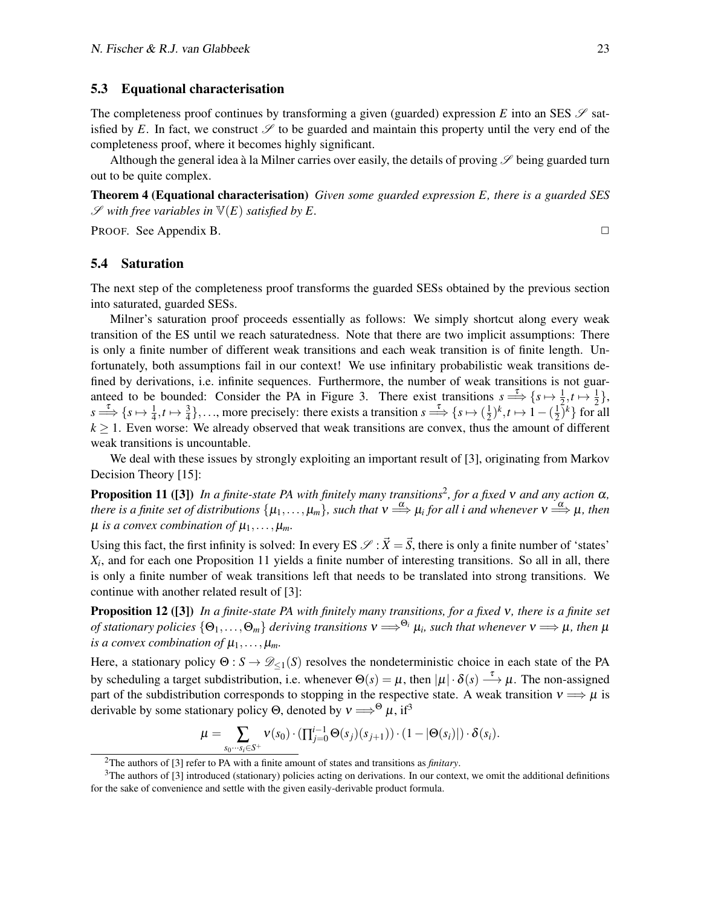#### 5.3 Equational characterisation

The completeness proof continues by transforming a given (guarded) expression *E* into an SES  $\mathscr{S}$  satisfied by E. In fact, we construct  $\mathscr S$  to be guarded and maintain this property until the very end of the completeness proof, where it becomes highly significant.

Although the general idea à la Milner carries over easily, the details of proving  $\mathscr S$  being guarded turn out to be quite complex.

<span id="page-22-4"></span>Theorem 4 (Equational characterisation) *Given some guarded expression E, there is a guarded SES*  $\mathscr S$  with free variables in  $\mathbb V(E)$  satisfied by E.

**PROOF.** See [Appendix B.](#page-42-0)  $\Box$ 

#### 5.4 Saturation

The next step of the completeness proof transforms the guarded SESs obtained by the previous section into saturated, guarded SESs.

Milner's saturation proof proceeds essentially as follows: We simply shortcut along every weak transition of the ES until we reach saturatedness. Note that there are two implicit assumptions: There is only a finite number of different weak transitions and each weak transition is of finite length. Unfortunately, both assumptions fail in our context! We use infinitary probabilistic weak transitions defined by derivations, i.e. infinite sequences. Furthermore, the number of weak transitions is not guar-anteed to be bounded: Consider the PA in [Figure 3.](#page-5-0) There exist transitions  $s \stackrel{\tau}{\Longrightarrow} \{s \mapsto \frac{1}{2}, t \mapsto \frac{1}{2}\},$  $s \stackrel{\tau}{\Longrightarrow} \{s \mapsto \frac{1}{4}, t \mapsto \frac{3}{4}\}, \dots$ , more precisely: there exists a transition  $s \stackrel{\tau}{\Longrightarrow} \{s \mapsto (\frac{1}{2})^k, t \mapsto 1 - (\frac{1}{2})^k\}$  for a  $(\frac{1}{2})^k, t \mapsto 1 - (\frac{1}{2})^k$  $\frac{1}{2}$  $\left\{ \frac{k}{2} \right\}$  for all  $k \geq 1$ . Even worse: We already observed that weak transitions are convex, thus the amount of different weak transitions is uncountable.

We deal with these issues by strongly exploiting an important result of [\[3\]](#page-49-4), originating from Markov Decision Theory [\[15\]](#page-50-10):

<span id="page-22-1"></span>Proposition 11 ([\[3\]](#page-49-4)) *In a finite-state PA with finitely many transitions*[2](#page-22-0) *, for a fixed* ν *and any action* α*, there is a finite set of distributions*  $\{\mu_1,\ldots,\mu_m\}$ *, such that*  $v \stackrel{\alpha}{\Longrightarrow}\mu_i$  for all i and whenever  $v \stackrel{\alpha}{\Longrightarrow}\mu$ *, then*  $\mu$  *is a convex combination of*  $\mu_1, \ldots, \mu_m$ *.* 

Using this fact, the first infinity is solved: In every ES  $\mathscr{S} : \vec{X} = \vec{S}$ , there is only a finite number of 'states' *Xi* , and for each one [Proposition 11](#page-22-1) yields a finite number of interesting transitions. So all in all, there is only a finite number of weak transitions left that needs to be translated into strong transitions. We continue with another related result of [\[3\]](#page-49-4):

<span id="page-22-3"></span>Proposition 12 ([\[3\]](#page-49-4)) *In a finite-state PA with finitely many transitions, for a fixed* ν*, there is a finite set of stationary policies*  $\{\Theta_1,\ldots,\Theta_m\}$  *deriving transitions*  $v \Longrightarrow^{\Theta_i} \mu_i$ *, such that whenever*  $v \Longrightarrow \mu$ *, then*  $\mu$ *is a convex combination of*  $\mu_1, \ldots, \mu_m$ *.* 

Here, a stationary policy  $\Theta: S \to \mathcal{D}_{\leq 1}(S)$  resolves the nondeterministic choice in each state of the PA by scheduling a target subdistribution, i.e. whenever  $\Theta(s) = \mu$ , then  $|\mu| \cdot \delta(s) \stackrel{\tau}{\longrightarrow} \mu$ . The non-assigned part of the subdistribution corresponds to stopping in the respective state. A weak transition  $v \Longrightarrow \mu$  is derivable by some stationary policy  $\Theta$ , denoted by  $v \Longrightarrow^{\Theta} \mu$ , if<sup>[3](#page-22-2)</sup>

$$
\mu = \sum_{s_0 \cdots s_i \in S^+} \nu(s_0) \cdot (\prod_{j=0}^{i-1} \Theta(s_j)(s_{j+1})) \cdot (1 - |\Theta(s_i)|) \cdot \delta(s_i).
$$

<span id="page-22-2"></span><span id="page-22-0"></span><sup>2</sup>The authors of [\[3\]](#page-49-4) refer to PA with a finite amount of states and transitions as *finitary*.

<sup>&</sup>lt;sup>3</sup>The authors of [\[3\]](#page-49-4) introduced (stationary) policies acting on derivations. In our context, we omit the additional definitions for the sake of convenience and settle with the given easily-derivable product formula.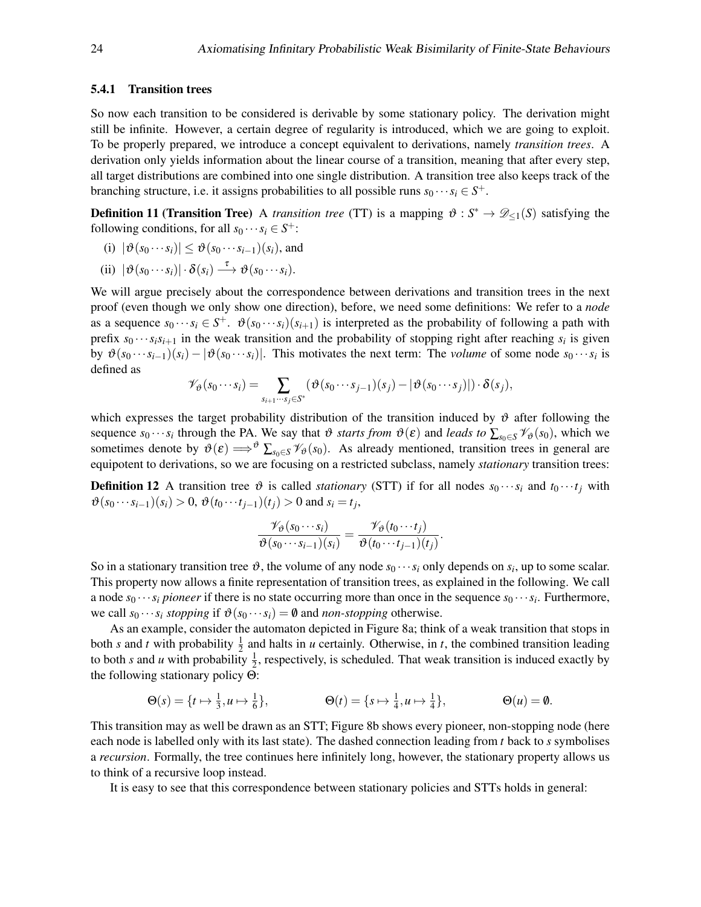#### 5.4.1 Transition trees

So now each transition to be considered is derivable by some stationary policy. The derivation might still be infinite. However, a certain degree of regularity is introduced, which we are going to exploit. To be properly prepared, we introduce a concept equivalent to derivations, namely *transition trees*. A derivation only yields information about the linear course of a transition, meaning that after every step, all target distributions are combined into one single distribution. A transition tree also keeps track of the branching structure, i.e. it assigns probabilities to all possible runs  $s_0 \cdots s_i \in S^+$ .

**Definition 11 (Transition Tree)** A *transition tree* (TT) is a mapping  $\vartheta$  :  $S^* \to \mathscr{D}_{\leq 1}(S)$  satisfying the following conditions, for all  $s_0 \cdots s_i \in S^+$ :

- <span id="page-23-1"></span>(i)  $|\vartheta(s_0 \cdots s_i)| \leq \vartheta(s_0 \cdots s_{i-1})(s_i)$ , and
- <span id="page-23-0"></span>(ii)  $|\vartheta(s_0 \cdots s_i)| \cdot \delta(s_i) \stackrel{\tau}{\longrightarrow} \vartheta(s_0 \cdots s_i).$

We will argue precisely about the correspondence between derivations and transition trees in the next proof (even though we only show one direction), before, we need some definitions: We refer to a *node* as a sequence  $s_0 \cdots s_i \in S^+$ .  $\vartheta(s_0 \cdots s_i)(s_{i+1})$  is interpreted as the probability of following a path with prefix  $s_0 \cdots s_i s_{i+1}$  in the weak transition and the probability of stopping right after reaching  $s_i$  is given by  $\vartheta(s_0 \cdots s_{i-1})(s_i) - |\vartheta(s_0 \cdots s_i)|$ . This motivates the next term: The *volume* of some node  $s_0 \cdots s_i$  is defined as

$$
\mathscr{V}_{\vartheta}(s_0\cdots s_i)=\sum_{s_{i+1}\cdots s_j\in S^*}\left(\vartheta(s_0\cdots s_{j-1})(s_j)-|\vartheta(s_0\cdots s_j)|\right)\cdot \delta(s_j),
$$

which expresses the target probability distribution of the transition induced by  $\vartheta$  after following the sequence  $s_0 \cdots s_i$  through the PA. We say that  $\vartheta$  *starts from*  $\vartheta(\varepsilon)$  and *leads to*  $\sum_{s_0 \in S} \mathcal{V}_{\vartheta}(s_0)$ , which we sometimes denote by  $\vartheta(\varepsilon) \Longrightarrow^{\vartheta} \sum_{s_0 \in S} \mathcal{V}_{\vartheta}(s_0)$ . As already mentioned, transition trees in general are equipotent to derivations, so we are focusing on a restricted subclass, namely *stationary* transition trees:

**Definition 12** A transition tree  $\vartheta$  is called *stationary* (STT) if for all nodes  $s_0 \cdots s_i$  and  $t_0 \cdots t_j$  with  $\vartheta$ (*s*<sup>0</sup> ···*s*<sup>*i*</sup>−1</sub>)(*s*<sup>*i*</sup>) > 0,  $\vartheta$ (*t*<sup>0</sup> ···*t*<sub>*j*</sub>−1</sub>)(*t*<sub>*j*</sub>) > 0 and *s*<sup>*i*</sup> = *t*<sub>*j*</sub>,

$$
\frac{\mathscr{V}_{\vartheta}(s_0\cdots s_i)}{\vartheta(s_0\cdots s_{i-1})(s_i)}=\frac{\mathscr{V}_{\vartheta}(t_0\cdots t_j)}{\vartheta(t_0\cdots t_{j-1})(t_j)}.
$$

So in a stationary transition tree  $\vartheta$ , the volume of any node  $s_0 \cdots s_i$  only depends on  $s_i$ , up to some scalar. This property now allows a finite representation of transition trees, as explained in the following. We call a node  $s_0 \cdots s_i$  *pioneer* if there is no state occurring more than once in the sequence  $s_0 \cdots s_i$ . Furthermore, we call  $s_0 \cdots s_i$  *stopping* if  $\vartheta(s_0 \cdots s_i) = \vartheta$  and *non-stopping* otherwise.

As an example, consider the automaton depicted in [Figure 8a;](#page-24-0) think of a weak transition that stops in both *s* and *t* with probability  $\frac{1}{2}$  and halts in *u* certainly. Otherwise, in *t*, the combined transition leading to both *s* and *u* with probability  $\frac{1}{2}$ , respectively, is scheduled. That weak transition is induced exactly by the following stationary policy Θ:

$$
\Theta(s) = \{t \mapsto \frac{1}{3}, u \mapsto \frac{1}{6}\}, \qquad \Theta(t) = \{s \mapsto \frac{1}{4}, u \mapsto \frac{1}{4}\}, \qquad \Theta(u) = \emptyset.
$$

This transition may as well be drawn as an STT; [Figure 8b](#page-24-0) shows every pioneer, non-stopping node (here each node is labelled only with its last state). The dashed connection leading from *t* back to *s* symbolises a *recursion*. Formally, the tree continues here infinitely long, however, the stationary property allows us to think of a recursive loop instead.

<span id="page-23-2"></span>It is easy to see that this correspondence between stationary policies and STTs holds in general: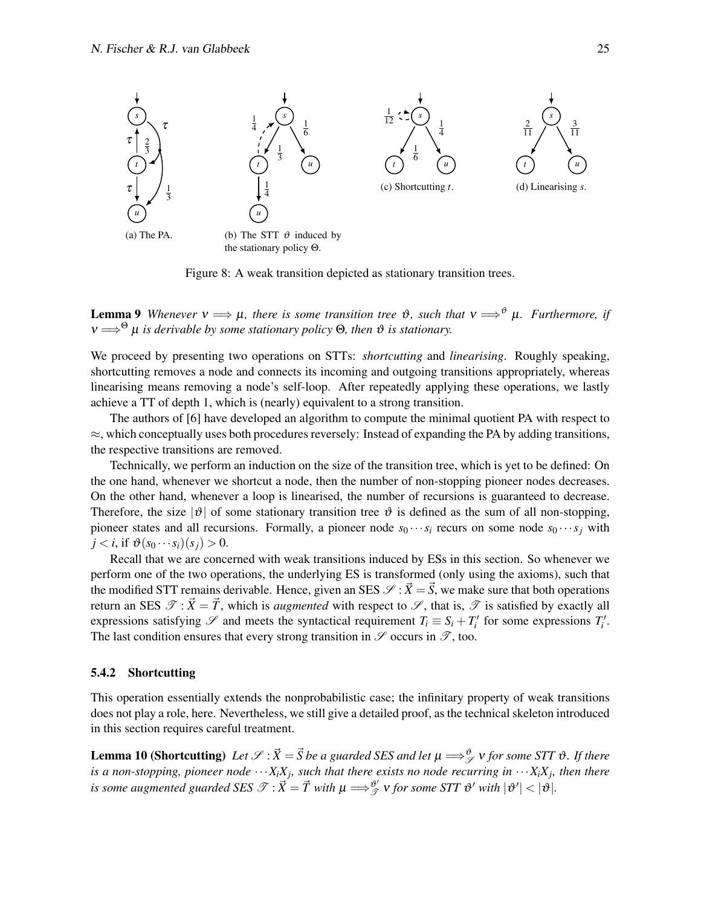<span id="page-24-0"></span>

Figure 8: A weak transition depicted as stationary transition trees.

**Lemma 9** *Whenever*  $v \implies \mu$ *, there is some transition tree*  $\vartheta$ *, such that*  $v \implies^{\vartheta} \mu$ *. Furthermore, if*  $v \Longrightarrow^{\Theta} \mu$  *is derivable by some stationary policy* Θ, then  $\vartheta$  *is stationary.* 

We proceed by presenting two operations on STTs: *shortcutting* and *linearising*. Roughly speaking, shortcutting removes a node and connects its incoming and outgoing transitions appropriately, whereas linearising means removing a node's self-loop. After repeatedly applying these operations, we lastly achieve a TT of depth 1, which is (nearly) equivalent to a strong transition.

The authors of [\[6\]](#page-49-5) have developed an algorithm to compute the minimal quotient PA with respect to  $\approx$ , which conceptually uses both procedures reversely: Instead of expanding the PA by adding transitions, the respective transitions are removed.

Technically, we perform an induction on the size of the transition tree, which is yet to be defined: On the one hand, whenever we shortcut a node, then the number of non-stopping pioneer nodes decreases. On the other hand, whenever a loop is linearised, the number of recursions is guaranteed to decrease. Therefore, the size  $|\vartheta|$  of some stationary transition tree  $\vartheta$  is defined as the sum of all non-stopping, pioneer states and all recursions. Formally, a pioneer node  $s_0 \cdots s_i$  recurs on some node  $s_0 \cdots s_j$  with  $j < i$ , if  $\vartheta(s_0 \cdots s_i)(s_j) > 0$ .

Recall that we are concerned with weak transitions induced by ESs in this section. So whenever we perform one of the two operations, the underlying ES is transformed (only using the axioms), such that the modified STT remains derivable. Hence, given an SES  $\mathcal{S}: \vec{X} = \vec{S}$ , we make sure that both operations return an SES  $\mathscr{T}$  :  $\vec{X} = \vec{T}$ , which is *augmented* with respect to  $\mathscr{S}$ , that is,  $\mathscr{T}$  is satisfied by exactly all expressions satisfying  $\mathscr S$  and meets the syntactical requirement  $T_i \equiv S_i + T'_i$  for some expressions  $T'_i$ . The last condition ensures that every strong transition in  $\mathscr S$  occurs in  $\mathscr T$ , too.

#### 5.4.2 Shortcutting

This operation essentially extends the nonprobabilistic case; the infinitary property of weak transitions does not play a role, here. Nevertheless, we still give a detailed proof, as the technical skeleton introduced in this section requires careful treatment.

<span id="page-24-1"></span>**Lemma 10 (Shortcutting)** Let  $\mathscr{S}$  :  $\vec{X} = \vec{S}$  be a guarded SES and let  $\mu \Longrightarrow^{\vartheta}_{\mathscr{S}}$   $\nu$  for some STT  $\vartheta$ *. If there is a non-stopping, pioneer node*  $\cdots X_i X_j$ *, such that there exists no node recurring in*  $\cdots X_i X_j$ *, then there* is some augmented guarded SES  $\mathscr{T} : \vec{X} = \vec{T}$  with  $\mu \Longrightarrow_{\mathscr{T}}^{\vartheta'}$  $\int_{\mathscr{T}}^{\mathfrak{d}'} v$  for some STT  $\mathfrak{G}'$  with  $|\mathfrak{G}'| < |\mathfrak{G}|$ .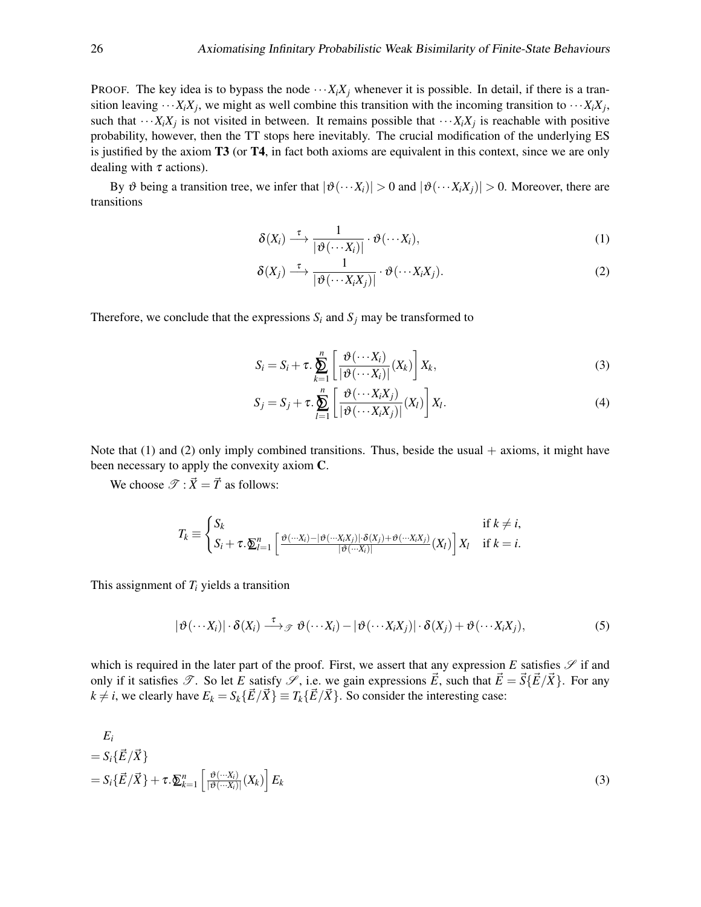PROOF. The key idea is to bypass the node  $\cdots X_iX_j$  whenever it is possible. In detail, if there is a transition leaving  $\cdots X_i X_j$ , we might as well combine this transition with the incoming transition to  $\cdots X_i X_j$ , such that  $\cdots X_i X_j$  is not visited in between. It remains possible that  $\cdots X_i X_j$  is reachable with positive probability, however, then the TT stops here inevitably. The crucial modification of the underlying ES is justified by the axiom T3 (or T4, in fact both axioms are equivalent in this context, since we are only dealing with  $\tau$  actions).

By  $\vartheta$  being a transition tree, we infer that  $|\vartheta(\cdots X_i)| > 0$  and  $|\vartheta(\cdots X_i X_j)| > 0$ . Moreover, there are transitions

<span id="page-25-0"></span>
$$
\delta(X_i) \stackrel{\tau}{\longrightarrow} \frac{1}{|\vartheta(\cdots X_i)|} \cdot \vartheta(\cdots X_i), \qquad (1)
$$

<span id="page-25-1"></span>
$$
\delta(X_j) \stackrel{\tau}{\longrightarrow} \frac{1}{|\vartheta(\cdots X_i X_j)|} \cdot \vartheta(\cdots X_i X_j).
$$
 (2)

Therefore, we conclude that the expressions  $S_i$  and  $S_j$  may be transformed to

<span id="page-25-2"></span>
$$
S_i = S_i + \tau \cdot \sum_{k=1}^n \left[ \frac{\vartheta(\cdots X_i)}{|\vartheta(\cdots X_i)|} (X_k) \right] X_k,
$$
\n(3)

<span id="page-25-3"></span>
$$
S_j = S_j + \tau \cdot \sum_{l=1}^n \left[ \frac{\vartheta(\cdots X_i X_j)}{|\vartheta(\cdots X_i X_j)|} (X_l) \right] X_l.
$$
 (4)

Note that  $(1)$  and  $(2)$  only imply combined transitions. Thus, beside the usual  $+$  axioms, it might have been necessary to apply the convexity axiom C.

We choose  $\mathscr{T}$  :  $\vec{X} = \vec{T}$  as follows:

$$
T_k \equiv \begin{cases} S_k & \text{if } k \neq i, \\ S_i + \tau \cdot \sum_{l=1}^n \left[ \frac{\vartheta(\cdots X_i) - |\vartheta(\cdots X_i X_j)| \cdot \delta(X_j) + \vartheta(\cdots X_i X_j)}{|\vartheta(\cdots X_i)|} (X_l) \right] X_l & \text{if } k = i. \end{cases}
$$

This assignment of *T<sup>i</sup>* yields a transition

<span id="page-25-4"></span>
$$
|\vartheta(\cdots X_i)|\cdot \delta(X_i) \stackrel{\tau}{\longrightarrow} \mathcal{F} \vartheta(\cdots X_i) - |\vartheta(\cdots X_i X_j)|\cdot \delta(X_j) + \vartheta(\cdots X_i X_j),
$$
\n(5)

which is required in the later part of the proof. First, we assert that any expression  $E$  satisfies  $\mathscr S$  if and only if it satisfies  $\mathcal{T}$ . So let *E* satisfy  $\mathcal{S}$ , i.e. we gain expressions  $\vec{E}$ , such that  $\vec{E} = \vec{S} \{ \vec{E} / \vec{X} \}$ . For any  $k \neq i$ , we clearly have  $E_k = S_k \{\vec{E}/\vec{X}\} = T_k \{\vec{E}/\vec{X}\}$ . So consider the interesting case:

$$
E_i
$$
  
=  $S_i \{\vec{E}/\vec{X}\}\$   
=  $S_i \{\vec{E}/\vec{X}\} + \tau \cdot \underline{\sum}_{k=1}^n \left[\frac{\vartheta(\cdots X_i)}{|\vartheta(\cdots X_i)|}(X_k)\right] E_k$  (3)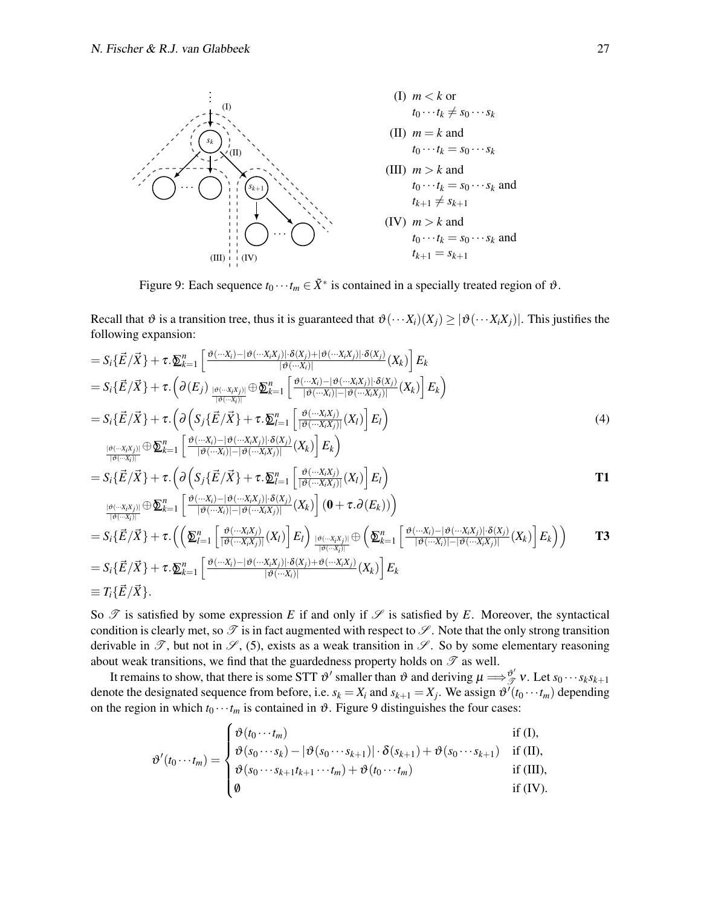<span id="page-26-4"></span><span id="page-26-1"></span><span id="page-26-0"></span>

<span id="page-26-3"></span><span id="page-26-2"></span>Figure 9: Each sequence  $t_0 \cdots t_m \in \tilde{X}^*$  is contained in a specially treated region of  $\vartheta$ .

Recall that  $\vartheta$  is a transition tree, thus it is guaranteed that  $\vartheta(\cdots X_i)(X_j) \geq |\vartheta(\cdots X_iX_j)|$ . This justifies the following expansion:

$$
= S_i\{\vec{E}/\vec{X}\} + \tau.\underline{\delta}_{k=1}^n \left[ \frac{\vartheta(\cdot \cdot x_i) - |\vartheta(\cdot \cdot x_i x_j)| \cdot \delta(x_j) + |\vartheta(\cdot \cdot x_i x_j)| \cdot \delta(x_j)}{|\vartheta(\cdot \cdot x_i)|} (X_k) \right] E_k
$$
  
\n
$$
= S_i\{\vec{E}/\vec{X}\} + \tau. \left(\partial(E_j) \frac{\partial(\cdot \cdot x_i x_j)}{|\vartheta(\cdot \cdot x_j)|} \oplus \underline{\delta}_{k=1}^n \left[ \frac{\vartheta(\cdot \cdot x_i) - |\vartheta(\cdot \cdot x_i x_j)| \cdot \delta(x_j)}{|\vartheta(\cdot \cdot x_i)|} (X_k) \right] E_k \right)
$$
  
\n
$$
= S_i\{\vec{E}/\vec{X}\} + \tau. \left(\partial \left(S_j\{\vec{E}/\vec{X}\} + \tau.\underline{\delta}_{l=1}^n \left[ \frac{\vartheta(\cdot \cdot x_i x_j)}{|\vartheta(\cdot \cdot x_i x_j)|} (X_l) \right] E_l \right)
$$
  
\n
$$
= S_i\{\vec{E}/\vec{X}\} + \tau. \left(\partial \left(S_j\{\vec{E}/\vec{X}\} + \tau.\underline{\delta}_{l=1}^n \left[ \frac{\vartheta(\cdot \cdot x_i x_j)}{|\vartheta(\cdot \cdot x_i x_j)|} (X_k) \right] E_k \right)
$$
  
\n
$$
= S_i\{\vec{E}/\vec{X}\} + \tau. \left(\partial \left(S_j\{\vec{E}/\vec{X}\} + \tau.\underline{\delta}_{l=1}^n \left[ \frac{\vartheta(\cdot \cdot x_i x_j)}{|\vartheta(\cdot \cdot x_i x_j)|} (X_k) \right] E_l \right)
$$
  
\n
$$
= S_i\{\vec{E}/\vec{X}\} + \tau. \left(\left(\sum_{l=1}^n \left[ \frac{\vartheta(\cdot \cdot x_i x_j)}{|\vartheta(\cdot \cdot x_i x_j)|} (X_l) \right] E_l \right) (0 + \tau.\partial(E_k)) \right)
$$
  
\n
$$
= S_i\{\vec{E}/\vec{X}\} + \tau. \left(\left(\sum_{l=1}^n \left[ \frac{\vartheta(\cdot \cdot x_i x_j)}{|\vartheta(\cdot \cdot x_i x_j)|} (X_l) \right] E_l \right) \frac{|\vartheta(\cdot \cdot x_i
$$

$$
\equiv T_i\{\vec{E}/\vec{X}\}.
$$

So  $\mathcal T$  is satisfied by some expression *E* if and only if  $\mathcal S$  is satisfied by *E*. Moreover, the syntactical condition is clearly met, so  $\mathscr T$  is in fact augmented with respect to  $\mathscr S$ . Note that the only strong transition derivable in  $\mathscr{T}$ , but not in  $\mathscr{S}$ , [\(5\)](#page-25-4), exists as a weak transition in  $\mathscr{S}$ . So by some elementary reasoning about weak transitions, we find that the guardedness property holds on  $\mathscr T$  as well.

It remains to show, that there is some STT  $\vartheta'$  smaller than  $\vartheta$  and deriving  $\mu \Longrightarrow_{\mathcal{J}}^{\vartheta'}$  $\overset{\vartheta}{\mathscr{T}}$  *v*. Let  $s_0 \cdots s_k s_{k+1}$ denote the designated sequence from before, i.e.  $s_k = X_i$  and  $s_{k+1} = X_j$ . We assign  $\vartheta^{i}(t_0 \cdots t_m)$  depending on the region in which  $t_0 \cdots t_m$  is contained in  $\vartheta$ . [Figure 9](#page-26-4) distinguishes the four cases:

$$
\vartheta'(t_0\cdots t_m) = \begin{cases} \vartheta(t_0\cdots t_m) & \text{if (I),} \\ \vartheta(s_0\cdots s_k) - |\vartheta(s_0\cdots s_{k+1})| \cdot \delta(s_{k+1}) + \vartheta(s_0\cdots s_{k+1}) & \text{if (II),} \\ \vartheta(s_0\cdots s_{k+1}t_{k+1}\cdots t_m) + \vartheta(t_0\cdots t_m) & \text{if (III),} \end{cases}
$$

$$
\begin{cases}\n\sigma_{(30)} \cdots s_{k+1} \iota_{k+1} \cdots \iota_m \gamma + \sigma_{(i0)} \cdots \iota_m \gamma \\
\emptyset & \text{if (IV)}.\n\end{cases}
$$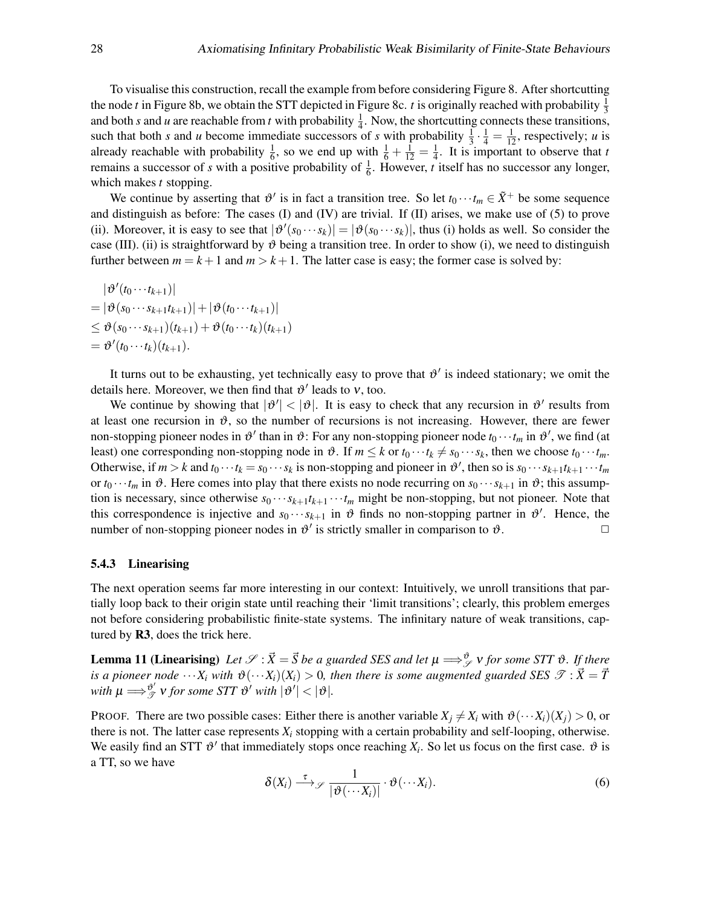To visualise this construction, recall the example from before considering [Figure 8.](#page-24-0) After shortcutting the node *t* in [Figure 8b,](#page-24-0) we obtain the STT depicted in [Figure 8c.](#page-24-0) *t* is originally reached with probability  $\frac{1}{3}$ and both *s* and *u* are reachable from *t* with probability  $\frac{1}{4}$ . Now, the shortcutting connects these transitions, such that both *s* and *u* become immediate successors of *s* with probability  $\frac{1}{3} \cdot \frac{1}{4} = \frac{1}{12}$ , respectively; *u* is already reachable with probability  $\frac{1}{6}$ , so we end up with  $\frac{1}{6} + \frac{1}{12} = \frac{1}{4}$  $\frac{1}{4}$ . It is important to observe that *t* remains a successor of *s* with a positive probability of  $\frac{1}{6}$ . However, *t* itself has no successor any longer, which makes *t* stopping.

We continue by asserting that  $\vartheta'$  is in fact a transition tree. So let  $t_0 \cdots t_m \in \tilde{X}^+$  be some sequence and distinguish as before: The cases [\(I\)](#page-26-0) and [\(IV\)](#page-26-3) are trivial. If [\(II\)](#page-26-1) arises, we make use of [\(5\)](#page-25-4) to prove [\(ii\).](#page-23-0) Moreover, it is easy to see that  $|\vartheta'(s_0 \cdots s_k)| = |\vartheta(s_0 \cdots s_k)|$ , thus [\(i\)](#page-23-1) holds as well. So consider the case [\(III\).](#page-26-2) [\(ii\)](#page-23-0) is straightforward by  $\vartheta$  being a transition tree. In order to show [\(i\),](#page-23-1) we need to distinguish further between  $m = k + 1$  and  $m > k + 1$ . The latter case is easy; the former case is solved by:

$$
|\vartheta'(t_0\cdots t_{k+1})|
$$
  
=  $|\vartheta(s_0\cdots s_{k+1}t_{k+1})| + |\vartheta(t_0\cdots t_{k+1})|$   
 $\leq \vartheta(s_0\cdots s_{k+1})(t_{k+1}) + \vartheta(t_0\cdots t_k)(t_{k+1})$   
=  $\vartheta'(t_0\cdots t_k)(t_{k+1}).$ 

It turns out to be exhausting, yet technically easy to prove that  $\vartheta'$  is indeed stationary; we omit the details here. Moreover, we then find that  $\vartheta'$  leads to v, too.

We continue by showing that  $|\vartheta'| < |\vartheta|$ . It is easy to check that any recursion in  $\vartheta'$  results from at least one recursion in  $\vartheta$ , so the number of recursions is not increasing. However, there are fewer non-stopping pioneer nodes in  $\vartheta'$  than in  $\vartheta$ : For any non-stopping pioneer node  $t_0 \cdots t_m$  in  $\vartheta'$ , we find (at least) one corresponding non-stopping node in  $\vartheta$ . If  $m \leq k$  or  $t_0 \cdots t_k \neq s_0 \cdots s_k$ , then we choose  $t_0 \cdots t_m$ . Otherwise, if  $m > k$  and  $t_0 \cdots t_k = s_0 \cdots s_k$  is non-stopping and pioneer in  $\vartheta'$ , then so is  $s_0 \cdots s_{k+1} t_{k+1} \cdots t_m$ or  $t_0 \cdots t_m$  in  $\vartheta$ . Here comes into play that there exists no node recurring on  $s_0 \cdots s_{k+1}$  in  $\vartheta$ ; this assumption is necessary, since otherwise  $s_0 \cdots s_{k+1} t_{k+1} \cdots t_m$  might be non-stopping, but not pioneer. Note that this correspondence is injective and  $s_0 \cdots s_{k+1}$  in  $\vartheta$  finds no non-stopping partner in  $\vartheta'$ . Hence, the number of non-stopping pioneer nodes in  $\vartheta'$  is strictly smaller in comparison to  $\vartheta$ .

#### 5.4.3 Linearising

The next operation seems far more interesting in our context: Intuitively, we unroll transitions that partially loop back to their origin state until reaching their 'limit transitions'; clearly, this problem emerges not before considering probabilistic finite-state systems. The infinitary nature of weak transitions, captured by R3, does the trick here.

<span id="page-27-0"></span>**Lemma 11 (Linearising)** Let  $\mathscr{S} : \vec{X} = \vec{S}$  be a guarded SES and let  $\mu \Longrightarrow_{\mathscr{S}}^{\phi}$  v for some STT  $\vartheta$ . If there *is a pioneer node*  $\cdots X_i$  *with*  $\vartheta(\cdots X_i)(X_i) > 0$ , then there is some augmented guarded SES  $\mathcal{T} : \overline{X} = \overline{T}$ with  $\mu \Longrightarrow_{\mathscr{T}}^{\vartheta'}$  $\int_{\mathcal{T}}^{\mathfrak{d}'} v$  for some STT  $\mathfrak{G}'$  with  $|\mathfrak{G}'| < |\mathfrak{G}|$ .

PROOF. There are two possible cases: Either there is another variable  $X_i \neq X_i$  with  $\vartheta(\cdots X_i)(X_i) > 0$ , or there is not. The latter case represents  $X_i$  stopping with a certain probability and self-looping, otherwise. We easily find an STT  $\vartheta'$  that immediately stops once reaching  $X_i$ . So let us focus on the first case.  $\vartheta$  is a TT, so we have

$$
\delta(X_i) \stackrel{\tau}{\longrightarrow} \frac{1}{|\vartheta(\cdots X_i)|} \cdot \vartheta(\cdots X_i). \tag{6}
$$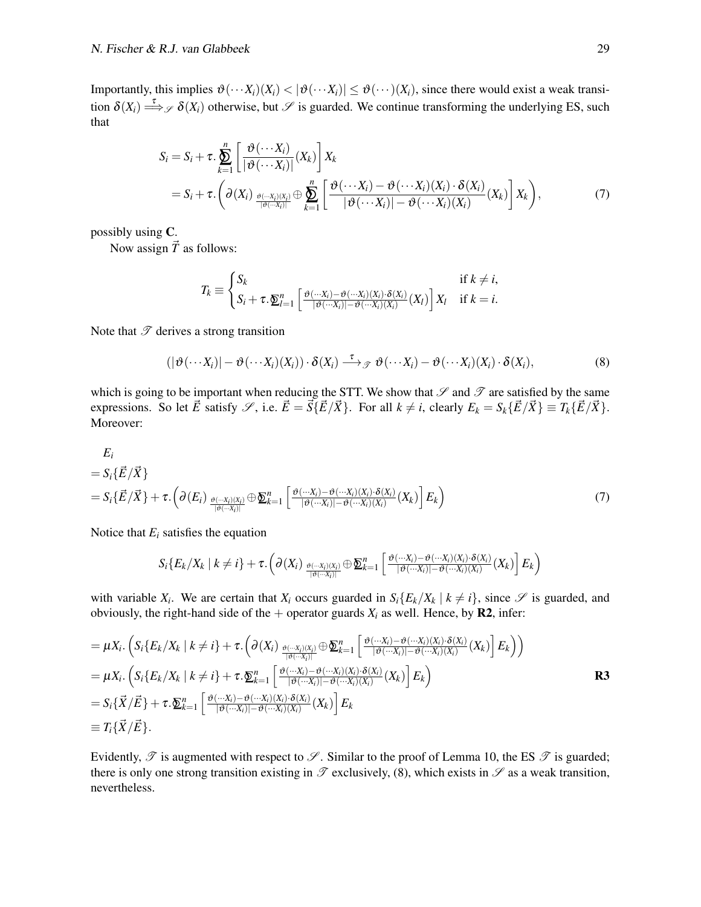Importantly, this implies  $\vartheta(\cdots X_i)(X_i) < |\vartheta(\cdots X_i)| \leq \vartheta(\cdots)(X_i)$ , since there would exist a weak transition  $\delta(X_i) \stackrel{\tau}{\Longrightarrow}_{\mathcal{S}} \delta(X_i)$  otherwise, but  $\mathcal S$  is guarded. We continue transforming the underlying ES, such that

$$
S_i = S_i + \tau \cdot \sum_{k=1}^n \left[ \frac{\vartheta(\cdots X_i)}{|\vartheta(\cdots X_i)|} (X_k) \right] X_k
$$
  
=  $S_i + \tau \cdot \left( \partial(X_i) \frac{\vartheta(\cdots X_i)(X_i)}{|\vartheta(\cdots X_i)|} \oplus \sum_{k=1}^n \left[ \frac{\vartheta(\cdots X_i) - \vartheta(\cdots X_i)(X_i) \cdot \delta(X_i)}{|\vartheta(\cdots X_i)| - \vartheta(\cdots X_i)(X_i)} (X_k) \right] X_k \right),$  (7)

possibly using C.

Now assign  $\vec{T}$  as follows:

<span id="page-28-1"></span><span id="page-28-0"></span>
$$
T_k \equiv \begin{cases} S_k & \text{if } k \neq i, \\ S_i + \tau \cdot \underline{\mathbf{\Sigma}}_{l=1}^n \left[ \frac{\vartheta(\cdots X_i) - \vartheta(\cdots X_i)(X_i) \cdot \delta(X_i)}{|\vartheta(\cdots X_i)| - \vartheta(\cdots X_i)(X_i)} (X_l) \right] X_l & \text{if } k = i. \end{cases}
$$

Note that  $\mathscr T$  derives a strong transition

$$
(|\vartheta(\cdots X_i)| - \vartheta(\cdots X_i)(X_i)) \cdot \delta(X_i) \xrightarrow{\tau} \vartheta(\cdots X_i) - \vartheta(\cdots X_i)(X_i) \cdot \delta(X_i),
$$
\n(8)

which is going to be important when reducing the STT. We show that  $\mathscr S$  and  $\mathscr T$  are satisfied by the same expressions. So let  $\vec{E}$  satisfy  $\mathscr{S}$ , i.e.  $\vec{E} = \vec{S} \{ \vec{E}/\vec{X} \}$ . For all  $k \neq i$ , clearly  $E_k = S_k \{ \vec{E}/\vec{X} \} = T_k \{ \vec{E}/\vec{X} \}$ . Moreover:

$$
E_i
$$
  
=  $S_i \{\vec{E}/\vec{X}\}\$   
=  $S_i \{\vec{E}/\vec{X}\} + \tau \cdot \left(\partial(E_i) \underbrace{\partial(\cdot \cdot x_i)(x_i)}_{|\partial(\cdot \cdot \cdot x_i)|} \oplus \underline{\mathbf{\Sigma}}_{k=1}^n \left[\underbrace{\partial(\cdot \cdot \cdot x_i) - \partial(\cdot \cdot \cdot x_i)(x_i) \cdot \delta(x_i)}_{|\partial(\cdot \cdot \cdot x_i)| - \partial(\cdot \cdot \cdot x_i)(x_i)}(X_k)\right] E_k\right)$  (7)

Notice that  $E_i$  satisfies the equation

$$
S_i\{E_k/X_k \mid k \neq i\} + \tau.\left(\partial(X_i) \underbrace{\partial(x_i,\partial(y_i))}_{\partial(\cdots X_i))} \oplus \sum_{k=1}^n \left[\frac{\partial(\cdots X_i)-\partial(\cdots X_i)(X_i)\cdot \delta(X_i)}{\partial(\cdots X_i)|-\partial(\cdots X_i)(X_i)}(X_k)\right]E_k\right)
$$

with variable  $X_i$ . We are certain that  $X_i$  occurs guarded in  $S_i\{E_k/X_k \mid k \neq i\}$ , since  $\mathscr S$  is guarded, and obviously, the right-hand side of the  $+$  operator guards  $X_i$  as well. Hence, by **R2**, infer:

$$
= \mu X_i. \left( S_i \{ E_k / X_k \mid k \neq i \} + \tau. \left( \partial(X_i) \xrightarrow{\partial(\cdots X_i)(X_i)} \oplus \sum_{k=1}^n \left[ \frac{\partial(\cdots X_i) - \partial(\cdots X_i)(X_i) \cdot \delta(X_i)}{\partial(\cdots X_i) - \partial(\cdots X_i)(X_i)} (X_k) \right] E_k \right) \right)
$$
  
\n
$$
= \mu X_i. \left( S_i \{ E_k / X_k \mid k \neq i \} + \tau. \sum_{k=1}^n \left[ \frac{\partial(\cdots X_i) - \partial(\cdots X_i)(X_i) \cdot \delta(X_i)}{\partial(\cdots X_i) - \partial(\cdots X_i)(X_i)} (X_k) \right] E_k \right)
$$
  
\n
$$
= S_i \{\vec{X}/\vec{E}\} + \tau. \sum_{k=1}^n \left[ \frac{\partial(\cdots X_i) - \partial(\cdots X_i)(X_i) \cdot \delta(X_i)}{\partial(\cdots X_i) - \partial(\cdots X_i)(X_i)} (X_k) \right] E_k
$$
  
\n
$$
\equiv T_i \{\vec{X}/\vec{E}\}.
$$

Evidently,  $\mathscr T$  is augmented with respect to  $\mathscr S$ . Similar to the proof of [Lemma 10,](#page-24-1) the ES  $\mathscr T$  is guarded; there is only one strong transition existing in  $\mathscr T$  exclusively, [\(8\)](#page-28-1), which exists in  $\mathscr S$  as a weak transition, nevertheless.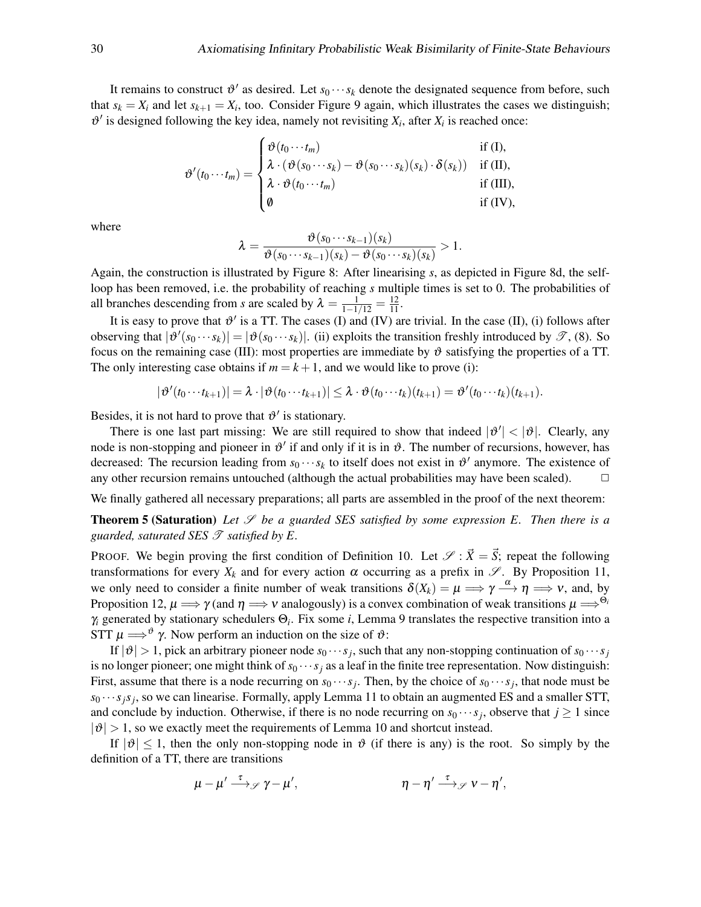It remains to construct  $\vartheta'$  as desired. Let  $s_0 \cdots s_k$  denote the designated sequence from before, such that  $s_k = X_i$  and let  $s_{k+1} = X_i$ , too. Consider [Figure 9](#page-26-4) again, which illustrates the cases we distinguish;  $\mathfrak{v}'$  is designed following the key idea, namely not revisiting  $X_i$ , after  $X_i$  is reached once:

$$
\vartheta'(t_0 \cdots t_m) = \begin{cases} \vartheta(t_0 \cdots t_m) & \text{if (I),} \\ \lambda \cdot (\vartheta(s_0 \cdots s_k) - \vartheta(s_0 \cdots s_k)(s_k) \cdot \delta(s_k)) & \text{if (II),} \\ \lambda \cdot \vartheta(t_0 \cdots t_m) & \text{if (III),} \\ \vartheta & \text{if (IV),} \end{cases}
$$

where

$$
\lambda = \frac{\vartheta(s_0 \cdots s_{k-1})(s_k)}{\vartheta(s_0 \cdots s_{k-1})(s_k) - \vartheta(s_0 \cdots s_k)(s_k)} > 1.
$$

Again, the construction is illustrated by [Figure 8:](#page-24-0) After linearising *s*, as depicted in [Figure 8d,](#page-24-0) the selfloop has been removed, i.e. the probability of reaching *s* multiple times is set to 0. The probabilities of all branches descending from *s* are scaled by  $\lambda = \frac{1}{1-1/12} = \frac{12}{11}$ .

It is easy to prove that  $\vartheta'$  is a TT. The cases [\(I\)](#page-26-0) and [\(IV\)](#page-26-3) are trivial. In the case [\(II\),](#page-26-1) [\(i\)](#page-23-1) follows after observing that  $|\vartheta'(s_0 \cdots s_k)| = |\vartheta(s_0 \cdots s_k)|$ . [\(ii\)](#page-23-0) exploits the transition freshly introduced by  $\mathscr{T}$ , [\(8\)](#page-28-1). So focus on the remaining case [\(III\):](#page-26-2) most properties are immediate by  $\vartheta$  satisfying the properties of a TT. The only interesting case obtains if  $m = k + 1$ , and we would like to prove [\(i\):](#page-23-1)

$$
|\vartheta'(t_0\cdots t_{k+1})|=\lambda\cdot |\vartheta(t_0\cdots t_{k+1})|\leq \lambda\cdot \vartheta(t_0\cdots t_k)(t_{k+1})=\vartheta'(t_0\cdots t_k)(t_{k+1}).
$$

Besides, it is not hard to prove that  $\vartheta'$  is stationary.

There is one last part missing: We are still required to show that indeed  $|\vartheta'| < |\vartheta|$ . Clearly, any node is non-stopping and pioneer in  $\vartheta'$  if and only if it is in  $\vartheta$ . The number of recursions, however, has decreased: The recursion leading from  $s_0 \cdots s_k$  to itself does not exist in  $\vartheta'$  anymore. The existence of any other recursion remains untouched (although the actual probabilities may have been scaled).  $\Box$ 

We finally gathered all necessary preparations; all parts are assembled in the proof of the next theorem:

<span id="page-29-0"></span>**Theorem 5 (Saturation)** Let  $\mathscr S$  be a guarded SES satisfied by some expression E. Then there is a *guarded, saturated SES*  $\mathcal{T}$  *satisfied by E.* 

PROOF. We begin proving the first condition of [Definition 10.](#page-21-0) Let  $\mathscr{S} : \vec{X} = \vec{S}$ ; repeat the following transformations for every  $X_k$  and for every action  $\alpha$  occurring as a prefix in  $\mathscr{S}$ . By [Proposition 11,](#page-22-1) we only need to consider a finite number of weak transitions  $\delta(X_k) = \mu \Longrightarrow \gamma \stackrel{\alpha}{\longrightarrow} \eta \Longrightarrow \nu$ , and, by [Proposition 12,](#page-22-3)  $\mu \Longrightarrow \gamma$  (and  $\eta \Longrightarrow \nu$  analogously) is a convex combination of weak transitions  $\mu \Longrightarrow^{\Theta_i}$ γ*<sup>i</sup>* generated by stationary schedulers Θ*<sup>i</sup>* . Fix some *i*, [Lemma 9](#page-23-2) translates the respective transition into a STT  $\mu \Longrightarrow^{\vartheta} \gamma$ . Now perform an induction on the size of  $\vartheta$ :

If  $|\vartheta| > 1$ , pick an arbitrary pioneer node  $s_0 \cdots s_j$ , such that any non-stopping continuation of  $s_0 \cdots s_j$ is no longer pioneer; one might think of  $s_0 \cdots s_j$  as a leaf in the finite tree representation. Now distinguish: First, assume that there is a node recurring on  $s_0 \cdots s_j$ . Then, by the choice of  $s_0 \cdots s_j$ , that node must be  $s_0 \cdots s_j s_j$ , so we can linearise. Formally, apply [Lemma 11](#page-27-0) to obtain an augmented ES and a smaller STT, and conclude by induction. Otherwise, if there is no node recurring on  $s_0 \cdots s_j$ , observe that  $j \ge 1$  since  $|\vartheta| > 1$ , so we exactly meet the requirements of [Lemma 10](#page-24-1) and shortcut instead.

If  $|\vartheta| \leq 1$ , then the only non-stopping node in  $\vartheta$  (if there is any) is the root. So simply by the definition of a TT, there are transitions

$$
\mu - \mu' \stackrel{\tau}{\longrightarrow} \mathscr{P} \gamma - \mu', \qquad \eta - \eta' \stackrel{\tau}{\longrightarrow} \mathscr{P} \gamma - \eta',
$$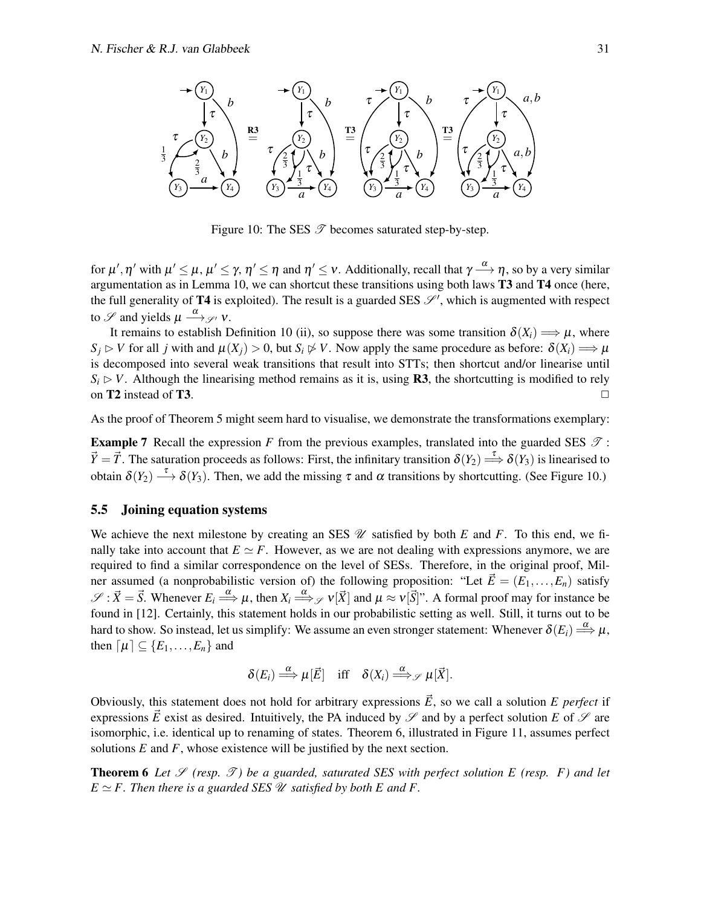<span id="page-30-0"></span>

Figure 10: The SES  $\mathscr T$  becomes saturated step-by-step.

for  $\mu',\eta'$  with  $\mu'\leq\mu$ ,  $\mu'\leq\gamma$ ,  $\eta'\leq\eta$  and  $\eta'\leq\nu$ . Additionally, recall that  $\gamma\stackrel{\alpha}{\longrightarrow}\eta$ , so by a very similar argumentation as in [Lemma 10,](#page-24-1) we can shortcut these transitions using both laws T3 and T4 once (here, the full generality of T4 is exploited). The result is a guarded SES  $\mathcal{S}'$ , which is augmented with respect to  $\mathscr S$  and yields  $\mu \stackrel{\alpha}{\longrightarrow}$   $\mathscr S'$  v.

It remains to establish [Definition 10](#page-21-0) [\(ii\),](#page-21-1) so suppose there was some transition  $\delta(X_i) \Longrightarrow \mu$ , where  $S_i \triangleright V$  for all *j* with and  $\mu(X_i) > 0$ , but  $S_i \not\triangleright V$ . Now apply the same procedure as before:  $\delta(X_i) \Longrightarrow \mu$ is decomposed into several weak transitions that result into STTs; then shortcut and/or linearise until  $S_i \triangleright V$ . Although the linearising method remains as it is, using **R3**, the shortcutting is modified to rely on T2 instead of T3.  $\Box$ 

As the proof of [Theorem 5](#page-29-0) might seem hard to visualise, we demonstrate the transformations exemplary:

**Example 7** Recall the expression *F* from the previous examples, translated into the guarded SES  $\mathcal{T}$ :  $\vec{Y} = \vec{T}$ . The saturation proceeds as follows: First, the infinitary transition  $\delta(Y_2) \stackrel{\tau}{\Longrightarrow} \delta(Y_3)$  is linearised to obtain  $\delta(Y_2) \stackrel{\tau}{\longrightarrow} \delta(Y_3)$ . Then, we add the missing  $\tau$  and  $\alpha$  transitions by shortcutting. (See [Figure 10.](#page-30-0))

#### 5.5 Joining equation systems

We achieve the next milestone by creating an SES  $\mathcal U$  satisfied by both *E* and *F*. To this end, we finally take into account that  $E \simeq F$ . However, as we are not dealing with expressions anymore, we are required to find a similar correspondence on the level of SESs. Therefore, in the original proof, Milner assumed (a nonprobabilistic version of) the following proposition: "Let  $\vec{E} = (E_1, \ldots, E_n)$  satisfy  $\mathscr{S}: \vec{X} = \vec{S}$ . Whenever  $E_i \stackrel{\alpha}{\Longrightarrow} \mu$ , then  $X_i \stackrel{\alpha}{\Longrightarrow} \mathscr{S}$   $v[\vec{X}]$  and  $\mu \approx v[\vec{S}]$ ". A formal proof may for instance be found in [\[12\]](#page-50-3). Certainly, this statement holds in our probabilistic setting as well. Still, it turns out to be hard to show. So instead, let us simplify: We assume an even stronger statement: Whenever  $\delta(E_i) \stackrel{\alpha}{\Longrightarrow} \mu$ , then  $[\mu] \subseteq \{E_1, \ldots, E_n\}$  and

$$
\delta(E_i) \stackrel{\alpha}{\Longrightarrow} \mu[\vec{E}] \quad \text{iff} \quad \delta(X_i) \stackrel{\alpha}{\Longrightarrow}_{\mathscr{S}} \mu[\vec{X}].
$$

Obviously, this statement does not hold for arbitrary expressions  $\vec{E}$ , so we call a solution *E perfect* if expressions  $\vec{E}$  exist as desired. Intuitively, the PA induced by  $\mathscr S$  and by a perfect solution  $E$  of  $\mathscr S$  are isomorphic, i.e. identical up to renaming of states. [Theorem 6,](#page-30-1) illustrated in [Figure 11,](#page-31-0) assumes perfect solutions  $E$  and  $F$ , whose existence will be justified by the next section.

<span id="page-30-1"></span>**Theorem 6** Let  $\mathscr{S}$  (resp.  $\mathscr{T}$ ) be a guarded, saturated SES with perfect solution E (resp. F) and let  $E \simeq F$ . Then there is a guarded SES  $\mathcal U$  satisfied by both E and F.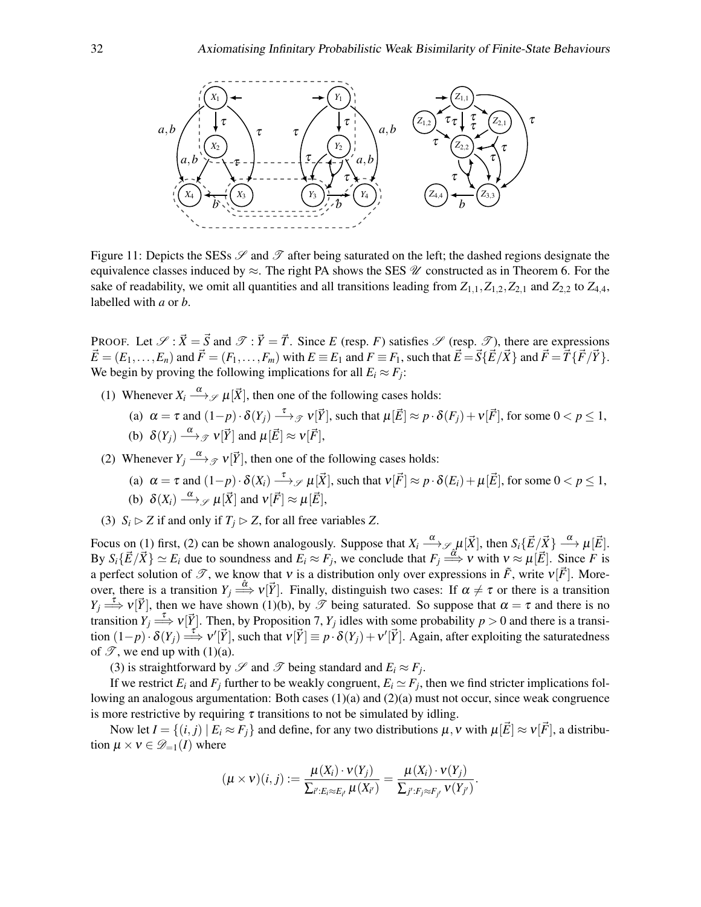<span id="page-31-0"></span>

Figure 11: Depicts the SESs  $\mathscr S$  and  $\mathscr T$  after being saturated on the left; the dashed regions designate the equivalence classes induced by  $\approx$ . The right PA shows the SES  $\mathcal U$  constructed as in [Theorem 6.](#page-30-1) For the sake of readability, we omit all quantities and all transitions leading from  $Z_{1,1}, Z_{1,2}, Z_{2,1}$  and  $Z_{2,2}$  to  $Z_{4,4}$ , labelled with *a* or *b*.

PROOF. Let  $\mathscr{S}$ :  $\vec{X} = \vec{S}$  and  $\mathscr{T}$ :  $\vec{Y} = \vec{T}$ . Since *E* (resp. *F*) satisfies  $\mathscr{S}$  (resp.  $\mathscr{T}$ ), there are expressions  $\vec{E} = (E_1, \ldots, E_n)$  and  $\vec{F} = (F_1, \ldots, F_m)$  with  $E \equiv E_1$  and  $F \equiv F_1$ , such that  $\vec{E} = \vec{S} \{\vec{E}/\vec{X}\}$  and  $\vec{F} = \vec{T} \{\vec{F}/\vec{Y}\}$ . We begin by proving the following implications for all  $E_i \approx F_j$ :

- <span id="page-31-4"></span><span id="page-31-1"></span>(1) Whenever  $X_i \stackrel{\alpha}{\longrightarrow} \mathcal{I}[\vec{X}]$ , then one of the following cases holds:
	- (a)  $\alpha = \tau$  and  $(1-p) \cdot \delta(Y_j) \stackrel{\tau}{\longrightarrow} \mathcal{I} \vee [\vec{Y}]$ , such that  $\mu[\vec{E}] \approx p \cdot \delta(F_j) + \nu[\vec{F}]$ , for some  $0 < p \le 1$ , (b)  $\delta(Y_j) \stackrel{\alpha}{\longrightarrow} {}_{\mathscr{T}} v[\vec{Y}]$  and  $\mu[\vec{E}] \approx v[\vec{F}],$
- <span id="page-31-6"></span><span id="page-31-3"></span><span id="page-31-2"></span>(2) Whenever  $Y_j \xrightarrow{\alpha} \mathcal{Y}[\vec{Y}]$ , then one of the following cases holds:
	- (a)  $\alpha = \tau$  and  $(1-p) \cdot \delta(X_i) \stackrel{\tau}{\longrightarrow} \mathcal{S} \mu[\vec{X}],$  such that  $v[\vec{F}] \approx p \cdot \delta(E_i) + \mu[\vec{E}],$  for some  $0 < p \le 1$ , (b)  $\delta(X_i) \stackrel{\alpha}{\longrightarrow} \mathcal{S} \mu[\vec{X}]$  and  $v[\vec{F}] \approx \mu[\vec{E}],$
- <span id="page-31-7"></span><span id="page-31-5"></span>(3)  $S_i \triangleright Z$  if and only if  $T_i \triangleright Z$ , for all free variables *Z*.

Focus on [\(1\)](#page-31-1) first, [\(2\)](#page-31-2) can be shown analogously. Suppose that  $X_i \xrightarrow{\alpha} \mathcal{S}_{\alpha} \mu[\vec{X}]$ , then  $S_i\{\vec{E}/\vec{X}\} \xrightarrow{\alpha} \mu[\vec{E}]$ . By  $S_i\{\vec{E}/\vec{X}\}\simeq E_i$  due to soundness and  $E_i \approx F_j$ , we conclude that  $F_j \stackrel{\delta}{\Longrightarrow} V$  with  $v \approx \mu[\vec{E}]$ . Since *F* is a perfect solution of  $\mathscr{T}$ , we know that v is a distribution only over expressions in  $\tilde{F}$ , write  $v[\vec{F}]$ . Moreover, there is a transition  $Y_j \stackrel{\hat{\alpha}}{\Longrightarrow} v[\vec{Y}]$ . Finally, distinguish two cases: If  $\alpha \neq \tau$  or there is a transition  $Y_j \stackrel{\tau}{\Longrightarrow} v[\vec{Y}]$ , then we have shown [\(1\)](#page-31-1)[\(b\),](#page-31-3) by  $\mathscr T$  being saturated. So suppose that  $\alpha = \tau$  and there is no transition  $Y_j \stackrel{\tau}{\Longrightarrow} v[\vec{Y}]$ . Then, by [Proposition 7,](#page-7-2)  $Y_j$  idles with some probability  $p > 0$  and there is a transition  $(1-p) \cdot \delta(Y_j) \stackrel{\tau}{\Longrightarrow} v'[\vec{Y}]$ , such that  $v[\vec{Y}] \equiv p \cdot \delta(Y_j) + v'[\vec{Y}]$ . Again, after exploiting the saturatedness of  $\mathscr{T}$ , we end up with [\(1\)](#page-31-1)[\(a\).](#page-31-4)

[\(3\)](#page-31-5) is straightforward by  $\mathscr S$  and  $\mathscr T$  being standard and  $E_i \approx F_j$ .

If we restrict  $E_i$  and  $F_j$  further to be weakly congruent,  $E_i \simeq F_j$ , then we find stricter implications following an analogous argumentation: Both cases [\(1\)](#page-31-1)[\(a\)](#page-31-4) and [\(2\)](#page-31-2)[\(a\)](#page-31-6) must not occur, since weak congruence is more restrictive by requiring  $\tau$  transitions to not be simulated by idling.

Now let  $I = \{(i, j) | E_i \approx F_j \}$  and define, for any two distributions  $\mu$ ,  $\nu$  with  $\mu[\vec{E}] \approx \nu[\vec{F}]$ , a distribution  $\mu \times \nu \in \mathcal{D}_{-1}(I)$  where

$$
(\mu \times \nu)(i, j) := \frac{\mu(X_i) \cdot \nu(Y_j)}{\sum_{i': E_i \approx E_{i'}} \mu(X_{i'})} = \frac{\mu(X_i) \cdot \nu(Y_j)}{\sum_{j': F_j \approx F_{j'}} \nu(Y_{j'})}.
$$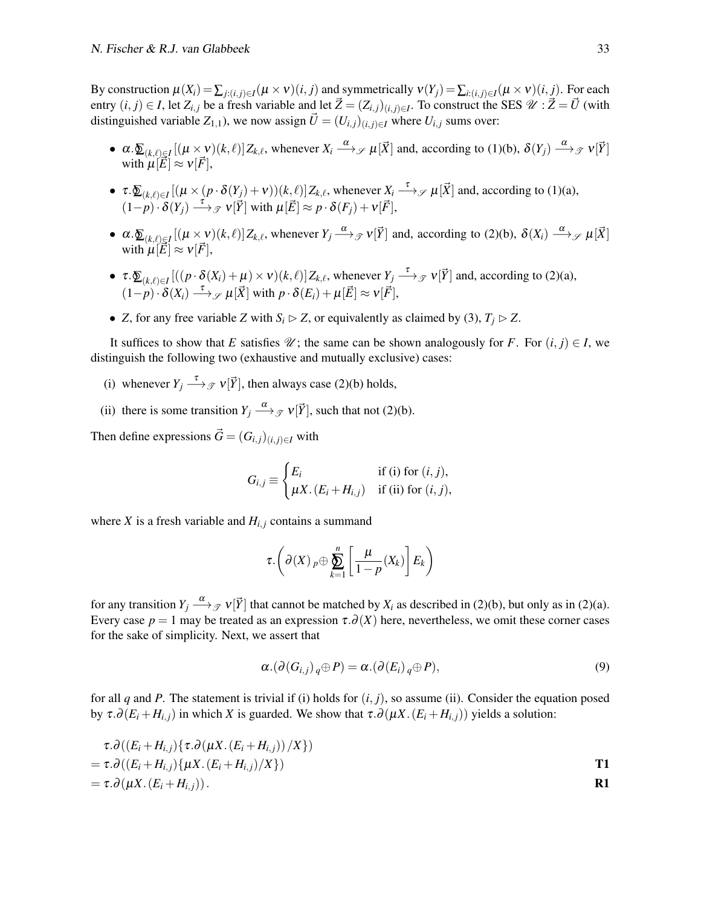By construction  $\mu(X_i) = \sum_{j:(i,j)\in I} (\mu \times v)(i,j)$  and symmetrically  $v(Y_j) = \sum_{i:(i,j)\in I} (\mu \times v)(i,j)$ . For each entry  $(i, j) \in I$ , let  $Z_{i,j}$  be a fresh variable and let  $\vec{Z} = (Z_{i,j})_{(i,j) \in I}$ . To construct the SES  $\mathcal{U}: \vec{Z} = \vec{U}$  (with distinguished variable  $Z_{1,1}$ ), we now assign  $\vec{U} = (U_{i,j})_{(i,j)\in I}$  where  $U_{i,j}$  sums over:

- $\alpha.\underline{\delta}_{(k,\ell)\in I}[(\mu\times\nu)(k,\ell)]Z_{k,\ell}$ , whenever  $X_i \stackrel{\alpha}{\longrightarrow}\mathcal{S}[\vec{X}]$  and, according to [\(1\)](#page-31-1)[\(b\),](#page-31-3)  $\delta(Y_j) \stackrel{\alpha}{\longrightarrow}\mathcal{S}[\vec{Y}]$ with  $\mu[\vec{E}] \approx v[\vec{F}],$
- $\tau \cdot \sum_{(k,\ell) \in I} [(\mu \times (p \cdot \delta(Y_j) + \nu))(k,\ell)] Z_{k,\ell}$ , whenever  $X_i \xrightarrow{\tau} \mathcal{S}$   $\mu[\vec{X}]$  and, according to [\(1\)](#page-31-1)[\(a\),](#page-31-4)  $(1-p)\cdot \delta(Y_j) \stackrel{\tau}{\longrightarrow} \mathcal{F} \mathcal{V}[\vec{Y}]$  with  $\mu[\vec{E}] \approx p \cdot \delta(F_j) + \nu[\vec{F}],$
- $\alpha.\underline{\delta}_{(k,\ell)\in I}[(\mu\times\nu)(k,\ell)]Z_{k,\ell}$ , whenever  $Y_j\stackrel{\alpha}{\longrightarrow}{}_{\mathscr{T}}v[\vec{Y}]$  and, according to [\(2\)](#page-31-2)[\(b\),](#page-31-7)  $\delta(X_i)\stackrel{\alpha}{\longrightarrow}{}_{\mathscr{T}}\mu[\vec{X}]$ with  $\mu[\vec{E}] \approx v[\vec{F}],$
- $\tau \cdot \sum_{(k,\ell) \in I} [((p \cdot \delta(X_i) + \mu) \times \nu)(k,\ell)] Z_{k,\ell}$ , whenever  $Y_j \xrightarrow{\tau} \mathcal{I}(\vec{Y})$  and, according to [\(2\)](#page-31-2)[\(a\),](#page-31-6)  $(1-p)\cdot \delta(X_i) \stackrel{\tau}{\longrightarrow} \mathcal{S} \mu[\vec{X}]$  with  $p \cdot \delta(E_i) + \mu[\vec{E}] \approx \nu[\vec{F}],$
- *Z*, for any free variable *Z* with  $S_i \triangleright Z$ , or equivalently as claimed by [\(3\),](#page-31-5)  $T_i \triangleright Z$ .

It suffices to show that *E* satisfies  $\mathcal{U}$ ; the same can be shown analogously for *F*. For  $(i, j) \in I$ , we distinguish the following two (exhaustive and mutually exclusive) cases:

- <span id="page-32-0"></span>(i) whenever  $Y_j \xrightarrow{\tau} \mathcal{I}(\vec{Y})$ , then always case [\(2\)](#page-31-2)[\(b\)](#page-31-7) holds,
- <span id="page-32-1"></span>(ii) there is some transition  $Y_j \xrightarrow{\alpha} \mathcal{Y}[\vec{Y}]$ , such that not [\(2\)](#page-31-2)[\(b\).](#page-31-7)

Then define expressions  $\vec{G} = (G_{i,j})_{(i,j)\in I}$  with

$$
G_{i,j} \equiv \begin{cases} E_i & \text{if (i) for } (i,j), \\ \mu X. (E_i + H_{i,j}) & \text{if (ii) for } (i,j), \end{cases}
$$

where *X* is a fresh variable and  $H_{i,j}$  contains a summand

$$
\tau.\left(\partial(X)\,{}_p\oplus\sum_{k=1}^n\left[\frac{\mu}{1-p}(X_k)\right]E_k\right)
$$

for any transition  $Y_j \stackrel{\alpha}{\longrightarrow} {}_{\mathscr{T}} v[\vec{Y}]$  that cannot be matched by  $X_i$  as described in [\(2\)](#page-31-2)[\(b\),](#page-31-7) but only as in (2)[\(a\).](#page-31-6) Every case  $p = 1$  may be treated as an expression  $\tau \cdot \partial(X)$  here, nevertheless, we omit these corner cases for the sake of simplicity. Next, we assert that

<span id="page-32-2"></span>
$$
\alpha.(\partial(G_{i,j})_q\oplus P)=\alpha.(\partial(E_i)_q\oplus P),\qquad(9)
$$

for all *q* and *P*. The statement is trivial if [\(i\)](#page-32-0) holds for  $(i, j)$ , so assume [\(ii\).](#page-32-1) Consider the equation posed by  $\tau \cdot \partial(E_i + H_{i,j})$  in which *X* is guarded. We show that  $\tau \cdot \partial(\mu X \cdot (E_i + H_{i,j}))$  yields a solution:

$$
\tau.\partial((E_i + H_{i,j})\{\tau.\partial(\mu X.(E_i + H_{i,j}))/X\})
$$
  
= 
$$
\tau.\partial((E_i + H_{i,j})\{\mu X.(E_i + H_{i,j})/X\})
$$

$$
= \tau \cdot \partial (\mu X . (E_i + H_{i,j})).
$$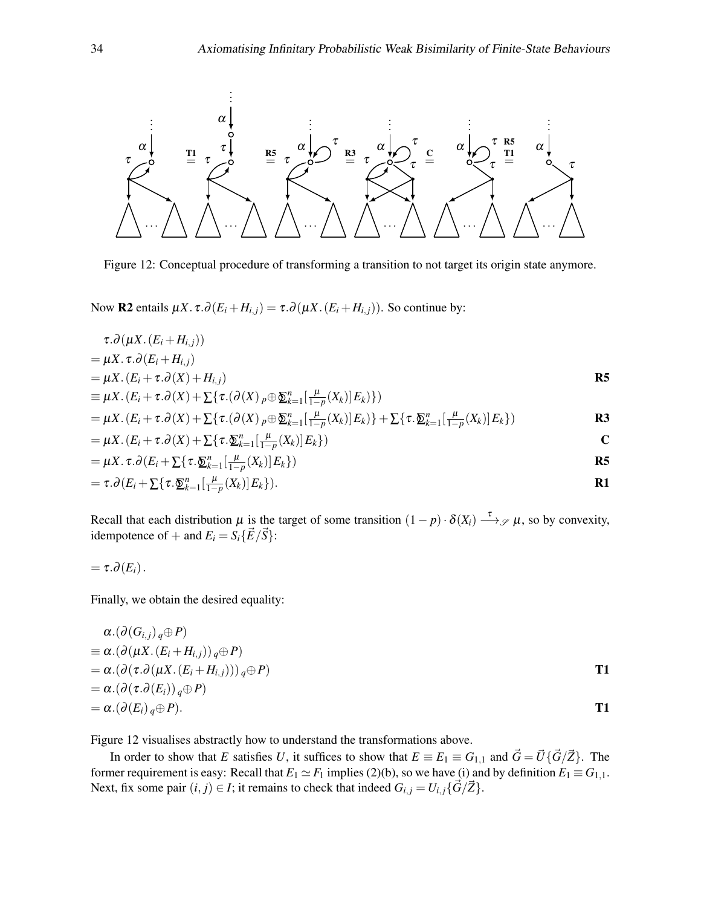<span id="page-33-0"></span>

Figure 12: Conceptual procedure of transforming a transition to not target its origin state anymore.

Now **R2** entails  $\mu X \cdot \tau \cdot \partial(E_i + H_{i,j}) = \tau \cdot \partial(\mu X \cdot (E_i + H_{i,j}))$ . So continue by:

$$
\tau.\partial(\mu X.\left(E_i+H_{i,j}\right))\n= \mu X.\,\tau.\partial(E_i+H_{i,j})
$$

$$
= \mu X. (E_i + \tau. \partial(X) + H_{i,j})
$$
  
\n
$$
\equiv \mu X. (E_i + \tau. \partial(X) + \sum \{\tau. (\partial(X)_{p} \oplus \underline{\mathfrak{D}}_{k=1}^{n} [\frac{\mu}{1-p}(X_k)] E_k)\})
$$

$$
= \mu X. (E_i + \tau. \partial(X) + \sum \{ \tau. (\partial(X)_{p} \oplus \underline{\delta}_{k=1}^{n} [\frac{\mu}{1-p}(X_k)] E_k ) \} + \sum \{ \tau. \underline{\delta}_{k=1}^{n} [\frac{\mu}{1-p}(X_k)] E_k \} )
$$

$$
= \mu X . (E_i + \tau . \partial(X) + \sum \{ \tau . \underline{\mathfrak{D}}_{k=1}^n [\frac{\mu}{1-p}(X_k)] E_k \})
$$

$$
= \mu X. \tau. \partial \left( E_i + \sum \{ \tau . \underline{\mathfrak{D}}_{k=1}^n [\frac{\mu}{1-p} (X_k)] E_k \} \right)
$$

$$
= \tau.\partial \big(E_i + \sum \{\tau.\underline{\mathfrak{D}}_{k=1}^n \big[\frac{\mu}{1-p}(X_k)\big]E_k\big\}\big).
$$

Recall that each distribution  $\mu$  is the target of some transition  $(1-p) \cdot \delta(X_i) \stackrel{\tau}{\longrightarrow} \mathcal{S} \mu$ , so by convexity, idempotence of + and  $E_i = S_i \{\vec{E}/\vec{S}\}$ :

$$
=\tau.\partial(E_i).
$$

Finally, we obtain the desired equality:

$$
\alpha.(\partial(G_{i,j})_q \oplus P)
$$
  
\n
$$
\equiv \alpha.(\partial(\mu X.(E_i + H_{i,j}))_q \oplus P)
$$
  
\n
$$
= \alpha.(\partial(\tau.\partial(\mu X.(E_i + H_{i,j})))_q \oplus P)
$$
  
\n
$$
= \alpha.(\partial(\tau.\partial(E_i))_q \oplus P)
$$
  
\n
$$
= \alpha.(\partial(E_i)_q \oplus P).
$$

[Figure 12](#page-33-0) visualises abstractly how to understand the transformations above.

In order to show that *E* satisfies *U*, it suffices to show that  $E = E_1 = G_{1,1}$  and  $\vec{G} = \vec{U} \{ \vec{G} / \vec{Z} \}$ . The former requirement is easy: Recall that  $E_1 \simeq F_1$  implies [\(2\)](#page-31-2)[\(b\),](#page-31-7) so we have [\(i\)](#page-32-0) and by definition  $E_1 \equiv G_{1,1}$ . Next, fix some pair  $(i, j) \in I$ ; it remains to check that indeed  $G_{i,j} = U_{i,j} \{\vec{G}/\vec{Z}\}$ .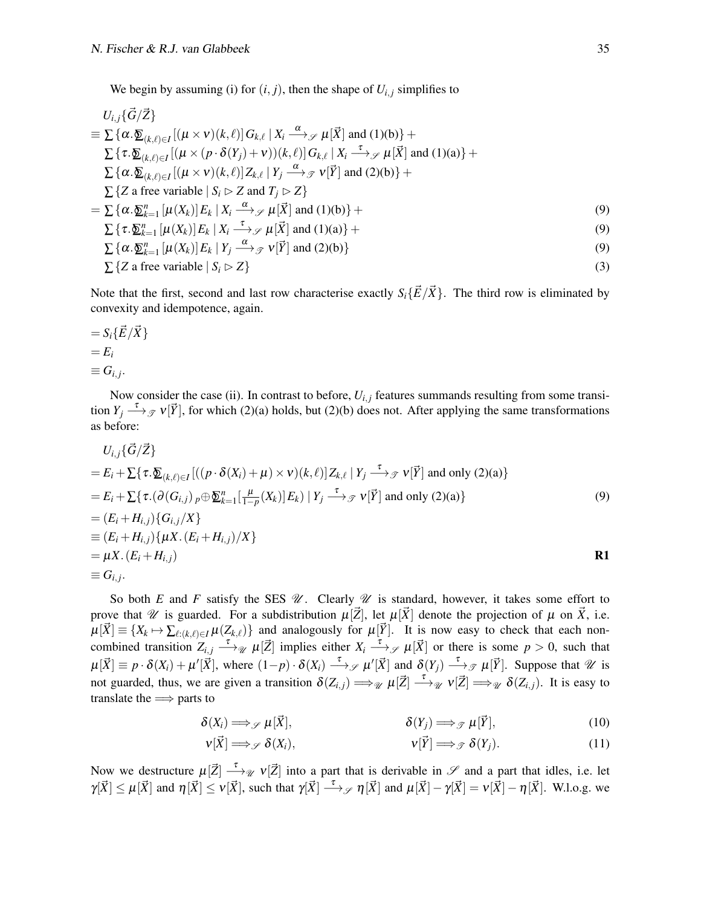We begin by assuming [\(i\)](#page-32-0) for  $(i, j)$ , then the shape of  $U_{i,j}$  simplifies to

$$
U_{i,j}\{\vec{G}/\vec{Z}\}\
$$
  
\n
$$
\equiv \sum \{\alpha.\underline{\delta}_{(k,\ell)\in I}[(\mu \times \nu)(k,\ell)]G_{k,\ell} | X_i \xrightarrow{\alpha} \mathcal{J} \mu[\vec{X}] \text{ and } (1)(b)\} +
$$
  
\n
$$
\sum \{\tau.\underline{\delta}_{(k,\ell)\in I}[(\mu \times (p \cdot \delta(Y_j) + \nu))(k,\ell)]G_{k,\ell} | X_i \xrightarrow{\tau} \mathcal{J} \mu[\vec{X}] \text{ and } (1)(a)\} +
$$
  
\n
$$
\sum \{\alpha.\underline{\delta}_{(k,\ell)\in I}[(\mu \times \nu)(k,\ell)]Z_{k,\ell} | Y_j \xrightarrow{\alpha} \mathcal{J} \nu[\vec{Y}] \text{ and } (2)(b)\} +
$$
  
\n
$$
\sum \{\alpha.\underline{\delta}_{k=1}^n [(\mu(X_k)]E_k | X_i \xrightarrow{\alpha} \mathcal{J} \mu[\vec{X}] \text{ and } (1)(b)\} +
$$
  
\n
$$
\sum \{\tau.\underline{\delta}_{k=1}^n [\mu(X_k)]E_k | X_i \xrightarrow{\tau} \mathcal{J} \mu[\vec{X}] \text{ and } (1)(b)\} +
$$
  
\n
$$
\sum \{\tau.\underline{\delta}_{k=1}^n [\mu(X_k)]E_k | X_i \xrightarrow{\tau} \mathcal{J} \mu[\vec{X}] \text{ and } (1)(a)\} +
$$
  
\n
$$
\sum \{\alpha.\underline{\delta}_{k=1}^n [\mu(X_k)]E_k | Y_j \xrightarrow{\alpha} \mathcal{J} \nu[\vec{Y}] \text{ and } (2)(b)\}
$$
  
\n
$$
\sum \{Z \text{ are variable } | S_i \triangleright Z\}
$$
  
\n(3)

Note that the first, second and last row characterise exactly  $S_i\{\vec{E}/\vec{X}\}\)$ . The third row is eliminated by convexity and idempotence, again.

$$
= S_i \{\vec{E}/\vec{X}\}
$$
  
=  $E_i$   

$$
\equiv G_{i,j}.
$$

Now consider the case [\(ii\).](#page-32-1) In contrast to before,  $U_{i,j}$  features summands resulting from some transition  $Y_j \stackrel{\tau}{\longrightarrow}$   $\mathcal{P}(\vec{Y})$ , for which [\(2\)](#page-31-2)[\(a\)](#page-31-6) holds, but (2)[\(b\)](#page-31-7) does not. After applying the same transformations as before:

$$
U_{i,j}\{\vec{G}/\vec{Z}\}
$$
  
\n
$$
= E_i + \sum \{\tau \cdot \underline{\mathcal{D}}_{(k,\ell)\in I} [((p \cdot \delta(X_i) + \mu) \times \mathbf{v})(k,\ell)] Z_{k,\ell} | Y_j \xrightarrow{\tau} \mathcal{J} \mathbf{v}[\vec{Y}] \text{ and only (2)(a)}\}
$$
  
\n
$$
= E_i + \sum \{\tau \cdot (\partial(G_{i,j})_{p} \oplus \underline{\mathcal{D}}_{k=1}^n [\frac{\mu}{1-p}(X_k)] E_k) | Y_j \xrightarrow{\tau} \mathcal{J} \mathbf{v}[\vec{Y}] \text{ and only (2)(a)}\}
$$
  
\n
$$
= (E_i + H_{i,j}) \{G_{i,j}/X\}
$$
  
\n
$$
= (E_i + H_{i,j}) \{\mu X \cdot (E_i + H_{i,j}) / X\}
$$
  
\n
$$
= \mu X \cdot (E_i + H_{i,j})
$$
  
\n
$$
= G_{i,j}.
$$

So both *E* and *F* satisfy the SES  $\mathcal{U}$ . Clearly  $\mathcal{U}$  is standard, however, it takes some effort to prove that  $\mathcal{U}$  is guarded. For a subdistribution  $\mu[\vec{Z}]$ , let  $\mu[\vec{X}]$  denote the projection of  $\mu$  on  $\vec{X}$ , i.e.  $\mu[\vec{X}] \equiv \{X_k \mapsto \sum_{\ell: (k,\ell) \in I} \mu(Z_{k,\ell})\}$  and analogously for  $\mu[\vec{Y}]$ . It is now easy to check that each noncombined transition  $Z_{i,j} \stackrel{\tau}{\longrightarrow} \mathcal{U}[\vec{Z}]$  implies either  $X_i \stackrel{\tau}{\longrightarrow} \mathcal{Y}(\vec{X})$  or there is some  $p > 0$ , such that  $\mu[\vec{X}] \equiv p \cdot \delta(X_i) + \mu'[\vec{X}]$ , where  $(1-p) \cdot \delta(X_i) \stackrel{\tau}{\longrightarrow} \mathcal{S} \mu'[\vec{X}]$  and  $\delta(Y_j) \stackrel{\tau}{\longrightarrow} \mathcal{S} \mu[\vec{Y}]$ . Suppose that  $\mathcal{U}$  is not guarded, thus, we are given a transition  $\delta(Z_{i,j}) \Longrightarrow_{\mathcal{U}} \mu[\vec{Z}] \longrightarrow_{\mathcal{U}} \nu[\vec{Z}] \Longrightarrow_{\mathcal{U}} \delta(Z_{i,j})$ . It is easy to translate the  $\Longrightarrow$  parts to

$$
\delta(X_i) \Longrightarrow_{\mathscr{S}} \mu[\vec{X}], \qquad \delta(Y_j) \Longrightarrow_{\mathscr{S}} \mu[\vec{Y}], \qquad (10)
$$

<span id="page-34-1"></span><span id="page-34-0"></span>
$$
\mathbf{v}[\vec{X}] \Longrightarrow_{\mathscr{S}} \delta(X_i), \qquad \qquad \mathbf{v}[\vec{Y}] \Longrightarrow_{\mathscr{F}} \delta(Y_j). \tag{11}
$$

Now we destructure  $\mu[\vec{Z}] \stackrel{\tau}{\longrightarrow}{}_{\mathcal{U}} \nu[\vec{Z}]$  into a part that is derivable in  $\mathcal{S}$  and a part that idles, i.e. let  $\gamma[\vec{X}] \le \mu[\vec{X}]$  and  $\eta[\vec{X}] \le \nu[\vec{X}]$ , such that  $\gamma[\vec{X}] \stackrel{\tau}{\longrightarrow}{}_{\mathscr{S}} \eta[\vec{X}]$  and  $\mu[\vec{X}] - \gamma[\vec{X}] = \nu[\vec{X}] - \eta[\vec{X}]$ . W.l.o.g. we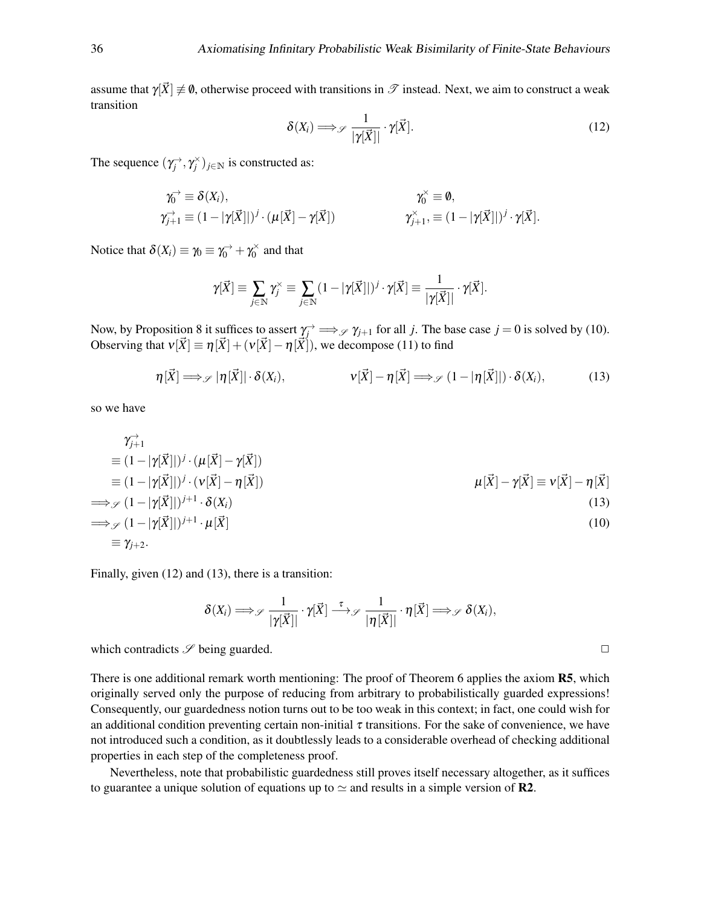<span id="page-35-1"></span>assume that  $\gamma[\vec{X}] \neq \emptyset$ , otherwise proceed with transitions in  $\mathscr T$  instead. Next, we aim to construct a weak transition

$$
\delta(X_i) \Longrightarrow_{\mathscr{S}} \frac{1}{|\gamma[\vec{X}]|} \cdot \gamma[\vec{X}]. \tag{12}
$$

The sequence  $(\gamma_j^{\rightarrow}, \gamma_j^{\times})_{j \in \mathbb{N}}$  is constructed as:

$$
\gamma_0^{\rightarrow} \equiv \delta(X_i), \qquad \qquad \gamma_0^{\times} \equiv \emptyset, \n\gamma_{j+1}^{\rightarrow} \equiv (1 - |\gamma[\vec{X}]|)^j \cdot (\mu[\vec{X}] - \gamma[\vec{X}]) \qquad \qquad \gamma_{j+1}^{\times}, \equiv (1 - |\gamma[\vec{X}]|)^j \cdot \gamma[\vec{X}].
$$

Notice that  $\delta(X_i) \equiv \gamma_0 \equiv \gamma_0^{\rightarrow} + \gamma_0^{\times}$  $y_0^{\times}$  and that

$$
\gamma[\vec{X}] \equiv \sum_{j \in \mathbb{N}} \gamma_j^{\times} \equiv \sum_{j \in \mathbb{N}} (1 - |\gamma[\vec{X}]|)^j \cdot \gamma[\vec{X}] \equiv \frac{1}{|\gamma[\vec{X}]|} \cdot \gamma[\vec{X}].
$$

Now, by [Proposition 8](#page-7-1) it suffices to assert  $\gamma_j \to \mathcal{S} \gamma_{j+1}$  for all *j*. The base case  $j = 0$  is solved by [\(10\)](#page-34-0). Observing that  $v[\vec{X}] = \eta[\vec{X}] + (v[\vec{X}] - \eta[\vec{X}])$ , we decompose [\(11\)](#page-34-1) to find

$$
\eta[\vec{X}] \Longrightarrow_{\mathscr{S}} |\eta[\vec{X}]| \cdot \delta(X_i), \qquad \qquad \mathsf{v}[\vec{X}] - \eta[\vec{X}] \Longrightarrow_{\mathscr{S}} (1 - |\eta[\vec{X}]|) \cdot \delta(X_i), \qquad (13)
$$

so we have

$$
\gamma_{j+1}^2
$$
\n
$$
\equiv (1 - |\gamma[\vec{X}]|)^j \cdot (\mu[\vec{X}] - \gamma[\vec{X}])
$$
\n
$$
\equiv (1 - |\gamma[\vec{X}]|)^j \cdot (\nu[\vec{X}] - \eta[\vec{X}])
$$
\n
$$
\Longrightarrow_{\mathscr{S}} (1 - |\gamma[\vec{X}]|)^{j+1} \cdot \delta(X_i)
$$
\n
$$
\Longrightarrow_{\mathscr{S}} (1 - |\gamma[\vec{X}]|)^{j+1} \cdot \mu[\vec{X}]
$$
\n
$$
\equiv \gamma_{j+2}.
$$
\n(10)

Finally, given [\(12\)](#page-35-1) and [\(13\)](#page-35-0), there is a transition:

$$
\delta(X_i) \Longrightarrow_{\mathscr{S}} \frac{1}{|\gamma[\vec{X}]|} \cdot \gamma[\vec{X}] \stackrel{\tau}{\longrightarrow}_{\mathscr{S}} \frac{1}{|\eta[\vec{X}]|} \cdot \eta[\vec{X}] \Longrightarrow_{\mathscr{S}} \delta(X_i),
$$

which contradicts  $\mathscr S$  being guarded.  $\Box$ 

There is one additional remark worth mentioning: The proof of [Theorem 6](#page-30-1) applies the axiom **R5**, which originally served only the purpose of reducing from arbitrary to probabilistically guarded expressions! Consequently, our guardedness notion turns out to be too weak in this context; in fact, one could wish for an additional condition preventing certain non-initial  $\tau$  transitions. For the sake of convenience, we have not introduced such a condition, as it doubtlessly leads to a considerable overhead of checking additional properties in each step of the completeness proof.

Nevertheless, note that probabilistic guardedness still proves itself necessary altogether, as it suffices to guarantee a unique solution of equations up to  $\simeq$  and results in a simple version of **R2**.

<span id="page-35-0"></span>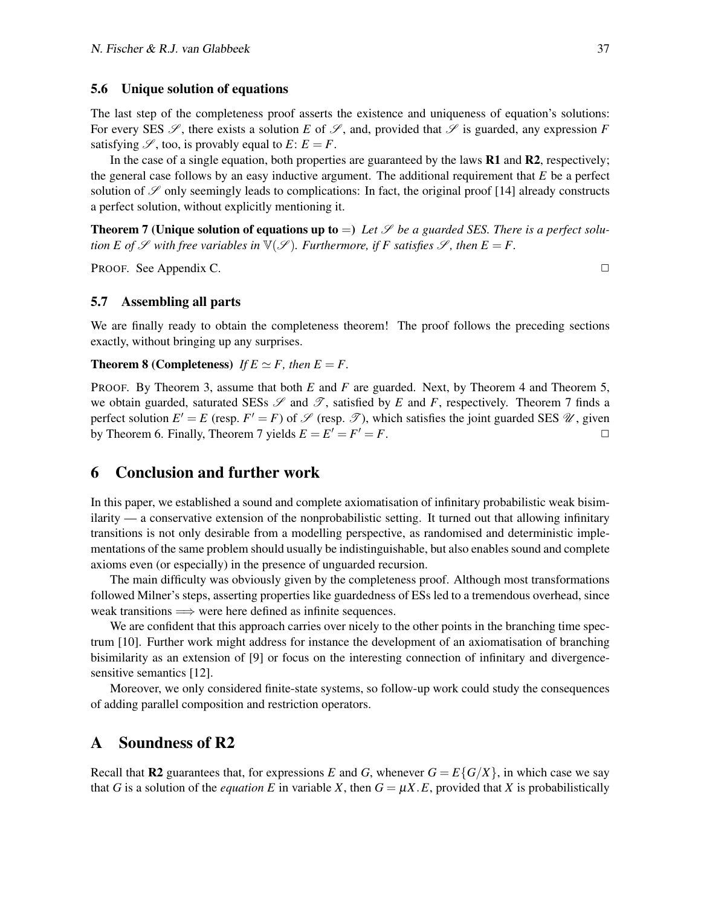#### 5.6 Unique solution of equations

The last step of the completeness proof asserts the existence and uniqueness of equation's solutions: For every SES  $\mathscr S$ , there exists a solution *E* of  $\mathscr S$ , and, provided that  $\mathscr S$  is guarded, any expression *F* satisfying  $\mathscr{S}$ , too, is provably equal to  $E: E = F$ .

In the case of a single equation, both properties are guaranteed by the laws **R1** and **R2**, respectively; the general case follows by an easy inductive argument. The additional requirement that *E* be a perfect solution of  $\mathscr S$  only seemingly leads to complications: In fact, the original proof [\[14\]](#page-50-4) already constructs a perfect solution, without explicitly mentioning it.

<span id="page-36-2"></span>**Theorem 7 (Unique solution of equations up to**  $=$ ) Let  $\mathscr S$  be a guarded SES. There is a perfect solu*tion E of*  $\mathscr S$  *with free variables in*  $\mathbb V(\mathscr S)$ *. Furthermore, if F satisfies*  $\mathscr S$ *, then*  $E = F$ *.* 

PROOF. See [Appendix C.](#page-47-0) ◯

5.7 Assembling all parts

We are finally ready to obtain the completeness theorem! The proof follows the preceding sections exactly, without bringing up any surprises.

#### **Theorem 8 (Completeness)** *If*  $E \simeq F$ *, then*  $E = F$ *.*

PROOF. By [Theorem 3,](#page-19-1) assume that both *E* and *F* are guarded. Next, by [Theorem 4](#page-22-4) and [Theorem 5,](#page-29-0) we obtain guarded, saturated SESs  $\mathscr S$  and  $\mathscr T$ , satisfied by *E* and *F*, respectively. [Theorem 7](#page-36-2) finds a perfect solution  $E' = E$  (resp.  $F' = F$ ) of  $\mathscr S$  (resp.  $\mathscr T$ ), which satisfies the joint guarded SES  $\mathscr U$ , given by [Theorem 6.](#page-30-1) Finally, [Theorem 7](#page-36-2) yields  $E = E' = F' = F$ .

# <span id="page-36-0"></span>6 Conclusion and further work

In this paper, we established a sound and complete axiomatisation of infinitary probabilistic weak bisimilarity — a conservative extension of the nonprobabilistic setting. It turned out that allowing infinitary transitions is not only desirable from a modelling perspective, as randomised and deterministic implementations of the same problem should usually be indistinguishable, but also enables sound and complete axioms even (or especially) in the presence of unguarded recursion.

The main difficulty was obviously given by the completeness proof. Although most transformations followed Milner's steps, asserting properties like guardedness of ESs led to a tremendous overhead, since weak transitions  $\Longrightarrow$  were here defined as infinite sequences.

We are confident that this approach carries over nicely to the other points in the branching time spectrum [\[10\]](#page-50-1). Further work might address for instance the development of an axiomatisation of branching bisimilarity as an extension of [\[9\]](#page-50-2) or focus on the interesting connection of infinitary and divergencesensitive semantics [\[12\]](#page-50-3).

Moreover, we only considered finite-state systems, so follow-up work could study the consequences of adding parallel composition and restriction operators.

# <span id="page-36-1"></span>A Soundness of R2

Recall that **R2** guarantees that, for expressions *E* and *G*, whenever  $G = E\{G/X\}$ , in which case we say that *G* is a solution of the *equation E* in variable *X*, then  $G = \mu X.E$ , provided that *X* is probabilistically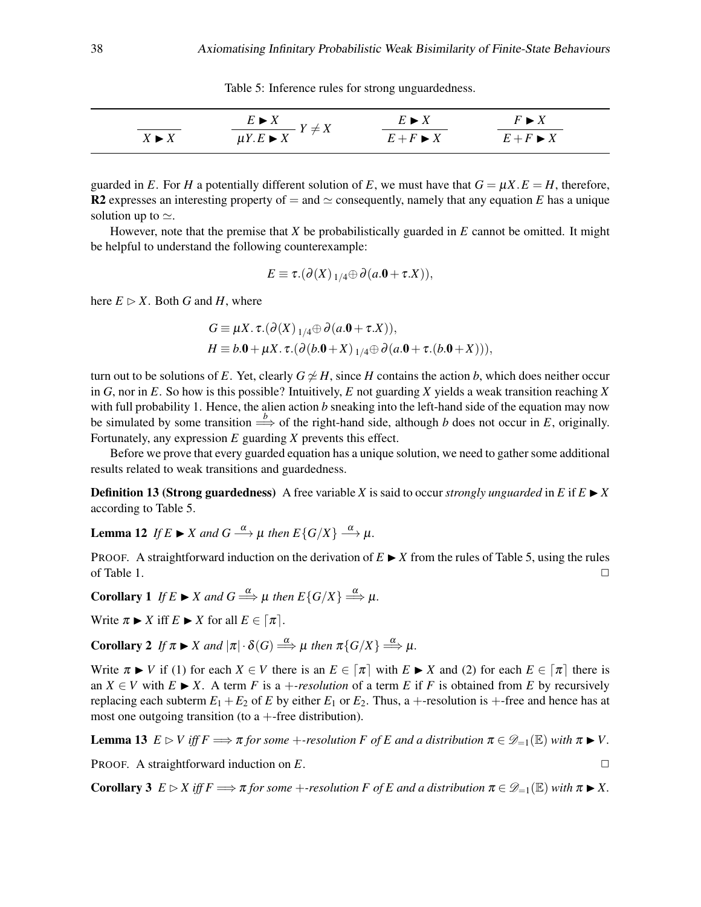Table 5: Inference rules for strong unguardedness.

<span id="page-37-0"></span>

|                      | $E \triangleright X$                           | $E \triangleright X$     | $F \blacktriangleright X$ |  |
|----------------------|------------------------------------------------|--------------------------|---------------------------|--|
| $X \triangleright X$ | $+ \Lambda$<br>$\mu Y.E \blacktriangleright X$ | $E + F \triangleright X$ | $E + F \triangleright X$  |  |

guarded in *E*. For *H* a potentially different solution of *E*, we must have that  $G = \mu X.E = H$ , therefore, R2 expresses an interesting property of  $=$  and  $\simeq$  consequently, namely that any equation *E* has a unique solution up to  $\simeq$ .

However, note that the premise that *X* be probabilistically guarded in *E* cannot be omitted. It might be helpful to understand the following counterexample:

$$
E \equiv \tau.(\partial(X)_{1/4} \oplus \partial(a.0 + \tau.X)),
$$

here  $E \triangleright X$ . Both *G* and *H*, where

$$
G \equiv \mu X. \tau. (\partial(X)_{1/4} \oplus \partial(a.0 + \tau.X)),
$$
  
\n
$$
H \equiv b.0 + \mu X. \tau. (\partial(b.0 + X)_{1/4} \oplus \partial(a.0 + \tau.(b.0 + X))),
$$

turn out to be solutions of *E*. Yet, clearly  $G \not\cong H$ , since *H* contains the action *b*, which does neither occur in *G*, nor in *E*. So how is this possible? Intuitively, *E* not guarding *X* yields a weak transition reaching *X* with full probability 1. Hence, the alien action *b* sneaking into the left-hand side of the equation may now be simulated by some transition  $\Rightarrow$  of the right-hand side, although *b* does not occur in *E*, originally. Fortunately, any expression *E* guarding *X* prevents this effect.

Before we prove that every guarded equation has a unique solution, we need to gather some additional results related to weak transitions and guardedness.

**Definition 13 (Strong guardedness)** A free variable *X* is said to occur *strongly unguarded* in *E* if  $E \triangleright X$ according to [Table 5.](#page-37-0)

<span id="page-37-2"></span>**Lemma 12** *If*  $E \triangleright X$  *and*  $G \stackrel{\alpha}{\longrightarrow} \mu$  *then*  $E\{G/X\} \stackrel{\alpha}{\longrightarrow} \mu$ *.* 

PROOF. A straightforward induction on the derivation of  $E \triangleright X$  from the rules of [Table 5,](#page-37-0) using the rules of [Table 1.](#page-4-0)  $\Box$ 

**Corollary 1** If  $E \triangleright X$  and  $G \stackrel{\alpha}{\Longrightarrow} \mu$  then  $E\{G/X\} \stackrel{\alpha}{\Longrightarrow} \mu$ .

Write  $\pi \triangleright X$  iff  $E \triangleright X$  for all  $E \in [\pi]$ .

<span id="page-37-3"></span>**Corollary 2** If  $\pi \triangleright X$  and  $|\pi| \cdot \delta(G) \stackrel{\alpha}{\Longrightarrow} \mu$  then  $\pi\{G/X\} \stackrel{\alpha}{\Longrightarrow} \mu$ .

Write  $\pi \triangleright V$  if (1) for each  $X \in V$  there is an  $E \in [\pi]$  with  $E \triangleright X$  and (2) for each  $E \in [\pi]$  there is an  $X \in V$  with  $E \triangleright X$ . A term *F* is a +*-resolution* of a term *E* if *F* is obtained from *E* by recursively replacing each subterm  $E_1 + E_2$  of *E* by either  $E_1$  or  $E_2$ . Thus, a +-resolution is +-free and hence has at most one outgoing transition (to  $a +$ -free distribution).

**Lemma 13**  $E \triangleright V$  *iff*  $F \Longrightarrow \pi$  *for some* +*-resolution*  $F$  *of*  $E$  *and a* distribution  $\pi \in \mathcal{D}_{-1}(\mathbb{E})$  *with*  $\pi \triangleright V$ .

PROOF. A straightforward induction on *E*.

<span id="page-37-1"></span>**Corollary 3**  $E \triangleright X$  *iff*  $F \Longrightarrow \pi$  *for some* +*-resolution*  $F$  *of*  $E$  *and a* distribution  $\pi \in \mathcal{D}_{-1}(\mathbb{E})$  *with*  $\pi \triangleright X$ .

$$
\overline{a}
$$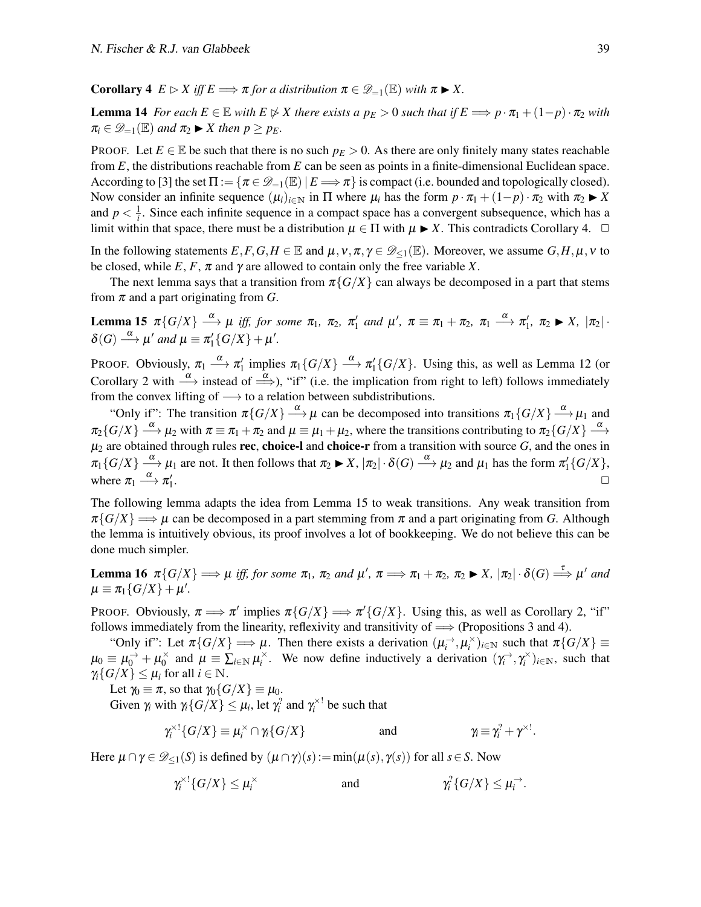**Corollary 4**  $E \triangleright X$  *iff*  $E \Longrightarrow \pi$  *for a distribution*  $\pi \in \mathscr{D}_{-1}(\mathbb{E})$  *with*  $\pi \triangleright X$ .

<span id="page-38-2"></span>**Lemma 14** For each  $E \in \mathbb{E}$  with  $E \not\triangleright X$  there exists a  $p_E > 0$  such that if  $E \implies p \cdot \pi_1 + (1-p) \cdot \pi_2$  with  $\pi_i \in \mathscr{D}_{-1}(\mathbb{E})$  *and*  $\pi_2 \triangleright X$  *then*  $p \geq p_E$ *.* 

PROOF. Let  $E \in \mathbb{E}$  be such that there is no such  $p_E > 0$ . As there are only finitely many states reachable from *E*, the distributions reachable from *E* can be seen as points in a finite-dimensional Euclidean space. According to [\[3\]](#page-49-4) the set  $\Pi := \{ \pi \in \mathcal{D}_{=1}(\mathbb{E}) \mid E \Longrightarrow \pi \}$  is compact (i.e. bounded and topologically closed). Now consider an infinite sequence  $(\mu_i)_{i \in \mathbb{N}}$  in  $\Pi$  where  $\mu_i$  has the form  $p \cdot \pi_1 + (1-p) \cdot \pi_2$  with  $\pi_2 \triangleright X$ and  $p < \frac{1}{i}$ . Since each infinite sequence in a compact space has a convergent subsequence, which has a limit within that space, there must be a distribution  $\mu \in \Pi$  with  $\mu \blacktriangleright X$ . This contradicts [Corollary 4.](#page-37-1)  $\Box$ 

In the following statements  $E, F, G, H \in \mathbb{E}$  and  $\mu, \nu, \pi, \gamma \in \mathcal{D}_{\leq 1}(\mathbb{E})$ . Moreover, we assume  $G, H, \mu, \nu$  to be closed, while  $E, F, \pi$  and  $\gamma$  are allowed to contain only the free variable X.

The next lemma says that a transition from  $\pi\{G/X\}$  can always be decomposed in a part that stems from  $\pi$  and a part originating from *G*.

<span id="page-38-0"></span>Lemma 15  $\pi\{G/X\} \stackrel{\alpha}{\longrightarrow} \mu$  *iff, for some*  $\pi_1$ ,  $\pi_2$ ,  $\pi'_1$  and  $\mu'$ ,  $\pi \equiv \pi_1 + \pi_2$ ,  $\pi_1 \stackrel{\alpha}{\longrightarrow} \pi'_1$ ,  $\pi_2 \blacktriangleright X$ ,  $|\pi_2|$ .  $\delta(G) \stackrel{\alpha}{\longrightarrow} \mu'$  and  $\mu \equiv \pi'_1 \{ G/X \} + \mu'.$ 

PROOF. Obviously,  $\pi_1 \stackrel{\alpha}{\longrightarrow} \pi'_1$  implies  $\pi_1\{G/X\} \stackrel{\alpha}{\longrightarrow} \pi'_1\{G/X\}$ . Using this, as well as [Lemma 12](#page-37-2) (or [Corollary 2](#page-37-3) with  $\stackrel{\alpha}{\longrightarrow}$  instead of  $\stackrel{\alpha}{\Longrightarrow}$ ), "if" (i.e. the implication from right to left) follows immediately from the convex lifting of  $\longrightarrow$  to a relation between subdistributions.

"Only if": The transition  $\pi\{G/X\} \stackrel{\alpha}{\longrightarrow} \mu$  can be decomposed into transitions  $\pi_1\{G/X\} \stackrel{\alpha}{\longrightarrow} \mu_1$  and  $\pi_2\{G/X\} \stackrel{\alpha}{\longrightarrow} \mu_2$  with  $\pi \equiv \pi_1 + \pi_2$  and  $\mu \equiv \mu_1 + \mu_2$ , where the transitions contributing to  $\pi_2\{G/X\} \stackrel{\alpha}{\longrightarrow}$  $\mu_2$  are obtained through rules rec, choice-l and choice-r from a transition with source  $G$ , and the ones in  $\pi_1\{G/X\} \stackrel{\alpha}{\longrightarrow} \mu_1$  are not. It then follows that  $\pi_2 \blacktriangleright X$ ,  $|\pi_2| \cdot \delta(G) \stackrel{\alpha}{\longrightarrow} \mu_2$  and  $\mu_1$  has the form  $\pi_1'\{G/X\}$ , where  $\pi_1 \stackrel{\alpha}{\longrightarrow} \pi_1'$ . □

The following lemma adapts the idea from [Lemma 15](#page-38-0) to weak transitions. Any weak transition from  $\pi\{G/X\} \Longrightarrow \mu$  can be decomposed in a part stemming from  $\pi$  and a part originating from *G*. Although the lemma is intuitively obvious, its proof involves a lot of bookkeeping. We do not believe this can be done much simpler.

<span id="page-38-1"></span>Lemma 16  $\pi\{G/X\} \Longrightarrow \mu$  iff, for some  $\pi_1$ ,  $\pi_2$  and  $\mu'$ ,  $\pi \Longrightarrow \pi_1 + \pi_2$ ,  $\pi_2 \blacktriangleright X$ ,  $|\pi_2| \cdot \delta(G) \stackrel{\tau}{\Longrightarrow} \mu'$  and  $\mu \equiv \pi_1 \{ G/X \} + \mu'.$ 

PROOF. Obviously,  $\pi \Longrightarrow \pi'$  implies  $\pi\{G/X\} \Longrightarrow \pi'\{G/X\}$ . Using this, as well as [Corollary 2,](#page-37-3) "if" follows immediately from the linearity, reflexivity and transitivity of  $\implies$  (Propositions [3](#page-6-5) and [4\)](#page-6-7).

"Only if": Let  $\pi\{G/X\} \Longrightarrow \mu$ . Then there exists a derivation  $(\mu_i^{\rightarrow}, \mu_i^{\times})_{i \in \mathbb{N}}$  such that  $\pi\{G/X\} \equiv$  $\mu_0 \equiv \mu_0^{\rightarrow} + \mu_0^{\times}$  $\sum_{i=0}^{\infty}$  and  $\mu \equiv \sum_{i\in\mathbb{N}} \mu_i^{\times}$ . We now define inductively a derivation  $(\gamma_i^{\rightarrow}, \gamma_i^{\times})_{i\in\mathbb{N}}$ , such that  $\gamma_i\{G/X\} \leq \mu_i$  for all  $i \in \mathbb{N}$ .

Let  $\gamma_0 \equiv \pi$ , so that  $\gamma_0 \{ G/X \} \equiv \mu_0$ .

Given  $\gamma_i$  with  $\gamma_i \{G/X\} \leq \mu_i$ , let  $\gamma_i^2$  and  $\gamma_i^{\times 1}$  be such that

$$
\gamma_i^{\times 1} \{ G/X \} \equiv \mu_i^{\times} \cap \gamma_i \{ G/X \} \qquad \text{and} \qquad \gamma_i \equiv \gamma_i^2 + \gamma^{\times 1}.
$$

Here  $\mu \cap \gamma \in \mathcal{D}_{\leq 1}(S)$  is defined by  $(\mu \cap \gamma)(s) := \min(\mu(s), \gamma(s))$  for all  $s \in S$ . Now

$$
\gamma_i^{\times 1} \{ G/X \} \le \mu_i^{\times} \qquad \text{and} \qquad \gamma_i^2 \{ G/X \} \le \mu_i^{\rightarrow}.
$$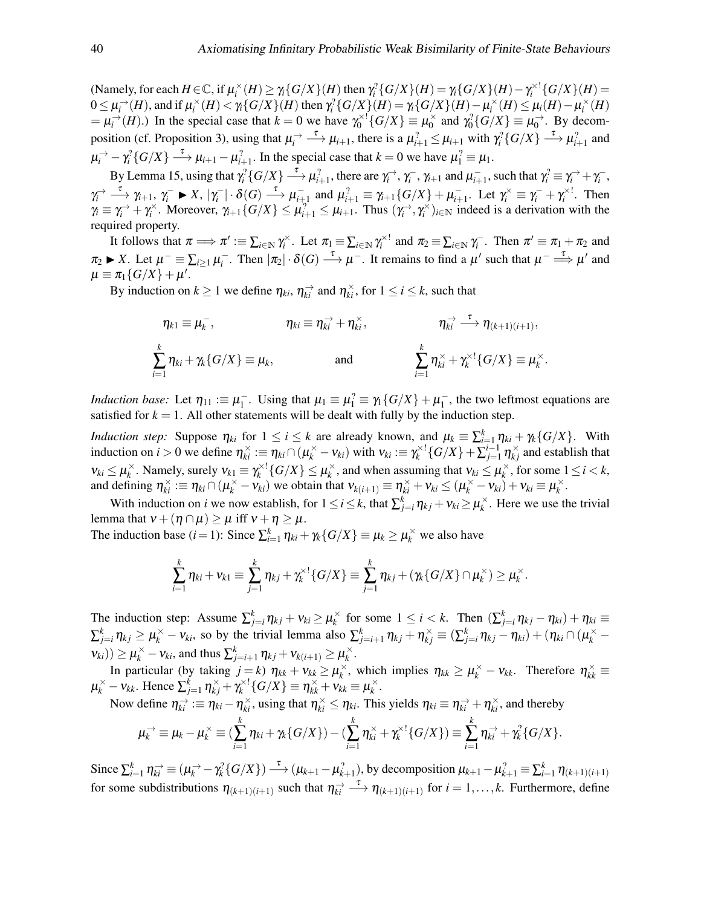(Namely, for each  $H \in \mathbb{C}$ , if  $\mu_i^{\times}(H) \ge \gamma_i \{ G/X \}(H)$  then  $\gamma_i^2 \{ G/X \}(H) = \gamma_i \{ G/X \}(H) - \gamma_i^{\times 1} \{ G/X \}(H) =$  $0 \leq \mu_i^{\rightarrow}(H)$ , and if  $\mu_i^{\times}(H) < \gamma_i\{G/X\}(H)$  then  $\gamma_i^2\{G/X\}(H) = \gamma_i\{G/X\}(H) - \mu_i^{\times}(H) \leq \mu_i(H) - \mu_i^{\times}(H)$  $= \mu_i^{\rightarrow}(H)$ .) In the special case that  $k = 0$  we have  $\gamma_0^{\times 1} \{ G/X \} \equiv \mu_0^{\times 1}$  $\chi_0^{\times}$  and  $\gamma_0^2\{G/X\} \equiv \mu_0^{\rightarrow}$ . By decom-position (cf. [Proposition 3\)](#page-6-5), using that  $\mu_i^{\to} \longrightarrow \mu_{i+1}$ , there is a  $\mu_{i+1}^2 \leq \mu_{i+1}$  with  $\gamma_i^2 \{ G/X \} \longrightarrow \mu_{i+1}^2$  and  $\mu_i^{\rightarrow} - \gamma_i^2 \{ G/X \} \stackrel{\tau}{\longrightarrow} \mu_{i+1} - \mu_{i+1}^2$ . In the special case that  $k = 0$  we have  $\mu_1^2 \equiv \mu_1$ .

By [Lemma 15,](#page-38-0) using that  $\gamma_i^2 \{ G/X \} \stackrel{\tau}{\longrightarrow} \mu_{i+1}^2$ , there are  $\gamma_i^{\rightarrow}$ ,  $\gamma_i^{\rightarrow}$ ,  $\gamma_{i+1}$  and  $\mu_{i+1}^{\rightarrow}$ , such that  $\gamma_i^2 \equiv \gamma_i^{\rightarrow} + \gamma_i^{\rightarrow}$ ,  $\gamma_i^{\rightarrow} \longrightarrow \gamma_{i+1}, \gamma_i^{-} \blacktriangleright X, |\gamma_i^{-}| \cdot \delta(G) \longrightarrow \mu_{i+1}^{-}$  and  $\mu_{i+1}^{2} \equiv \gamma_{i+1} \{ G/X \} + \mu_{i+1}^{-}$ . Let  $\gamma_i^{\times} \equiv \gamma_i^{-} + \gamma_i^{\times}!$ . Then  $\gamma_i \equiv \gamma_i^{\rightarrow} + \gamma_i^{\times}$ . Moreover,  $\gamma_{i+1} \{ G/X \} \le \mu_{i+1}^2 \le \mu_{i+1}$ . Thus  $(\gamma_i^{\rightarrow}, \gamma_i^{\times})_{i \in \mathbb{N}}$  indeed is a derivation with the required property.

It follows that  $\pi \Longrightarrow \pi' := \sum_{i \in \mathbb{N}} \gamma_i^{\times}$ . Let  $\pi_1 = \sum_{i \in \mathbb{N}} \gamma_i^{\times!}$  and  $\pi_2 = \sum_{i \in \mathbb{N}} \gamma_i^-$ . Then  $\pi' \equiv \pi_1 + \pi_2$  and  $\pi_2 \blacktriangleright X$ . Let  $\mu^- \equiv \sum_{i \geq 1} \mu_i^-$ . Then  $|\pi_2| \cdot \delta(G) \stackrel{\tau}{\longrightarrow} \mu^-$ . It remains to find a  $\mu'$  such that  $\mu^- \stackrel{\tau}{\Longrightarrow} \mu'$  and  $\mu \equiv \pi_1 \{ G/X \} + \mu'.$ 

By induction on  $k \ge 1$  we define  $\eta_{ki}$ ,  $\eta_{ki}^{\rightarrow}$  and  $\eta_{ki}^{\times}$ , for  $1 \le i \le k$ , such that

$$
\eta_{k1} \equiv \mu_k^-, \qquad \eta_{ki} \equiv \eta_{ki}^{\rightarrow} + \eta_{ki}^{\times}, \qquad \eta_{ki}^{\rightarrow} \xrightarrow{\tau} \eta_{(k+1)(i+1)},
$$
  

$$
\sum_{i=1}^k \eta_{ki} + \gamma_k \{G/X\} \equiv \mu_k, \qquad \text{and} \qquad \sum_{i=1}^k \eta_{ki}^{\times} + \gamma_k^{\times 1} \{G/X\} \equiv \mu_k^{\times}.
$$

*Induction base:* Let  $\eta_{11} := \mu_1^ \frac{1}{1}$ . Using that  $\mu_1 \equiv \mu_1^2 \equiv \gamma_1 \{ G/X \} + \mu_1^{-2}$  $\frac{1}{1}$ , the two leftmost equations are satisfied for  $k = 1$ . All other statements will be dealt with fully by the induction step.

*Induction step:* Suppose  $\eta_{ki}$  for  $1 \le i \le k$  are already known, and  $\mu_k \equiv \sum_{i=1}^k \eta_{ki} + \gamma_k \{G/X\}$ . With induction on  $i > 0$  we define  $\eta_{ki}^{\times} := \eta_{ki} \cap (\mu_k^{\times} - \nu_{ki})$  with  $\nu_{ki} := \gamma_k^{\times 1} \{ G/X \} + \sum_{j=1}^{i-1} \eta_{kj}^{\times}$  and establish that  $v_{ki} \leq \mu_k^{\times}$  $\chi_k^{\times}$ . Namely, surely  $v_{k1} \equiv \gamma_k^{\times 1} \{ G/X \} \le \mu_k^{\times}$  $\kappa_k^{\times}$ , and when assuming that  $v_{ki} \leq \mu_k^{\times}$  $\chi_k^{\times}$ , for some  $1 \leq i \leq k$ , and defining  $\eta_{ki}^{\times} := \eta_{ki} \cap (\mu_k^{\times} - \nu_{ki})$  we obtain that  $\nu_{k(i+1)} \equiv \eta_{ki}^{\times} + \nu_{ki} \leq (\mu_k^{\times} - \nu_{ki}) + \nu_{ki} \equiv \mu_k^{\times}$  $\frac{\times}{k}$ .

With induction on *i* we now establish, for  $1 \le i \le k$ , that  $\sum_{j=i}^{k} \eta_{kj} + v_{ki} \ge \mu_k^{\times}$  $\chi^{\times}$ . Here we use the trivial lemma that  $v + (\eta \cap \mu) \ge \mu$  iff  $v + \eta \ge \mu$ .

The induction base  $(i = 1)$ : Since  $\sum_{i=1}^{k} \eta_{ki} + \gamma_k \{G/X\} \equiv \mu_k \ge \mu_k^{\times}$  we also have

$$
\sum_{i=1}^k \eta_{ki} + v_{k1} \equiv \sum_{j=1}^k \eta_{kj} + \gamma_k^{\times 1} \{G/X\} \equiv \sum_{j=1}^k \eta_{kj} + (\gamma_k \{G/X\} \cap \mu_k^{\times}) \geq \mu_k^{\times}.
$$

The induction step: Assume  $\sum_{j=i}^{k} \eta_{kj} + v_{ki} \ge \mu_k^{\times}$  $\sum_{k}^{\times}$  for some  $1 \leq i < k$ . Then  $\left(\sum_{j=i}^{k} \eta_{kj} - \eta_{ki}\right) + \eta_{ki} \equiv$  $\sum_{j=i}^k \eta_{kj} \ge \mu_k^{\times} - \nu_{ki}$ , so by the trivial lemma also  $\sum_{j=i+1}^k \eta_{kj} + \eta_{kj}^{\times} \equiv (\sum_{j=i}^k \eta_{kj} - \eta_{ki}) + (\eta_{ki} \cap (\mu_k^{\times} - \mu_{kj}))$  $(v_{ki})) \geq \mu_k^{\times} - v_{ki}$ , and thus  $\sum_{j=i+1}^{k} \eta_{kj} + v_{k(i+1)} \geq \mu_k^{\times}$  $\frac{\times}{k}$ .

In particular (by taking  $j = k$ )  $\eta_{kk} + v_{kk} \ge \mu_k^{\times}$  $\chi_k^{\times}$ , which implies  $\eta_{kk} \ge \mu_k^{\times} - \nu_{kk}$ . Therefore  $\eta_{kk}^{\times} \equiv$  $\mu_k^{\times} - \nu_{kk}$ . Hence  $\sum_{j=1}^k \eta_{kj}^{\times} + \gamma_k^{\times!} \{ G/X \} \equiv \eta_{kk}^{\times} + \nu_{kk}^{\times} \equiv \mu_k^{\times}$  $\frac{\times}{k}$  .

Now define  $\eta_{ki}^{\rightarrow} := \eta_{ki} - \eta_{ki}^{\times}$ , using that  $\eta_{ki}^{\times} \leq \eta_{ki}$ . This yields  $\eta_{ki} \equiv \eta_{ki}^{\rightarrow} + \eta_{ki}^{\times}$ , and thereby

$$
\mu_k^{\rightarrow} \equiv \mu_k - \mu_k^{\times} \equiv (\sum_{i=1}^k \eta_{ki} + \gamma_k \{G/X\}) - (\sum_{i=1}^k \eta_{ki}^{\times} + \gamma_k^{\times 1} \{G/X\}) \equiv \sum_{i=1}^k \eta_{ki}^{\rightarrow} + \gamma_k^2 \{G/X\}.
$$

Since  $\sum_{i=1}^{k} \eta_{ki}^{\to} \equiv (\mu_{k}^{\to} - \gamma_{k}^{?} \{ G/X \}) \stackrel{\tau}{\longrightarrow} (\mu_{k+1} - \mu_{k+1}^{?})$ , by decomposition  $\mu_{k+1} - \mu_{k+1}^{?} \equiv \sum_{i=1}^{k} \eta_{(k+1)(i+1)}$ for some subdistributions  $\eta_{(k+1)(i+1)}$  such that  $\eta_{ki} \stackrel{\rightarrow}{\longrightarrow} \eta_{(k+1)(i+1)}$  for  $i = 1, ..., k$ . Furthermore, define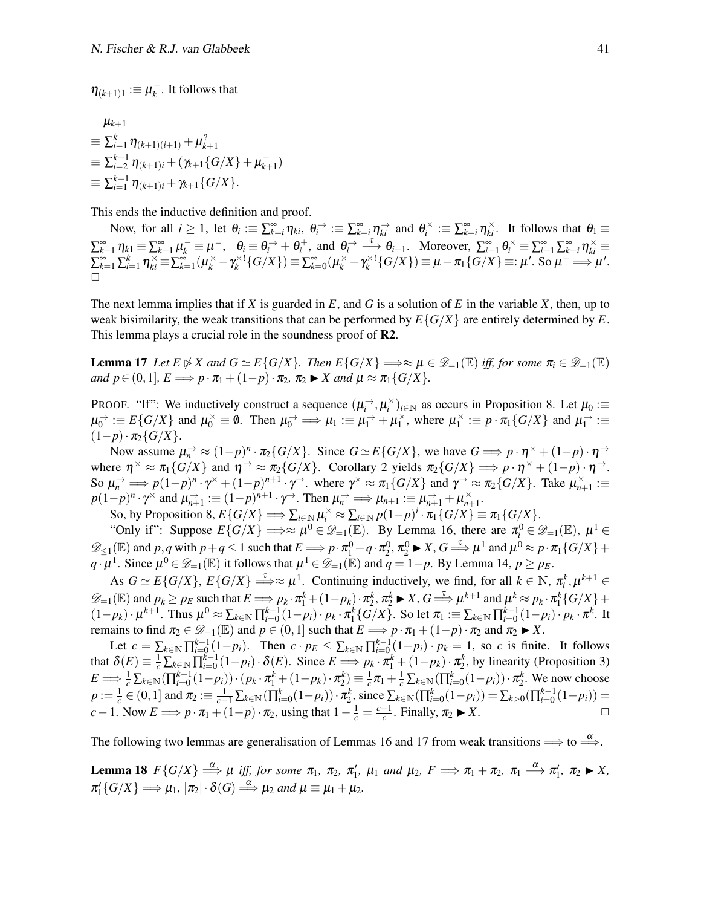$\eta_{(k+1)1} := \mu_k^ \overline{k}$ . It follows that

$$
\mu_{k+1} \n\equiv \sum_{i=1}^{k} \eta_{(k+1)(i+1)} + \mu_{k+1}^2 \n\equiv \sum_{i=2}^{k+1} \eta_{(k+1)i} + (\gamma_{k+1} \{ G/X \} + \mu_{k+1}^-) \n\equiv \sum_{i=1}^{k+1} \eta_{(k+1)i} + \gamma_{k+1} \{ G/X \}.
$$

This ends the inductive definition and proof.

Now, for all  $i \geq 1$ , let  $\theta_i := \sum_{k=i}^{\infty} \eta_{ki}$ ,  $\theta_i^{\rightarrow} := \sum_{k=i}^{\infty} \eta_{ki}^{\rightarrow}$  and  $\theta_i^{\times} := \sum_{k=i}^{\infty} \eta_{ki}^{\times}$ . It follows that  $\theta_1 \equiv$  $\sum_{k=1}^{\infty} \eta_{k1} \equiv \sum_{k=1}^{\infty} \mu_k^- \equiv \mu^-, \quad \theta_i \equiv \theta_i^- + \theta_i^+, \text{ and } \theta_i^- \stackrel{\tau}{\longrightarrow} \theta_{i+1}.$  Moreover,  $\sum_{i=1}^{\infty} \theta_i^{\times} \equiv \sum_{i=1}^{\infty} \sum_{k=i}^{\infty} \eta_{ki}^{\times} \equiv$  $\sum_{k=1}^{\infty}\sum_{i=1}^{k}\eta_{ki}^{\times} \equiv \sum_{k=1}^{\infty}(\mu_{k}^{\times}-\gamma_{k}^{\times 1}{G/X}) \equiv \sum_{k=0}^{\infty}(\mu_{k}^{\times}-\gamma_{k}^{\times 1}{G/X}) \equiv \mu-\pi_{1}{G/X} \equiv:\mu'.$  So  $\mu^{-} \Longrightarrow \mu'.$  $\Box$ 

The next lemma implies that if *X* is guarded in *E*, and *G* is a solution of *E* in the variable *X*, then, up to weak bisimilarity, the weak transitions that can be performed by  $E\{G/X\}$  are entirely determined by  $E$ . This lemma plays a crucial role in the soundness proof of R2.

<span id="page-40-0"></span>**Lemma 17** Let  $E \not\triangleright X$  and  $G \simeq E\{G/X\}$ . Then  $E\{G/X\} \Longrightarrow \approx \mu \in \mathcal{D}_{=1}(\mathbb{E})$  *iff, for some*  $\pi_i \in \mathcal{D}_{=1}(\mathbb{E})$ *and*  $p \in (0,1]$ *,*  $E \Longrightarrow p \cdot \pi_1 + (1-p) \cdot \pi_2$ *,*  $\pi_2 \blacktriangleright X$  *and*  $\mu \approx \pi_1 \{ G/X \}$ *.* 

PROOF. "If": We inductively construct a sequence  $(\mu_i^{\rightarrow}, \mu_i^{\times})_{i \in \mathbb{N}}$  as occurs in [Proposition 8.](#page-7-1) Let  $\mu_0 :=$  $\mu_0^{\rightarrow} \equiv E\{G/X\}$  and  $\mu_0^{\times} \equiv \emptyset$ . Then  $\mu_0^{\rightarrow} \Longrightarrow \mu_1 \equiv \mu_1^{\rightarrow} + \mu_1^{\times}$  $\frac{\times}{1}$ , where  $\mu_1^{\times}$  $\mathcal{L}_1^{\times} := p \cdot \pi_1 \{ G/X \}$  and  $\mu_1^{\rightarrow} :=$ (1−*p*)· π2{*G*/*X*}.

Now assume  $\mu_n^{\to} \approx (1-p)^n \cdot \pi_2\{G/X\}$ . Since  $G \simeq E\{G/X\}$ , we have  $G \Longrightarrow p \cdot \eta^\times + (1-p) \cdot \eta^\to$ where  $\eta^{\times} \approx \pi_1 \{ G/X \}$  and  $\eta^{\to} \approx \pi_2 \{ G/X \}$ . [Corollary 2](#page-37-3) yields  $\pi_2 \{ G/X \} \Longrightarrow p \cdot \eta^{\times} + (1-p) \cdot \eta^{\to}$ . So  $\mu_n \to p(1-p)^n \cdot \gamma^* + (1-p)^{n+1} \cdot \gamma^*$ . where  $\gamma^* \approx \pi_1 \{ G/X \}$  and  $\gamma^* \approx \pi_2 \{ G/X \}$ . Take  $\mu_{n+1}^* :=$  $p(1-p)^n \cdot \gamma^\times$  and  $\mu_{n+1}^{\to} := (1-p)^{n+1} \cdot \gamma^\to$ . Then  $\mu_n^{\to} \implies \mu_{n+1} := \mu_{n+1}^{\to} + \mu_{n+1}^\times$ .

So, by [Proposition 8,](#page-7-1)  $E\{G/X\} \Longrightarrow \sum_{i \in \mathbb{N}} \mu_i^{\times} \approx \sum_{i \in \mathbb{N}} p(1-p)^i \cdot \pi_1\{G/X\} \equiv \pi_1\{G/X\}.$ 

"Only if": Suppose  $E\{G/X\} \Longrightarrow \approx \mu^0 \in \mathscr{D}_{=1}(\mathbb{E})$ . By [Lemma 16,](#page-38-1) there are  $\pi_i^0 \in \mathscr{D}_{=1}(\mathbb{E})$ ,  $\mu^1 \in$  $\mathscr{D}_{\leq 1}(\mathbb{E})$  and  $p, q$  with  $p + q \leq 1$  such that  $E \Longrightarrow p \cdot \pi_1^0 + q \cdot \pi_2^0$ ,  $\pi_2^0 \blacktriangleright X$ ,  $G \Longrightarrow^{\tau} \mu^1$  and  $\mu^0 \approx p \cdot \pi_1 \{ G/X \} + q$ *q* ⋅ $\mu$ <sup>1</sup>. Since  $\mu$ <sup>0</sup> ∈  $\mathscr{D}_{=1}(\mathbb{E})$  it follows that  $\mu$ <sup>1</sup> ∈  $\mathscr{D}_{=1}(\mathbb{E})$  and  $q = 1-p$ . By [Lemma 14,](#page-38-2)  $p \ge p_E$ .

As  $G \simeq E\{G/X\}$ ,  $E\{G/X\} \stackrel{\tau}{\Longrightarrow} \approx \mu^1$ . Continuing inductively, we find, for all  $k \in \mathbb{N}$ ,  $\pi_i^k, \mu^{k+1} \in$  $\mathscr{D}_{=1}(\mathbb{E})$  and  $p_k \geq p_E$  such that  $E \Longrightarrow p_k \cdot \pi_1^k + (1-p_k) \cdot \pi_2^k$ ,  $\pi_2^k \blacktriangleright X$ ,  $G \stackrel{\tau}{\Longrightarrow} \mu^{k+1}$  and  $\mu^k \approx p_k \cdot \pi_1^k \{G/X\}$  +  $\mathbb{Z}_{=1}^{\infty}$  and  $p_k \leq p_k$  such that  $E \longrightarrow p_k \cdot n_1 + (1-p_k) \cdot n_2$ ,  $n_2 \blacktriangleright x$ ,  $0 \longrightarrow \mu$  and  $\mu \approx p_k \cdot n_1 \{0/x\} + (1-p_k) \cdot \mu^{k+1}$ . Thus  $\mu^0 \approx \sum_{k \in \mathbb{N}} \prod_{i=0}^{k-1} (1-p_i) \cdot p_k \cdot \pi_1^k \{G/X\}$ . So let  $\pi_1 := \sum_{k \in \mathbb{N}} \prod_{i=0}$ remains to find  $\pi_2 \in \mathcal{D}_{-1}(\mathbb{E})$  and  $p \in (0,1]$  such that  $E \Longrightarrow p \cdot \pi_1 + (1-p) \cdot \pi_2$  and  $\pi_2 \blacktriangleright X$ .

Let  $c = \sum_{k \in \mathbb{N}} \prod_{i=0}^{k-1} (1-p_i)$ . Then  $c \cdot p_E \le \sum_{k \in \mathbb{N}} \prod_{i=0}^{k-1} (1-p_i) \cdot p_k = 1$ , so *c* is finite. It follows that  $\delta(E) \equiv \frac{1}{c} \sum_{k \in \mathbb{N}} \prod_{i=0}^{k-1} (1-p_i) \cdot \delta(E)$ . Since  $E \implies p_k \cdot \pi_1^k + (1-p_k) \cdot \pi_2^k$ , by linearity [\(Proposition 3\)](#page-6-5)  $E \Longrightarrow \frac{1}{c} \sum_{k \in \mathbb{N}} (\prod_{i=0}^{k-1} (1-p_i)) \cdot (p_k \cdot \pi_1^k + (1-p_k) \cdot \pi_2^k) \equiv \frac{1}{c} \pi_1 + \frac{1}{c} \sum_{k \in \mathbb{N}} (\prod_{i=0}^k (1-p_i)) \cdot \pi_2^k$ . We now choose  $p := \frac{1}{c} \in (0,1]$  and  $\pi_2 := \frac{1}{c-1} \sum_{k \in \mathbb{N}} (\prod_{i=0}^k (1-p_i)) \cdot \pi_2^k$ , since  $\sum_{k \in \mathbb{N}} (\prod_{i=0}^k (1-p_i)) = \sum_{k>0} (\prod_{i=0}^{k-1} (1-p_i)) =$  $c-1$ . Now  $E \implies p \cdot \pi_1 + (1-p) \cdot \pi_2$ , using that  $1 - \frac{1}{c} = \frac{c-1}{c}$ . Finally,  $\pi_2 \blacktriangleright X$ .

The following two lemmas are generalisation of Lemmas [16](#page-38-1) and [17](#page-40-0) from weak transitions  $\Longrightarrow$  to  $\stackrel{\alpha}{\Longrightarrow}$ .

<span id="page-40-1"></span>**Lemma 18**  $F\{G/X\} \stackrel{\alpha}{\Longrightarrow} \mu$  iff, for some  $\pi_1$ ,  $\pi_2$ ,  $\pi'_1$ ,  $\mu_1$  and  $\mu_2$ ,  $F \implies \pi_1 + \pi_2$ ,  $\pi_1 \stackrel{\alpha}{\longrightarrow} \pi'_1$ ,  $\pi_2 \blacktriangleright X$ ,  $\pi_1' \{ G/X \} \Longrightarrow \mu_1, |\pi_2| \cdot \delta(G) \stackrel{\alpha}{\Longrightarrow} \mu_2 \text{ and } \mu \equiv \mu_1 + \mu_2.$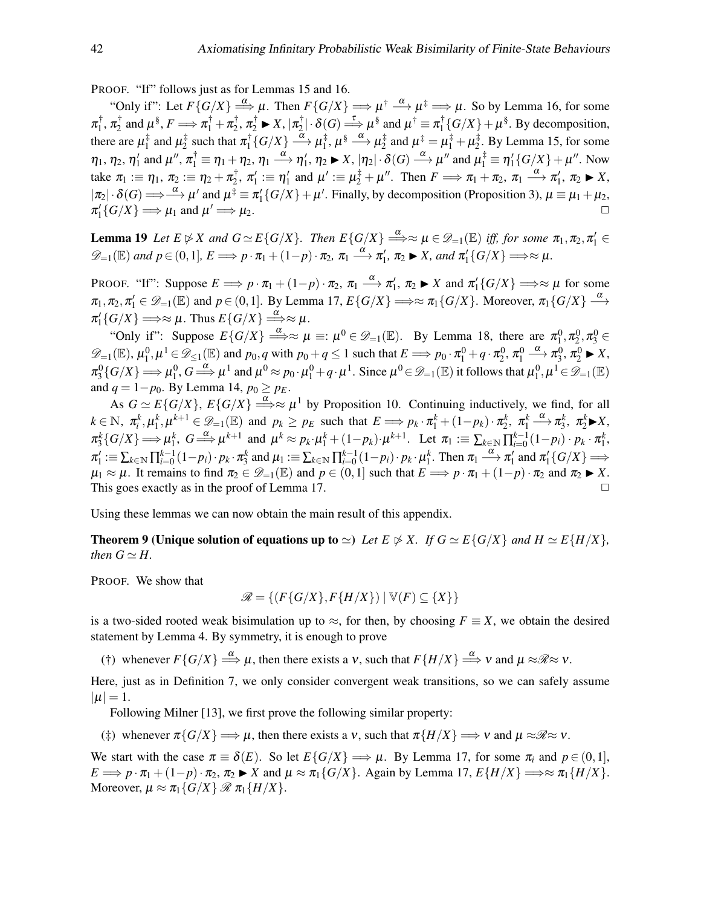PROOF. "If" follows just as for Lemmas [15](#page-38-0) and [16.](#page-38-1)

"Only if": Let  $F\{G/X\} \Longrightarrow \mu$ . Then  $F\{G/X\} \Longrightarrow \mu^{\dagger} \stackrel{\alpha}{\longrightarrow} \mu^{\ddagger} \Longrightarrow \mu$ . So by [Lemma 16,](#page-38-1) for some  $\pi_1^\dagger$  $\frac{1}{1}$ ,  $\pi_2^{\dagger}$  $\pi_2^{\dagger}$  and  $\mu^{\S}, F \Longrightarrow \pi_1^{\dagger} + \pi_2^{\dagger}$  $\pi_2^{\dagger}, \pi_2^{\dagger} \blacktriangleright X, |\pi_2^{\dagger}|$  $|\mathcal{L}_2^{\dagger}| \cdot \delta(G) \stackrel{\tau}{\Longrightarrow} \mu^{\S}$  and  $\mu^{\dagger} \equiv \pi_1^{\dagger}$  $\int_1^{\dagger} {\{G/X\}} + \mu^{\S}$ . By decomposition, there are  $\mu_1^{\ddag}$  $i_1^{\ddagger}$  and  $\mu_2^{\ddagger}$  $\frac{1}{2}$  such that  $\pi_1^{\dagger}$  $\frac{1}{1}\{G/X\} \stackrel{\alpha}{\longrightarrow} \mu_1^\ddag$  $\sharp_1^{\ddag}, \mu^{\S} \stackrel{\alpha}{\longrightarrow} \mu_2^{\ddag}$  $\mu_2^{\ddagger}$  and  $\mu_1^{\ddagger} = \mu_1^{\ddagger} + \mu_2^{\ddagger}$  $\frac{1}{2}$ . By [Lemma 15,](#page-38-0) for some  $\eta_1, \eta_2, \eta_1'$  and  $\mu'', \pi_1^{\dagger} \equiv \eta_1 + \eta_2, \eta_1 \stackrel{\alpha}{\longrightarrow} \eta_1', \eta_2 \blacktriangleright X, |\eta_2| \cdot \delta(G) \stackrel{\alpha}{\longrightarrow} \mu''$  and  $\mu_1^{\dagger} \equiv \eta_1' \{ G/X \} + \mu''$ . Now take  $\pi_1 := \eta_1, \, \pi_2 := \eta_2 + \pi_2^\dagger$  $\alpha_2^{\dagger}$ ,  $\pi_1' \equiv \eta_1'$  and  $\mu' \equiv \mu_2^{\ddagger} + \mu''$ . Then  $F \Longrightarrow \pi_1 + \pi_2$ ,  $\pi_1 \stackrel{\alpha}{\longrightarrow} \pi_1', \pi_2 \blacktriangleright X$ ,  $|\pi_2|\cdot \delta(G) \Longrightarrow {\alpha \over \alpha}$   $\mu'$  and  $\mu^{\ddagger} \equiv \pi'_1 \{ G/X \} + \mu'$ . Finally, by decomposition [\(Proposition 3\)](#page-6-5),  $\mu \equiv \mu_1 + \mu_2$ ,  $\pi_1' \{ G/X \} \Longrightarrow \mu_1$  and  $\mu$  $\mu_2$ .

<span id="page-41-2"></span>**Lemma 19** Let  $E \not\triangleright X$  and  $G \simeq E\{G/X\}$ . Then  $E\{G/X\} \stackrel{\alpha}{\Longrightarrow} \approx \mu \in \mathscr{D}_{-1}(\mathbb{E})$  iff, for some  $\pi_1, \pi_2, \pi'_1 \in$  $\mathscr{D}_{=1}(\mathbb{E})$  and  $p \in (0,1]$ ,  $E \Longrightarrow p \cdot \pi_1 + (1-p) \cdot \pi_2$ ,  $\pi_1 \stackrel{\alpha}{\longrightarrow} \pi'_1$ ,  $\pi_2 \blacktriangleright X$ , and  $\pi'_1\{G/X\} \Longrightarrow \approx \mu$ .

PROOF. "If": Suppose  $E \implies p \cdot \pi_1 + (1-p) \cdot \pi_2$ ,  $\pi_1 \stackrel{\alpha}{\longrightarrow} \pi'_1$ ,  $\pi_2 \blacktriangleright X$  and  $\pi'_1\{G/X\} \implies \approx \mu$  for some  $\pi_1, \pi_2, \pi'_1 \in \mathscr{D}_{=1}(\mathbb{E})$  and  $p \in (0,1]$ . By [Lemma 17,](#page-40-0)  $E\{G/X\} \Longrightarrow \approx \pi_1\{G/X\}$ . Moreover,  $\pi_1\{G/X\} \stackrel{\alpha}{\longrightarrow}$  $\pi_1' \{ G/X \} \Longrightarrow \approx \mu$ . Thus  $E\{G/X\} \Longrightarrow^{\alpha} \approx \mu$ .

"Only if": Suppose  $E\{G/X\} \stackrel{\alpha}{\Longrightarrow} \approx \mu \equiv: \mu^0 \in \mathscr{D}_{=1}(\mathbb{E})$ . By [Lemma 18,](#page-40-1) there are  $\pi_1^0, \pi_2^0, \pi_3^0 \in$  $\mathscr{D}_{=1}(\mathbb{E}), \mu_1^0, \mu^1 \in \mathscr{D}_{\leq 1}(\mathbb{E})$  and  $p_0, q$  with  $p_0 + q \leq 1$  such that  $E \Longrightarrow p_0 \cdot \pi_1^0 + q \cdot \pi_2^0, \pi_1^0 \stackrel{\alpha}{\longrightarrow} \pi_3^0, \pi_2^0 \blacktriangleright X$ ,  $\pi_3^0\{G/X\} \Longrightarrow \mu_1^0, G \stackrel{\alpha}{\Longrightarrow} \mu^1 \text{ and } \mu^0 \approx p_0 \cdot \mu_1^0 + q \cdot \mu^1. \text{ Since } \mu^0 \in \mathscr{D}_{=1}(\mathbb{E}) \text{ it follows that } \mu_1^0, \mu^1 \in \mathscr{D}_{=1}(\mathbb{E})$ and  $q = 1 - p_0$ . By [Lemma 14,](#page-38-2)  $p_0 \geq p_E$ .

As  $G \simeq E\{G/X\}$ ,  $E\{G/X\} \stackrel{\alpha}{\Longrightarrow} \approx \mu^1$  by [Proposition 10.](#page-8-3) Continuing inductively, we find, for all  $k \in \mathbb{N}$ ,  $\pi_i^k, \mu_1^k, \mu^{k+1} \in \mathcal{D}_{i-1}(\mathbb{E})$  and  $p_k \geq p_E$  such that  $E \Longrightarrow p_k \cdot \pi_1^k + (1-p_k) \cdot \pi_2^k$ ,  $\pi_1^k \xrightarrow{\alpha} \pi_3^k$ ,  $\pi_2^k \blacktriangleright X$ ,  $\pi_3^k\{G/X\} \Longrightarrow \mu_1^k$ ,  $G \stackrel{\alpha}{\Longrightarrow} \mu^{k+1}$  and  $\mu^k \approx p_k \cdot \mu_1^k + (1-p_k) \cdot \mu^{k+1}$ . Let  $\pi_1 := \sum_{k \in \mathbb{N}} \prod_{i=0}^{k-1} (1-p_i) \cdot p_k \cdot \pi_1^k$ ,  $\pi_1' := \sum_{k \in \mathbb{N}} \prod_{i=0}^{k-1} (1-p_i) \cdot p_k \cdot \pi_3^k$  and  $\mu_1 := \sum_{k \in \mathbb{N}} \prod_{i=0}^{k-1} (1-p_i) \cdot p_k \cdot \mu_1^k$ . Then  $\pi_1 \xrightarrow{\alpha} \pi_1'$  and  $\pi_1' \{G/X\} \Longrightarrow$  $\mu_1 \approx \mu$ . It remains to find  $\pi_2 \in \mathcal{D}_{-1}(\mathbb{E})$  and  $p \in (0,1]$  such that  $E \Longrightarrow p \cdot \pi_1 + (1-p) \cdot \pi_2$  and  $\pi_2 \blacktriangleright X$ . This goes exactly as in the proof of [Lemma 17.](#page-40-0)

<span id="page-41-3"></span>Using these lemmas we can now obtain the main result of this appendix.

**Theorem 9 (Unique solution of equations up to**  $\simeq$ **)** *Let E*  $\not\cong$  *X. If*  $G \simeq E\{G/X\}$  *and*  $H \simeq E\{H/X\}$ *, then*  $G \simeq H$ .

PROOF. We show that

$$
\mathscr{R} = \{ (F\{G/X\}, F\{H/X\}) \mid \mathbb{V}(F) \subseteq \{X\} \}
$$

is a two-sided rooted weak bisimulation up to  $\approx$ , for then, by choosing  $F \equiv X$ , we obtain the desired statement by [Lemma 4.](#page-14-3) By symmetry, it is enough to prove

<span id="page-41-1"></span>(†) whenever  $F\{G/X\} \stackrel{\alpha}{\Longrightarrow} \mu$ , then there exists a v, such that  $F\{H/X\} \stackrel{\alpha}{\Longrightarrow} v$  and  $\mu \approx \mathcal{R} \approx v$ .

Here, just as in [Definition 7,](#page-13-2) we only consider convergent weak transitions, so we can safely assume  $|\mu| = 1.$ 

Following Milner [\[13\]](#page-50-9), we first prove the following similar property:

<span id="page-41-0"></span>(‡) whenever  $\pi\{G/X\} \Longrightarrow \mu$ , then there exists a v, such that  $\pi\{H/X\} \Longrightarrow \nu$  and  $\mu \approx \mathcal{R} \approx \nu$ .

We start with the case  $\pi \equiv \delta(E)$ . So let  $E\{G/X\} \Longrightarrow \mu$ . By [Lemma 17,](#page-40-0) for some  $\pi_i$  and  $p \in (0,1]$ ,  $E \implies p \cdot \pi_1 + (1-p) \cdot \pi_2$ ,  $\pi_2 \blacktriangleright X$  and  $\mu \approx \pi_1 \{ G/X \}$ . Again by [Lemma 17,](#page-40-0)  $E\{ H/X \} \implies \pi_1 \{ H/X \}$ . Moreover,  $\mu \approx \pi_1 \{ G/X \} \mathcal{R} \pi_1 \{ H/X \}.$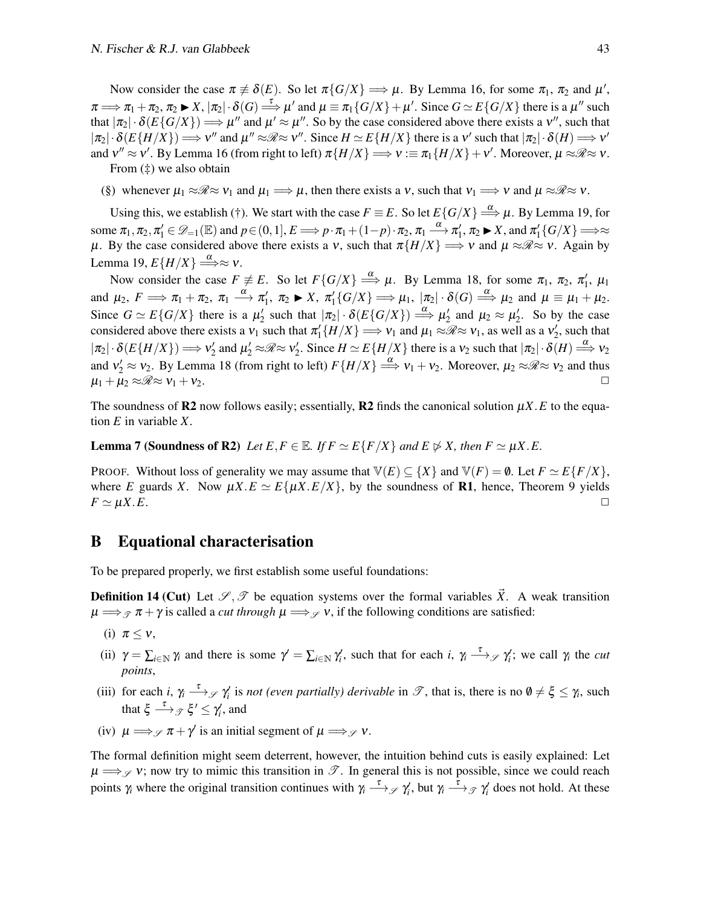Now consider the case  $\pi \neq \delta(E)$ . So let  $\pi\{G/X\} \Longrightarrow \mu$ . By [Lemma 16,](#page-38-1) for some  $\pi_1$ ,  $\pi_2$  and  $\mu'$ ,  $\pi \Longrightarrow \pi_1 + \pi_2, \pi_2 \blacktriangleright X, |\pi_2| \cdot \delta(G) \stackrel{\tau}{\Longrightarrow} \mu'$  and  $\mu \equiv \pi_1 \{ G/X \} + \mu'.$  Since  $G \simeq E \{ G/X \}$  there is a  $\mu''$  such that  $|\pi_2| \cdot \delta(E\{G/X\}) \Longrightarrow \mu''$  and  $\mu' \approx \mu''$ . So by the case considered above there exists a v'', such that  $|\pi_2| \cdot \delta(E\{H/X\}) \Longrightarrow v''$  and  $\mu'' \approx \mathcal{R} \approx v''$ . Since  $H \simeq E\{H/X\}$  there is a v' such that  $|\pi_2| \cdot \delta(H) \Longrightarrow v'$ and  $v'' \approx v'$ . By [Lemma 16](#page-38-1) (from right to left)  $\pi\{H/X\} \Longrightarrow v := \pi_1\{H/X\} + v'$ . Moreover,  $\mu \approx \mathscr{R} \approx v$ .

From [\(‡\)](#page-41-0) we also obtain

(§) whenever  $\mu_1 \approx \mathcal{R} \approx v_1$  and  $\mu_1 \Longrightarrow \mu$ , then there exists a v, such that  $v_1 \Longrightarrow v$  and  $\mu \approx \mathcal{R} \approx v$ .

Using this, we establish [\(†\).](#page-41-1) We start with the case  $F \equiv E$ . So let  $E\{G/X\} \stackrel{\alpha}{\Longrightarrow} \mu$ . By [Lemma 19,](#page-41-2) for some  $\pi_1, \pi_2, \pi'_1 \in \mathscr{D}_{-1}(\mathbb{E})$  and  $p \in (0, 1], E \Longrightarrow p \cdot \pi_1 + (1-p) \cdot \pi_2, \pi_1 \stackrel{\alpha}{\longrightarrow} \pi'_1, \pi_2 \blacktriangleright X$ , and  $\pi'_1\{G/X\} \Longrightarrow \approx$  $\mu$ . By the case considered above there exists a v, such that  $\pi\{H/X\} \Longrightarrow v$  and  $\mu \approx \mathcal{R} \approx v$ . Again by [Lemma 19,](#page-41-2)  $E\{H/X\} \stackrel{\alpha}{\Longrightarrow} \approx v$ .

Now consider the case  $F \neq E$ . So let  $F\{G/X\} \stackrel{\alpha}{\Longrightarrow} \mu$ . By [Lemma 18,](#page-40-1) for some  $\pi_1$ ,  $\pi_2$ ,  $\pi'_1$ ,  $\mu_1$ and  $\mu_2$ ,  $F \implies \pi_1 + \pi_2$ ,  $\pi_1 \stackrel{\alpha}{\longrightarrow} \pi'_1$ ,  $\pi_2 \blacktriangleright X$ ,  $\pi'_1\{G/X\} \implies \mu_1$ ,  $|\pi_2| \cdot \delta(G) \stackrel{\alpha}{\Longrightarrow} \mu_2$  and  $\mu \equiv \mu_1 + \mu_2$ . Since  $G \simeq E\{G/X\}$  there is a  $\mu'_2$  such that  $|\pi_2| \cdot \delta(E\{G/X\}) \stackrel{\alpha}{\Longrightarrow} \mu'_2$  and  $\mu_2 \approx \mu'_2$ . So by the case considered above there exists a  $v_1$  such that  $\pi'_1\{H/X\} \implies v_1$  and  $\mu_1 \approx \mathcal{R} \approx v_1$ , as well as a  $v'_2$ , such that  $|\pi_2| \cdot \delta(E\{H/X\}) \Longrightarrow v'_2$  and  $\mu'_2 \approx \mathcal{R} \approx v'_2$ . Since  $H \simeq E\{H/X\}$  there is a  $v_2$  such that  $|\pi_2| \cdot \delta(H) \stackrel{\alpha}{\Longrightarrow} v_2$ and  $v'_2 \approx v_2$ . By [Lemma 18](#page-40-1) (from right to left)  $F\{H/X\} \stackrel{\alpha}{\Longrightarrow} v_1 + v_2$ . Moreover,  $\mu_2 \approx \mathcal{R} \approx v_2$  and thus  $\mu_1 + \mu_2 \approx \mathcal{R} \approx \nu_1 + \nu_2.$ 

The soundness of R2 now follows easily; essentially, R2 finds the canonical solution  $\mu X.E$  to the equation *E* in variable *X*.

**Lemma 7 (Soundness of R2)** Let  $E, F \in \mathbb{E}$ . If  $F \simeq E\{F/X\}$  and  $E \not\triangleright X$ , then  $F \simeq \mu X.E$ .

PROOF. Without loss of generality we may assume that  $\mathbb{V}(E) \subseteq \{X\}$  and  $\mathbb{V}(F) = \emptyset$ . Let  $F \simeq E\{F/X\}$ , where *E* guards *X*. Now  $\mu X.E \simeq E\{\mu X.E/X\}$ , by the soundness of **R1**, hence, [Theorem 9](#page-41-3) yields  $F \simeq \mu X.E.$ 

### <span id="page-42-0"></span>B Equational characterisation

<span id="page-42-1"></span>To be prepared properly, we first establish some useful foundations:

**Definition 14 (Cut)** Let  $\mathscr{S}, \mathscr{T}$  be equation systems over the formal variables  $\vec{X}$ . A weak transition  $\mu \Longrightarrow_{\mathcal{F}} \pi + \gamma$  is called a *cut through*  $\mu \Longrightarrow_{\mathcal{F}} \nu$ , if the following conditions are satisfied:

- <span id="page-42-2"></span>(i)  $\pi \leq v$ ,
- <span id="page-42-3"></span>(ii)  $\gamma = \sum_{i \in \mathbb{N}} \gamma_i$  and there is some  $\gamma' = \sum_{i \in \mathbb{N}} \gamma'_i$ , such that for each *i*,  $\gamma_i \stackrel{\tau}{\longrightarrow} \gamma_i'$ ; we call  $\gamma_i$  the *cut points*,
- <span id="page-42-4"></span>(iii) for each *i*,  $\gamma_i \stackrel{\tau}{\longrightarrow}$   $\gamma'_i$  is *not (even partially) derivable* in  $\mathcal{T}$ , that is, there is no  $\emptyset \neq \xi \leq \gamma_i$ , such that  $\xi \stackrel{\tau}{\longrightarrow}$   $g \xi' \leq \gamma'_i$ , and
- <span id="page-42-5"></span>(iv)  $\mu \Longrightarrow_{\mathscr{S}} \pi + \gamma'$  is an initial segment of  $\mu \Longrightarrow_{\mathscr{S}} \nu$ .

The formal definition might seem deterrent, however, the intuition behind cuts is easily explained: Let  $\mu \Longrightarrow_{\mathscr{S}} v$ ; now try to mimic this transition in  $\mathscr{T}$ . In general this is not possible, since we could reach points  $\gamma_i$  where the original transition continues with  $\gamma_i \stackrel{\tau}{\longrightarrow} \mathcal{S}$   $\gamma'_i$ , but  $\gamma_i \stackrel{\tau}{\longrightarrow} \mathcal{S}$   $\gamma'_i$  does not hold. At these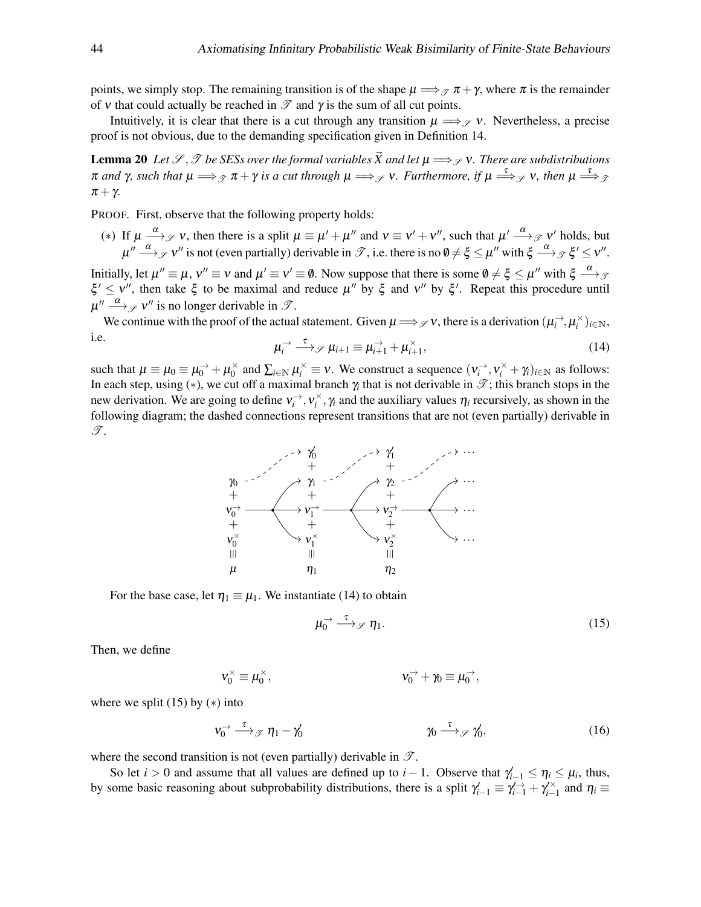points, we simply stop. The remaining transition is of the shape  $\mu \Longrightarrow_{\mathcal{P}} \pi + \gamma$ , where  $\pi$  is the remainder of v that could actually be reached in  $\mathcal T$  and  $\gamma$  is the sum of all cut points.

Intuitively, it is clear that there is a cut through any transition  $\mu \Longrightarrow_{\mathscr{S}} v$ . Nevertheless, a precise proof is not obvious, due to the demanding specification given in [Definition 14.](#page-42-1)

<span id="page-43-4"></span>**Lemma 20** *Let*  $\mathscr{S}, \mathscr{T}$  *be SESs over the formal variables*  $\vec{X}$  *and let*  $\mu \Longrightarrow_{\mathscr{S}} v$ *. There are subdistributions*  $\pi$  and γ, such that  $\mu \Longrightarrow_{\mathscr{T}} \pi + \gamma$  is a cut through  $\mu \Longrightarrow_{\mathscr{T}}$  v. Furthermore, if  $\mu \Longrightarrow_{\mathscr{T}}$  v, then  $\mu \Longrightarrow_{\mathscr{T}}$  $\pi + \gamma$ .

PROOF. First, observe that the following property holds:

<span id="page-43-0"></span>(\*) If  $\mu \stackrel{\alpha}{\longrightarrow}_{\mathscr{S}} v$ , then there is a split  $\mu \equiv \mu' + \mu''$  and  $v \equiv v' + v''$ , such that  $\mu' \stackrel{\alpha}{\longrightarrow}_{\mathscr{S}} v'$  holds, but  $\mu'' \stackrel{\alpha}{\longrightarrow}_{\mathscr{S}} v''$  is not (even partially) derivable in  $\mathscr{T}$ , i.e. there is no  $\emptyset \neq \xi \leq \mu''$  with  $\xi \stackrel{\alpha}{\longrightarrow}_{\mathscr{T}} \xi' \leq v''$ .

Initially, let  $\mu'' \equiv \mu$ ,  $v'' \equiv v$  and  $\mu' \equiv v' \equiv \emptyset$ . Now suppose that there is some  $\emptyset \neq \xi \leq \mu''$  with  $\xi \stackrel{\alpha}{\longrightarrow} g$  $\xi' \leq v''$ , then take  $\xi$  to be maximal and reduce  $\mu''$  by  $\xi$  and  $v''$  by  $\xi'$ . Repeat this procedure until  $\mu'' \stackrel{\alpha}{\longrightarrow}_{\mathscr{S}} v''$  is no longer derivable in  $\mathscr{T}$ .

<span id="page-43-1"></span>We continue with the proof of the actual statement. Given  $\mu \Longrightarrow_{\mathscr{S}} \nu$ , there is a derivation  $(\mu_i^{\rightarrow}, \mu_i^{\times})_{i \in \mathbb{N}}$ , i.e.  $\rightarrow$  $\rightarrow$ ×

$$
\mu_i^{\rightarrow} \stackrel{\tau}{\longrightarrow} \mathcal{P} \mu_{i+1} \equiv \mu_{i+1}^{\rightarrow} + \mu_{i+1}^{\times}, \tag{14}
$$

such that  $\mu \equiv \mu_0 \equiv \mu_0^{\rightarrow} + \mu_0^{\times}$  $\sum_{i=0}^{\infty}$  and  $\sum_{i\in\mathbb{N}}\mu_i^{\times} \equiv v$ . We construct a sequence  $(\nu_i^{\rightarrow}, \nu_i^{\times} + \gamma_i)_{i\in\mathbb{N}}$  as follows: In each step, using (\*), we cut off a maximal branch  $\gamma_i$  that is not derivable in  $\mathcal{T}$ ; this branch stops in the new derivation. We are going to define  $v_i^{\to}, v_i^{\times}, \gamma_i$  and the auxiliary values  $\eta_i$  recursively, as shown in the following diagram; the dashed connections represent transitions that are not (even partially) derivable in  $\mathscr{T}.$ 



For the base case, let  $\eta_1 \equiv \mu_1$ . We instantiate [\(14\)](#page-43-1) to obtain

<span id="page-43-3"></span><span id="page-43-2"></span>
$$
\mu_0^{\rightarrow} \xrightarrow{\tau} \mathcal{P} \eta_1. \tag{15}
$$

Then, we define

$$
\mathbf{v}_0^\times \equiv \mathbf{\mu}_0^\times, \qquad \qquad \mathbf{v}_0^\to + \mathbf{y}_0 \equiv \mathbf{\mu}_0^\to,
$$

where we split  $(15)$  by  $(*)$  into

$$
\mathsf{v}_0^{\rightarrow} \xrightarrow{\tau} \mathscr{T} \eta_1 - \mathscr{\gamma}_0 \qquad \qquad \mathscr{W} \xrightarrow{\tau} \mathscr{S} \mathscr{\gamma}_0', \qquad \qquad (16)
$$

where the second transition is not (even partially) derivable in  $\mathscr{T}$ .

So let *i* > 0 and assume that all values are defined up to *i* − 1. Observe that  $\gamma'_{i-1} \leq \eta_i \leq \mu_i$ , thus, by some basic reasoning about subprobability distributions, there is a split  $\gamma'_{i-1} \equiv \gamma'_{i-1} + \gamma'^{x}_{i-1}$  and  $\eta_i \equiv$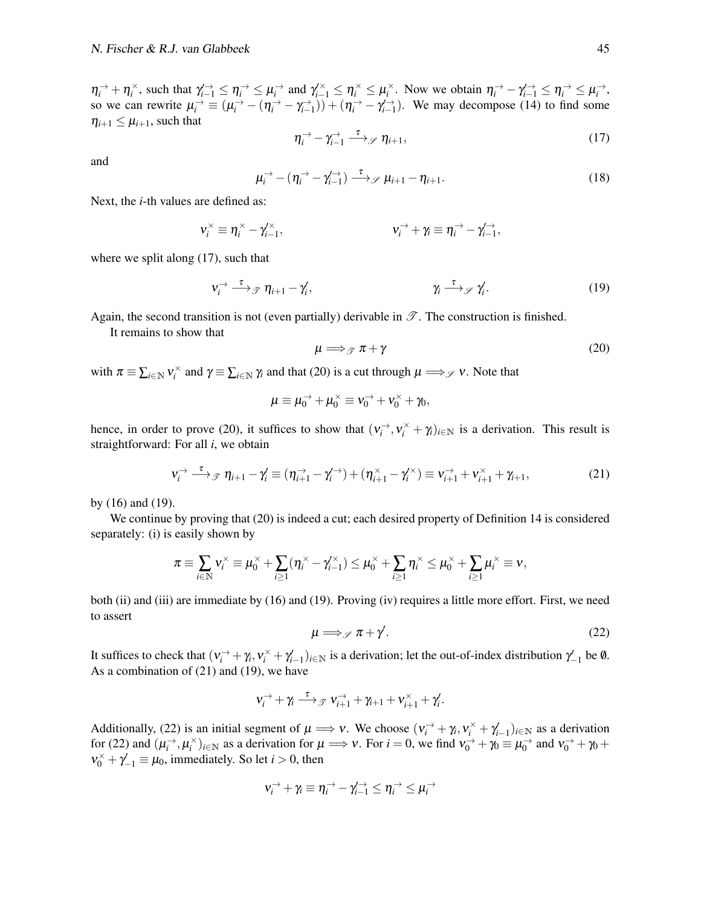$\eta_i^{\rightarrow} + \eta_i^{\times}$ , such that  $\gamma_{i-1}^{\rightarrow} \leq \eta_i^{\rightarrow} \leq \mu_i^{\rightarrow}$  and  $\gamma_{i-1}^{\times} \leq \eta_i^{\times} \leq \mu_i^{\times}$ . Now we obtain  $\eta_i^{\rightarrow} - \gamma_{i-1}^{\rightarrow} \leq \eta_i^{\rightarrow} \leq \mu_i^{\rightarrow}$ , so we can rewrite  $\mu_i^{\rightarrow} \equiv (\mu_i^{\rightarrow} - (\eta_i^{\rightarrow} - \gamma_{i-1}^{\rightarrow})) + (\eta_i^{\rightarrow} - \gamma_{i-1}^{\rightarrow})$ . We may decompose [\(14\)](#page-43-1) to find some  $\eta_{i+1} \leq \mu_{i+1}$ , such that

$$
\eta_i^{\rightarrow} - \gamma_{i-1}^{\rightarrow} \xrightarrow{\tau} \mathcal{P} \eta_{i+1}, \qquad (17)
$$

<span id="page-44-5"></span>and

<span id="page-44-0"></span>
$$
\mu_i^{\rightarrow} - (\eta_i^{\rightarrow} - \gamma_{i-1}^{\rightarrow}) \xrightarrow{\tau} \mathcal{J} \mu_{i+1} - \eta_{i+1}.
$$
 (18)

Next, the *i*-th values are defined as:

$$
v_i^{\times} \equiv \eta_i^{\times} - \gamma_{i-1}^{\times}, \qquad \qquad v_i^{\rightarrow} + \gamma_i \equiv \eta_i^{\rightarrow} - \gamma_{i-1}^{\rightarrow},
$$

where we split along [\(17\)](#page-44-0), such that

<span id="page-44-1"></span>
$$
\mathbf{v}_i \stackrel{\tau}{\longrightarrow} \mathcal{F} \ \eta_{i+1} - \gamma_i', \qquad \qquad \gamma_i \stackrel{\tau}{\longrightarrow} \mathcal{F} \gamma_i'. \tag{19}
$$

Again, the second transition is not (even partially) derivable in  $\mathscr{T}$ . The construction is finished.

It remains to show that

<span id="page-44-2"></span>
$$
\mu \Longrightarrow_{\mathscr{T}} \pi + \gamma \tag{20}
$$

with  $\pi \equiv \sum_{i \in \mathbb{N}} v_i^{\times}$  and  $\gamma \equiv \sum_{i \in \mathbb{N}} \gamma_i$  and that [\(20\)](#page-44-1) is a cut through  $\mu \Longrightarrow_{\mathcal{S}} v$ . Note that

<span id="page-44-3"></span>
$$
\mu \equiv \mu_0^{\rightarrow} + \mu_0^{\times} \equiv v_0^{\rightarrow} + v_0^{\times} + \gamma_0,
$$

hence, in order to prove [\(20\)](#page-44-1), it suffices to show that  $(v_i^{\rightharpoonup}, v_i^{\rightharpoonup} + \gamma_i)_{i \in \mathbb{N}}$  is a derivation. This result is straightforward: For all *i*, we obtain

$$
\mathbf{v}_i^{\rightarrow} \stackrel{\tau}{\longrightarrow} \mathcal{F} \ \eta_{i+1} - \gamma_i' \equiv (\eta_{i+1}^{\rightarrow} - \gamma_i^{\rightarrow}) + (\eta_{i+1}^{\times} - \gamma_i^{\times}) \equiv \mathbf{v}_{i+1}^{\rightarrow} + \mathbf{v}_{i+1}^{\times} + \gamma_{i+1}, \tag{21}
$$

by [\(16\)](#page-43-3) and [\(19\)](#page-44-2).

We continue by proving that [\(20\)](#page-44-1) is indeed a cut; each desired property of [Definition 14](#page-42-1) is considered separately: [\(i\)](#page-42-2) is easily shown by

$$
\pi \equiv \sum_{i \in \mathbb{N}} v_i^{\times} \equiv \mu_0^{\times} + \sum_{i \geq 1} (\eta_i^{\times} - \gamma_{i-1}^{\times}) \leq \mu_0^{\times} + \sum_{i \geq 1} \eta_i^{\times} \leq \mu_0^{\times} + \sum_{i \geq 1} \mu_i^{\times} \equiv v,
$$

<span id="page-44-4"></span>both [\(ii\)](#page-42-3) and [\(iii\)](#page-42-4) are immediate by [\(16\)](#page-43-3) and [\(19\)](#page-44-2). Proving [\(iv\)](#page-42-5) requires a little more effort. First, we need to assert

$$
\mu \Longrightarrow_{\mathscr{S}} \pi + \gamma'.\tag{22}
$$

It suffices to check that  $(v_i^+ + \gamma_i, v_i^+ + \gamma_{i-1}')_{i \in \mathbb{N}}$  is a derivation; let the out-of-index distribution  $\gamma_{-1}'$  be 0. As a combination of [\(21\)](#page-44-3) and [\(19\)](#page-44-2), we have

$$
\mathbf{v}_i^{\rightarrow} + \gamma_i \stackrel{\tau}{\longrightarrow} \mathcal{F} \mathbf{v}_{i+1}^{\rightarrow} + \gamma_{i+1} + \mathbf{v}_{i+1}^{\times} + \gamma_i'.
$$

Additionally, [\(22\)](#page-44-4) is an initial segment of  $\mu \implies v$ . We choose  $(v_i^{\rightarrow} + \gamma_i, v_i^{\times} + \gamma_{i-1}')_{i \in \mathbb{N}}$  as a derivation for [\(22\)](#page-44-4) and  $(\mu_i^{\rightarrow}, \mu_i^{\times})_{i \in \mathbb{N}}$  as a derivation for  $\mu \Longrightarrow v$ . For  $i = 0$ , we find  $v_0^{\rightarrow} + \gamma_0 \equiv \mu_0^{\rightarrow}$  and  $v_0^{\rightarrow} + \gamma_0 + \eta_0^{\rightarrow} + \eta_0^{\rightarrow} + \eta_0^{\rightarrow} + \eta_0^{\rightarrow} + \eta_0^{\rightarrow} + \eta_0^{\rightarrow} + \eta_0^{\rightarrow} + \eta_0^{\rightarrow} + \eta_0^{\rightarrow} + \eta_0^{\rightarrow}$  $v_0^{\times} + \gamma_{-1}^{\prime} \equiv \mu_0$ , immediately. So let *i* > 0, then

$$
\mathsf{v}_i^{\rightarrow} + \gamma_i \equiv \eta_i^{\rightarrow} - \gamma_{i-1}^{\rightarrow} \leq \eta_i^{\rightarrow} \leq \mu_i^{\rightarrow}
$$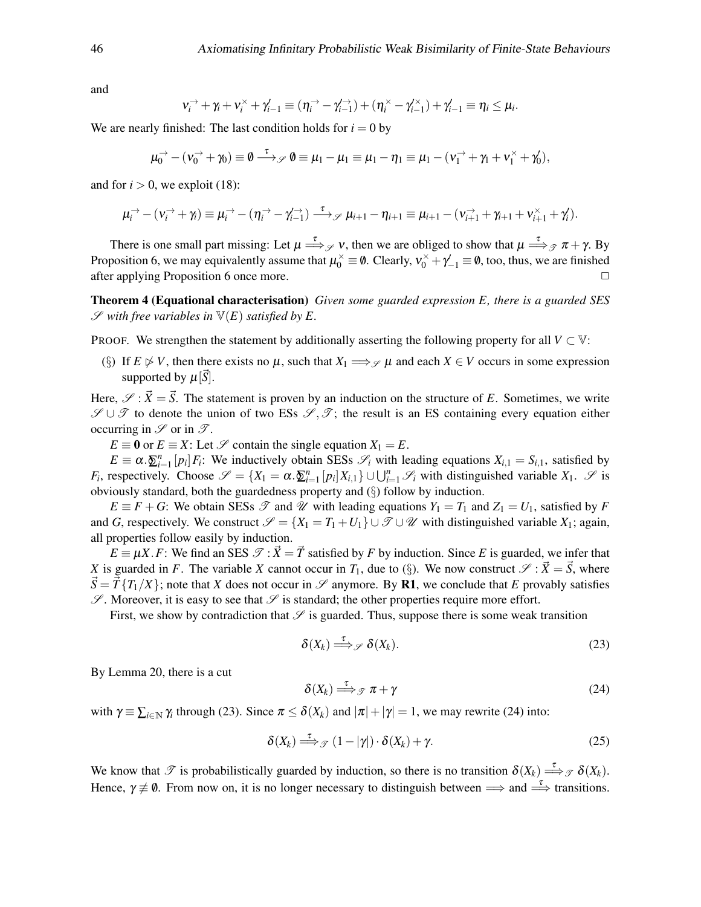and

$$
\mathbf{v}_i^{\rightarrow} + \gamma_i + \mathbf{v}_i^{\times} + \gamma_{i-1}' \equiv (\eta_i^{\rightarrow} - \gamma_{i-1}'^{\rightarrow}) + (\eta_i^{\times} - \gamma_{i-1}'^{\times}) + \gamma_{i-1}' \equiv \eta_i \leq \mu_i.
$$

We are nearly finished: The last condition holds for  $i = 0$  by

$$
\mu_0^{\rightarrow} - (v_0^{\rightarrow} + \gamma_0) \equiv \emptyset \stackrel{\tau}{\longrightarrow} \mathscr{P} \emptyset \equiv \mu_1 - \mu_1 \equiv \mu_1 - \eta_1 \equiv \mu_1 - (v_1^{\rightarrow} + \gamma_1 + v_1^{\times} + \gamma_0^{\prime}),
$$

and for  $i > 0$ , we exploit [\(18\)](#page-44-5):

$$
\mu_i^{\rightarrow} - (\nu_i^{\rightarrow} + \gamma_i) \equiv \mu_i^{\rightarrow} - (\eta_i^{\rightarrow} - \gamma_{i-1}^{\rightarrow}) \xrightarrow{\tau} \mathcal{J} \mu_{i+1} - \eta_{i+1} \equiv \mu_{i+1} - (\nu_{i+1}^{\rightarrow} + \gamma_{i+1} + \nu_{i+1}^{\times} + \gamma_i^{\prime}).
$$

There is one small part missing: Let  $\mu \stackrel{\tau}{\Longrightarrow}_{\mathscr{S}} v$ , then we are obliged to show that  $\mu \stackrel{\tau}{\Longrightarrow}_{\mathscr{T}} \pi + \gamma$ . By [Proposition 6,](#page-6-4) we may equivalently assume that  $\mu_0^{\times} \equiv \emptyset$ . Clearly,  $v_0^{\times} + \gamma_{-1}' \equiv \emptyset$ , too, thus, we are finished after applying [Proposition 6](#page-6-4) once more.

Theorem 4 (Equational characterisation) *Given some guarded expression E, there is a guarded SES*  $\mathscr S$  with free variables in  $\mathbb V(E)$  satisfied by E.

PROOF. We strengthen the statement by additionally asserting the following property for all  $V \subset V$ :

<span id="page-45-0"></span>(§) If  $E \not\triangleright V$ , then there exists no  $\mu$ , such that  $X_1 \Longrightarrow_{\mathcal{S}} \mu$  and each  $X \in V$  occurs in some expression supported by  $\mu[S]$ .

Here,  $\mathscr{S} : \vec{X} = \vec{S}$ . The statement is proven by an induction on the structure of *E*. Sometimes, we write  $\mathscr{S} \cup \mathscr{T}$  to denote the union of two ESs  $\mathscr{S}, \mathscr{T}$ ; the result is an ES containing every equation either occurring in  $\mathscr S$  or in  $\mathscr T$ .

*E*  $\equiv$  **0** or *E*  $\equiv$  *X*: Let *S* contain the single equation *X*<sub>1</sub> = *E*.

 $E \equiv \alpha \cdot \sum_{i=1}^{n} [p_i] F_i$ : We inductively obtain SESs  $\mathcal{S}_i$  with leading equations  $X_{i,1} = S_{i,1}$ , satisfied by *F*<sub>*i*</sub>, respectively. Choose  $\mathscr{S} = \{X_1 = \alpha \cdot \underline{\delta}_{i=1}^n [p_i]X_{i,1}\} \cup \bigcup_{i=1}^n \mathscr{S}_i$  with distinguished variable  $X_1$ .  $\mathscr{S}$  is obviously standard, both the guardedness property and [\(](#page-45-0)§) follow by induction.

 $E \equiv F + G$ : We obtain SESs  $\mathscr T$  and  $\mathscr U$  with leading equations  $Y_1 = T_1$  and  $Z_1 = U_1$ , satisfied by *F* and *G*, respectively. We construct  $\mathcal{S} = \{X_1 = T_1 + U_1\} \cup \mathcal{T} \cup \mathcal{U}$  with distinguished variable  $X_1$ ; again, all properties follow easily by induction.

 $E \equiv \mu X.F$ : We find an SES  $\mathcal{T} : \vec{X} = \vec{T}$  satisfied by *F* by induction. Since *E* is guarded, we infer that *X* is guarded in *F*. The variable *X* cannot occur in  $T_1$ , due to (§[\).](#page-45-0) We now construct  $\mathcal{S}: \vec{X} = \vec{S}$ , where  $\dot{S} = \vec{T} \{T_1/X\}$ ; note that *X* does not occur in  $\mathscr{S}$  anymore. By **R1**, we conclude that *E* provably satisfies  $\mathscr{S}$ . Moreover, it is easy to see that  $\mathscr{S}$  is standard; the other properties require more effort.

First, we show by contradiction that  $\mathscr S$  is guarded. Thus, suppose there is some weak transition

<span id="page-45-2"></span><span id="page-45-1"></span>
$$
\delta(X_k) \stackrel{\tau}{\Longrightarrow} \mathcal{S}(\mathcal{X}_k). \tag{23}
$$

By [Lemma 20,](#page-43-4) there is a cut

<span id="page-45-3"></span>
$$
\delta(X_k) \stackrel{\tau}{\Longrightarrow} \mathcal{F} \pi + \gamma \tag{24}
$$

with  $\gamma \equiv \sum_{i \in \mathbb{N}} \gamma_i$  through [\(23\)](#page-45-1). Since  $\pi \leq \delta(X_k)$  and  $|\pi| + |\gamma| = 1$ , we may rewrite [\(24\)](#page-45-2) into:

$$
\delta(X_k) \stackrel{\tau}{\Longrightarrow} \mathcal{F} (1 - |\gamma|) \cdot \delta(X_k) + \gamma. \tag{25}
$$

We know that  $\mathscr T$  is probabilistically guarded by induction, so there is no transition  $\delta(X_k) \stackrel{\tau}{\Longrightarrow} \mathscr T \delta(X_k)$ . Hence,  $\gamma \neq \emptyset$ . From now on, it is no longer necessary to distinguish between  $\implies$  and  $\stackrel{\tau}{\Longrightarrow}$  transitions.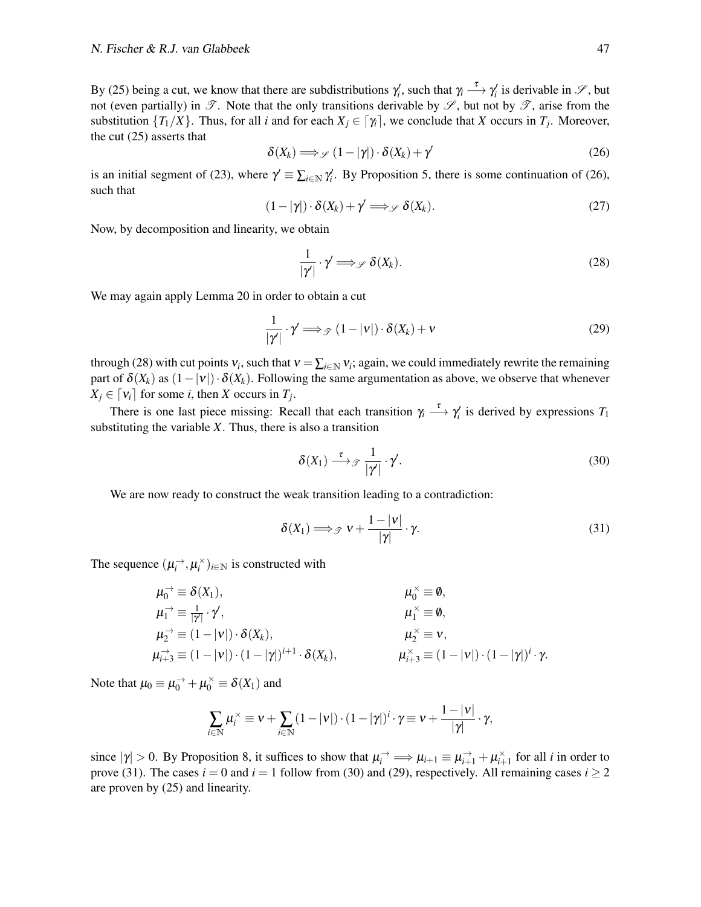By [\(25\)](#page-45-3) being a cut, we know that there are subdistributions  $\gamma'_i$ , such that  $\gamma_i \stackrel{\tau}{\longrightarrow} \gamma'_i$  is derivable in  $\mathscr{S}$ , but not (even partially) in  $\mathscr T$ . Note that the only transitions derivable by  $\mathscr S$ , but not by  $\mathscr T$ , arise from the substitution  $\{T_1/X\}$ . Thus, for all *i* and for each  $X_j \in [\gamma_i]$ , we conclude that *X* occurs in  $T_j$ . Moreover, the cut [\(25\)](#page-45-3) asserts that

<span id="page-46-0"></span>
$$
\delta(X_k) \Longrightarrow_{\mathscr{S}} (1 - |\gamma|) \cdot \delta(X_k) + \gamma'
$$
 (26)

is an initial segment of [\(23\)](#page-45-1), where  $\gamma' \equiv \sum_{i \in \mathbb{N}} \gamma'_i$ . By [Proposition 5,](#page-6-2) there is some continuation of [\(26\)](#page-46-0), such that

$$
(1 - |\gamma|) \cdot \delta(X_k) + \gamma' \Longrightarrow_{\mathscr{S}} \delta(X_k). \tag{27}
$$

Now, by decomposition and linearity, we obtain

<span id="page-46-4"></span><span id="page-46-1"></span>
$$
\frac{1}{|\gamma|} \cdot \gamma' \Longrightarrow_{\mathscr{S}} \delta(X_k). \tag{28}
$$

We may again apply [Lemma 20](#page-43-4) in order to obtain a cut

$$
\frac{1}{|\gamma|} \cdot \gamma' \Longrightarrow_{\mathscr{T}} (1 - |\mathbf{v}|) \cdot \delta(X_k) + \mathbf{v}
$$
\n(29)

through [\(28\)](#page-46-1) with cut points  $v_i$ , such that  $v = \sum_{i \in \mathbb{N}} v_i$ ; again, we could immediately rewrite the remaining part of  $\delta(X_k)$  as  $(1-|v|) \cdot \delta(X_k)$ . Following the same argumentation as above, we observe that whenever  $X_j \in [v_i]$  for some *i*, then *X* occurs in *T<sub>j</sub>*.

There is one last piece missing: Recall that each transition  $\gamma_i \stackrel{\tau}{\longrightarrow} \gamma'_i$  is derived by expressions  $T_1$ substituting the variable *X*. Thus, there is also a transition

<span id="page-46-3"></span><span id="page-46-2"></span>
$$
\delta(X_1) \stackrel{\tau}{\longrightarrow} \mathcal{F} \frac{1}{|\gamma|} \cdot \gamma'. \tag{30}
$$

We are now ready to construct the weak transition leading to a contradiction:

$$
\delta(X_1) \Longrightarrow_{\mathscr{T}} v + \frac{1-|v|}{|\gamma|} \cdot \gamma. \tag{31}
$$

The sequence  $(\mu_i^{\rightarrow}, \mu_i^{\times})_{i \in \mathbb{N}}$  is constructed with

$$
\mu_0^{\rightarrow} \equiv \delta(X_1),
$$
\n
$$
\mu_1^{\rightarrow} \equiv \frac{1}{|\gamma|} \cdot \gamma',
$$
\n
$$
\mu_2^{\times} \equiv 0,
$$
\n
$$
\mu_1^{\times} \equiv \emptyset,
$$
\n
$$
\mu_2^{\times} \equiv (1 - |\mathbf{v}|) \cdot \delta(X_k),
$$
\n
$$
\mu_2^{\times} \equiv \mathbf{v},
$$
\n
$$
\mu_{i+3}^{\times} \equiv (1 - |\mathbf{v}|) \cdot (1 - |\gamma|)^{i+1} \cdot \delta(X_k),
$$
\n
$$
\mu_{i+3}^{\times} \equiv (1 - |\mathbf{v}|) \cdot (1 - |\gamma|)^i \cdot \gamma.
$$

Note that  $\mu_0 \equiv \mu_0^{\rightarrow} + \mu_0^{\times} \equiv \delta(X_1)$  and

$$
\sum_{i\in\mathbb{N}}\mu_i^{\times}\equiv \mathbf{v}+\sum_{i\in\mathbb{N}}(1-|\mathbf{v}|)\cdot(1-|\mathbf{y}|)^{i}\cdot\mathbf{y}\equiv \mathbf{v}+\frac{1-|\mathbf{v}|}{|\mathbf{y}|}\cdot\mathbf{y},
$$

since  $|\gamma| > 0$ . By [Proposition 8,](#page-7-1) it suffices to show that  $\mu_i^{\rightarrow} \implies \mu_{i+1} \equiv \mu_{i+1}^{\rightarrow} + \mu_{i+1}^{\times}$  for all *i* in order to prove [\(31\)](#page-46-2). The cases  $i = 0$  and  $i = 1$  follow from [\(30\)](#page-46-3) and [\(29\)](#page-46-4), respectively. All remaining cases  $i \ge 2$ are proven by [\(25\)](#page-45-3) and linearity.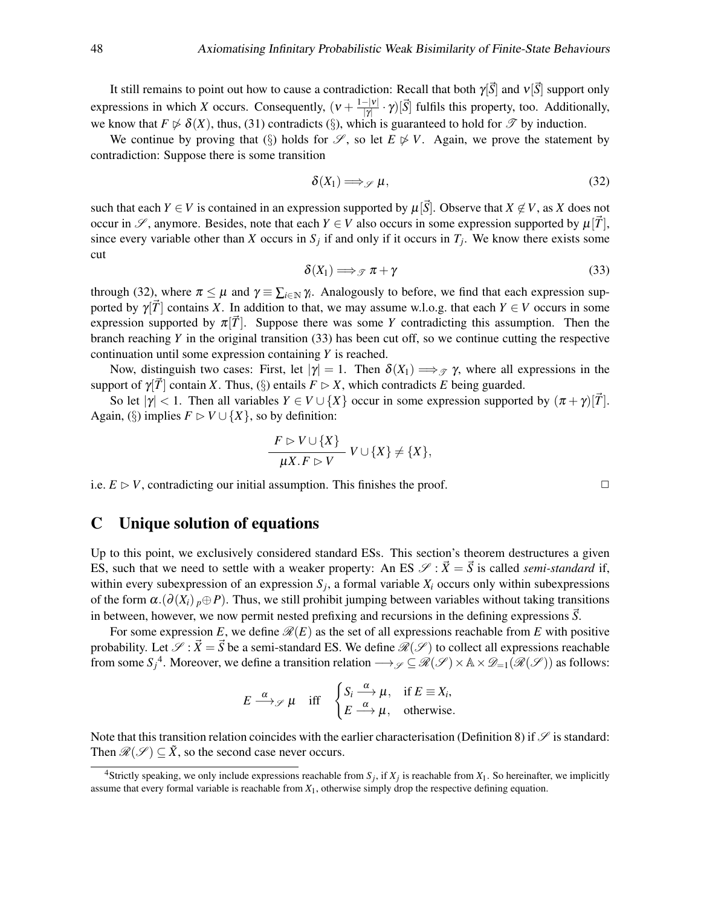It still remains to point out how to cause a contradiction: Recall that both  $\gamma[\vec{S}]$  and  $v[\vec{S}]$  support only expressions in which *X* occurs. Consequently,  $(v + \frac{1-|v|}{|v|})$  $\frac{(-|v|)}{|\gamma|} \cdot \gamma$  *[S]* fulfils this property, too. Additionally, we know that  $F \not\triangleright \delta(X)$ , thus, [\(31\)](#page-46-2) contradicts ([§](#page-45-0)), which is guaranteed to hold for  $\mathscr T$  by induction.

We continue by proving that ([§](#page-45-0)) holds for  $\mathscr{S}$ , so let  $E \not\triangleright V$ . Again, we prove the statement by contradiction: Suppose there is some transition

<span id="page-47-1"></span>
$$
\delta(X_1) \Longrightarrow_{\mathscr{S}} \mu,\tag{32}
$$

<span id="page-47-2"></span>such that each *Y* ∈ *V* is contained in an expression supported by  $\mu[\vec{S}]$ . Observe that *X* ∉ *V*, as *X* does not occur in  $\mathscr{S}$ , anymore. Besides, note that each  $Y \in V$  also occurs in some expression supported by  $\mu[T]$ , since every variable other than *X* occurs in  $S_j$  if and only if it occurs in  $T_j$ . We know there exists some cut

$$
\delta(X_1) \Longrightarrow_{\mathcal{F}} \pi + \gamma \tag{33}
$$

through [\(32\)](#page-47-1), where  $\pi \leq \mu$  and  $\gamma \equiv \sum_{i \in \mathbb{N}} \gamma_i$ . Analogously to before, we find that each expression supported by  $\gamma[\vec{T}]$  contains *X*. In addition to that, we may assume w.l.o.g. that each  $Y \in V$  occurs in some expression supported by  $\pi[\overline{T}]$ . Suppose there was some *Y* contradicting this assumption. Then the branch reaching *Y* in the original transition [\(33\)](#page-47-2) has been cut off, so we continue cutting the respective continuation until some expression containing *Y* is reached.

Now, distinguish two cases: First, let  $|\gamma|=1$ . Then  $\delta(X_1) \Longrightarrow_{\mathscr{T}} \gamma$ , where all expressions in the support of  $\gamma[\bar{T}]$  contain *X*. Thus, ([§](#page-45-0)) entails  $F \triangleright X$ , which contradicts *E* being guarded.

So let  $|\gamma| < 1$ . Then all variables  $Y \in V \cup \{X\}$  occur in some expression supported by  $(\pi + \gamma)$ [T]. Again, [\(](#page-45-0)§) implies  $F \triangleright V \cup \{X\}$ , so by definition:

$$
\frac{F \supset V \cup \{X\}}{\mu X.F \supset V} V \cup \{X\} \neq \{X\},\
$$

i.e.  $E \triangleright V$ , contradicting our initial assumption. This finishes the proof.  $\square$ 

## <span id="page-47-0"></span>C Unique solution of equations

Up to this point, we exclusively considered standard ESs. This section's theorem destructures a given ES, such that we need to settle with a weaker property: An ES  $\mathcal{S}: \vec{X} = \vec{S}$  is called *semi-standard* if, within every subexpression of an expression  $S_j$ , a formal variable  $X_i$  occurs only within subexpressions of the form  $\alpha$ .( $\partial(X_i)$  *p*⊕*P*). Thus, we still prohibit jumping between variables without taking transitions in between, however, we now permit nested prefixing and recursions in the defining expressions  $\overline{S}$ .

For some expression E, we define  $\mathcal{R}(E)$  as the set of all expressions reachable from E with positive probability. Let  $\mathscr{S} : \vec{X} = \vec{S}$  be a semi-standard ES. We define  $\mathscr{R}(\mathscr{S})$  to collect all expressions reachable from some  $S_j^A$ . Moreover, we define a transition relation  $\longrightarrow_{\mathscr{S}} \subseteq \mathscr{R}(\mathscr{S}) \times \mathbb{A} \times \mathscr{D}_{=1}(\mathscr{R}(\mathscr{S}))$  as follows:

$$
E \xrightarrow{\alpha} \mathcal{J} \mu \quad \text{iff} \quad \begin{cases} S_i \xrightarrow{\alpha} \mu, & \text{if } E \equiv X_i, \\ E \xrightarrow{\alpha} \mu, & \text{otherwise.} \end{cases}
$$

Note that this transition relation coincides with the earlier characterisation [\(Definition 8\)](#page-20-3) if  $\mathscr S$  is standard: Then  $\mathcal{R}(\mathcal{S}) \subseteq \tilde{X}$ , so the second case never occurs.

<span id="page-47-3"></span><sup>&</sup>lt;sup>4</sup>Strictly speaking, we only include expressions reachable from  $S_j$ , if  $X_j$  is reachable from  $X_1$ . So hereinafter, we implicitly assume that every formal variable is reachable from *X*1, otherwise simply drop the respective defining equation.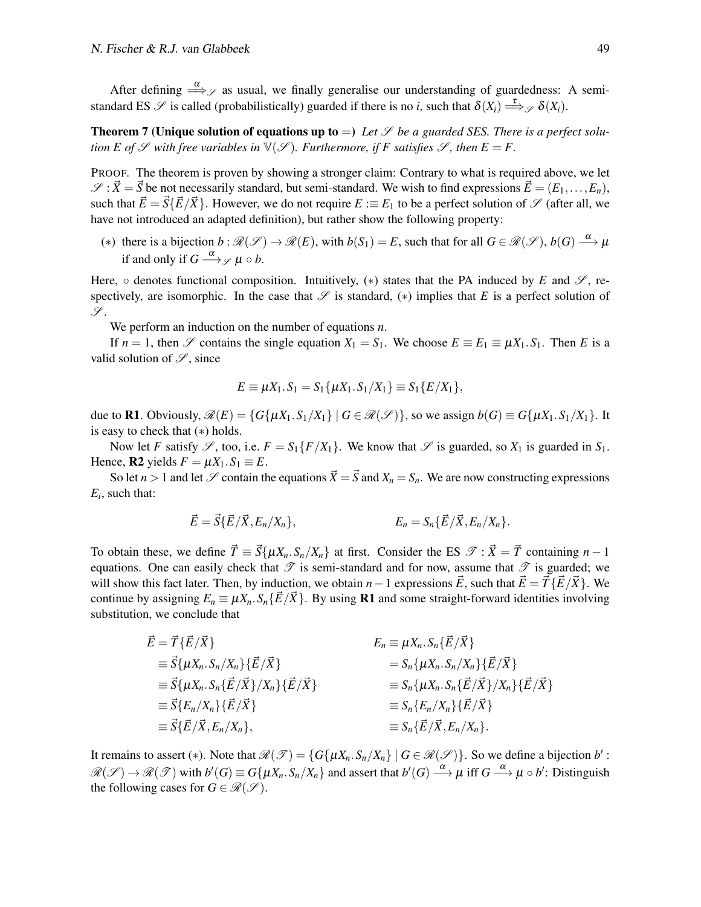After defining  $\stackrel{\alpha}{\Longrightarrow}_{\mathscr{S}}$  as usual, we finally generalise our understanding of guardedness: A semistandard ES  $\mathscr S$  is called (probabilistically) guarded if there is no *i*, such that  $\delta(X_i) \stackrel{\tau}{\Longrightarrow} \mathscr S \delta(X_i)$ .

**Theorem 7 (Unique solution of equations up to**  $=$ ) Let  $\mathscr S$  be a guarded SES. There is a perfect solu*tion E of*  $\mathscr S$  *with free variables in*  $\mathbb V(\mathscr S)$ *. Furthermore, if F satisfies*  $\mathscr S$ *, then*  $E = F$ *.* 

PROOF. The theorem is proven by showing a stronger claim: Contrary to what is required above, we let  $\mathscr{S}: \vec{X} = \vec{S}$  be not necessarily standard, but semi-standard. We wish to find expressions  $\vec{E} = (E_1, \ldots, E_n)$ , such that  $\vec{E} = \vec{S} \{\vec{E}/\vec{X}\}\$ . However, we do not require  $E := E_1$  to be a perfect solution of  $\mathscr{S}$  (after all, we have not introduced an adapted definition), but rather show the following property:

<span id="page-48-0"></span>(\*) there is a bijection  $b : \mathcal{R}(\mathcal{S}) \to \mathcal{R}(E)$ , with  $b(S_1) = E$ , such that for all  $G \in \mathcal{R}(\mathcal{S})$ ,  $b(G) \stackrel{\alpha}{\longrightarrow} \mu$ if and only if  $G \stackrel{\alpha}{\longrightarrow}$   $\mathscr{S} \mu \circ b$ .

Here,  $\circ$  denotes functional composition. Intuitively, (\*) states that the PA induced by *E* and  $\mathscr{S}$ , respectively, are isomorphic. In the case that  $\mathscr S$  is standard,  $(*)$  implies that *E* is a perfect solution of  $\mathscr{S}.$ 

We perform an induction on the number of equations *n*.

If  $n = 1$ , then S contains the single equation  $X_1 = S_1$ . We choose  $E = E_1 = \mu X_1 \cdot S_1$ . Then E is a valid solution of  $\mathscr{S}$ , since

$$
E \equiv \mu X_1.S_1 = S_1\{\mu X_1.S_1/X_1\} \equiv S_1\{E/X_1\},\
$$

due to R1. Obviously,  $\mathcal{R}(E) = \{G\{\mu X_1, S_1/X_1\} \mid G \in \mathcal{R}(\mathcal{S})\}$ , so we assign  $b(G) \equiv G\{\mu X_1, S_1/X_1\}$ . It is easy to check that ([∗](#page-48-0)) holds.

Now let *F* satisfy  $\mathscr{S}$ , too, i.e.  $F = S_1\{F/X_1\}$ . We know that  $\mathscr{S}$  is guarded, so  $X_1$  is guarded in  $S_1$ . Hence, **R2** yields  $F = \mu X_1 \cdot S_1 \equiv E$ .

So let  $n > 1$  and let  $\mathscr S$  contain the equations  $\vec X = \vec S$  and  $X_n = S_n$ . We are now constructing expressions *Ei* , such that:

$$
\vec{E} = \vec{S} \{ \vec{E} / \vec{X}, E_n / X_n \},
$$
  
 
$$
E_n = S_n \{ \vec{E} / \vec{X}, E_n / X_n \}.
$$

To obtain these, we define  $\vec{T} = \vec{S} \{ \mu X_n \cdot S_n / X_n \}$  at first. Consider the ES  $\mathcal{T} : \vec{X} = \vec{T}$  containing  $n - 1$ equations. One can easily check that  $\mathscr T$  is semi-standard and for now, assume that  $\mathscr T$  is guarded; we will show this fact later. Then, by induction, we obtain *n*−1 expressions  $\vec{E}$ , such that  $\vec{E} = \vec{T} \{ \vec{E} / \vec{X} \}$ . We continue by assigning  $E_n \equiv \mu X_n$ .  $S_n \{\vec{E}/\vec{X}\}\)$ . By using **R1** and some straight-forward identities involving substitution, we conclude that

$$
\begin{aligned}\n\vec{E} &= \vec{T} \{ \vec{E} / \vec{X} \} & E_n \equiv \mu X_n . S_n \{ \vec{E} / \vec{X} \} \\
&= \vec{S} \{ \mu X_n . S_n / X_n \} \{ \vec{E} / \vec{X} \} & = S_n \{ \mu X_n . S_n / X_n \} \{ \vec{E} / \vec{X} \} \\
&= \vec{S} \{ \mu X_n . S_n \{ \vec{E} / \vec{X} \} / X_n \} \{ \vec{E} / \vec{X} \} & \equiv S_n \{ \mu X_n . S_n \{ \vec{E} / \vec{X} \} / X_n \} \{ \vec{E} / \vec{X} \} \\
&= \vec{S} \{ E_n / X_n \} \{ \vec{E} / \vec{X} \} & \equiv S_n \{ E_n / X_n \} \{ \vec{E} / \vec{X} \} \\
&= \vec{S} \{ \vec{E} / \vec{X} , E_n / X_n \}, & \equiv S_n \{ \vec{E} / \vec{X} , E_n / X_n \}.\n\end{aligned}
$$

It remains to assert (\*). Note that  $\mathcal{R}(\mathcal{F}) = \{G\{\mu X_n, S_n / X_n\} \mid G \in \mathcal{R}(\mathcal{S})\}$ . So we define a bijection  $b'$ :  $\mathscr{R}(\mathscr{S}) \to \mathscr{R}(\mathscr{T})$  with  $b'(G) \equiv G\{\mu X_n. S_n / X_n\}$  and assert that  $b'(G) \stackrel{\alpha}{\longrightarrow} \mu$  iff  $G \stackrel{\alpha}{\longrightarrow} \mu \circ b'$ : Distinguish the following cases for  $G \in \mathcal{R}(\mathcal{S})$ .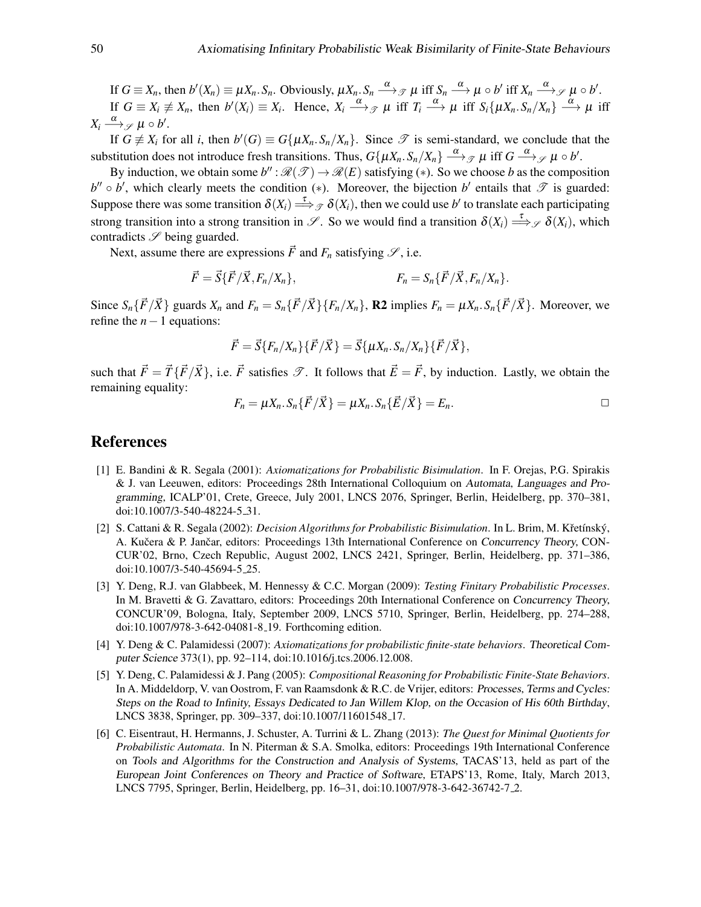If  $G \equiv X_n$ , then  $b'(X_n) \equiv \mu X_n$ .  $S_n$ . Obviously,  $\mu X_n$ .  $S_n \xrightarrow{\alpha} \mathcal{J} \mu$  iff  $S_n \xrightarrow{\alpha} \mu \circ b'$  iff  $X_n \xrightarrow{\alpha} \mathcal{J} \mu \circ b'$ . If  $G \equiv X_i \not\equiv X_n$ , then  $b'(X_i) \equiv X_i$ . Hence,  $X_i \xrightarrow{\alpha} \mathcal{P}$   $\mu$  iff  $T_i \xrightarrow{\alpha} \mu$  iff  $S_i \{\mu X_n S_n / X_n \} \xrightarrow{\alpha} \mu$  iff  $X_i \stackrel{\alpha}{\longrightarrow}$ g  $\mu \circ b'.$ 

If  $G \neq X_i$  for all *i*, then  $b'(G) \equiv G\{\mu X_n \cdot S_n / X_n\}$ . Since  $\mathcal T$  is semi-standard, we conclude that the substitution does not introduce fresh transitions. Thus,  $G\{\mu X_n.S_n/X_n\} \stackrel{\alpha}{\longrightarrow}_{\mathcal{F}} \mu$  iff  $G \stackrel{\alpha}{\longrightarrow}_{\mathcal{F}} \mu \circ b'.$ 

By induction, we obtain some  $b''$ :  $\mathcal{R}(\mathcal{T}) \to \mathcal{R}(E)$  satisfying (\*). So we choose *b* as the composition  $b'' \circ b'$ , which clearly meets the condition (\*). Moreover, the bijection  $b'$  entails that  $\mathscr T$  is guarded: Suppose there was some transition  $\delta(X_i) \stackrel{\tau}{\Longrightarrow}_{\mathcal{F}} \delta(X_i)$ , then we could use *b*' to translate each participating strong transition into a strong transition in  $\mathscr{S}$ . So we would find a transition  $\delta(X_i) \stackrel{\tau}{\Longrightarrow}_{\mathscr{S}} \delta(X_i)$ , which contradicts  $\mathscr S$  being guarded.

Next, assume there are expressions  $\vec{F}$  and  $F_n$  satisfying  $\mathscr{S}$ , i.e.

$$
\vec{F} = \vec{S} \{ \vec{F} / \vec{X}, F_n / X_n \}, \qquad F_n = S_n \{ \vec{F} / \vec{X}, F_n / X_n \}.
$$

Since  $S_n\{\vec{F}/\vec{X}\}\$  guards  $X_n$  and  $F_n = S_n\{\vec{F}/\vec{X}\}\{F_n/X_n\}$ , R2 implies  $F_n = \mu X_n S_n\{\vec{F}/\vec{X}\}\$ . Moreover, we refine the  $n-1$  equations:

$$
\vec{F} = \vec{S} \{F_n/X_n\} \{\vec{F}/\vec{X}\} = \vec{S} \{\mu X_n \cdot S_n/X_n\} \{\vec{F}/\vec{X}\},
$$

such that  $\vec{F} = \vec{T} \{\vec{F}/\vec{X}\}\)$ , i.e.  $\vec{F}$  satisfies  $\mathscr{T}$ . It follows that  $\vec{E} = \vec{F}$ , by induction. Lastly, we obtain the remaining equality:

$$
F_n = \mu X_n \cdot S_n \{ \vec{F} / \vec{X} \} = \mu X_n \cdot S_n \{ \vec{E} / \vec{X} \} = E_n.
$$

# References

- <span id="page-49-0"></span>[1] E. Bandini & R. Segala (2001): *Axiomatizations for Probabilistic Bisimulation*. In F. Orejas, P.G. Spirakis & J. van Leeuwen, editors: Proceedings 28th International Colloquium on Automata, Languages and Programming, ICALP'01, Crete, Greece, July 2001, LNCS 2076, Springer, Berlin, Heidelberg, pp. 370–381, doi[:10.1007/3-540-48224-5](http://dx.doi.org/10.1007/3-540-48224-5_31) 31.
- <span id="page-49-3"></span>[2] S. Cattani & R. Segala (2002): *Decision Algorithms for Probabilistic Bisimulation*. In L. Brim, M. Křetínský, A. Kučera & P. Jančar, editors: Proceedings 13th International Conference on Concurrency Theory, CON-CUR'02, Brno, Czech Republic, August 2002, LNCS 2421, Springer, Berlin, Heidelberg, pp. 371–386, doi[:10.1007/3-540-45694-5](http://dx.doi.org/10.1007/3-540-45694-5_25) 25.
- <span id="page-49-4"></span>[3] Y. Deng, R.J. van Glabbeek, M. Hennessy & C.C. Morgan (2009): *Testing Finitary Probabilistic Processes*. In M. Bravetti & G. Zavattaro, editors: Proceedings 20th International Conference on Concurrency Theory, CONCUR'09, Bologna, Italy, September 2009, LNCS 5710, Springer, Berlin, Heidelberg, pp. 274–288, doi[:10.1007/978-3-642-04081-8](http://dx.doi.org/10.1007/978-3-642-04081-8_19) 19. Forthcoming edition.
- <span id="page-49-1"></span>[4] Y. Deng & C. Palamidessi (2007): *Axiomatizations for probabilistic finite-state behaviors*. Theoretical Computer Science 373(1), pp. 92–114, doi[:10.1016/j.tcs.2006.12.008.](http://dx.doi.org/10.1016/j.tcs.2006.12.008)
- <span id="page-49-2"></span>[5] Y. Deng, C. Palamidessi & J. Pang (2005): *Compositional Reasoning for Probabilistic Finite-State Behaviors*. In A. Middeldorp, V. van Oostrom, F. van Raamsdonk & R.C. de Vrijer, editors: Processes, Terms and Cycles: Steps on the Road to Infinity, Essays Dedicated to Jan Willem Klop, on the Occasion of His 60th Birthday, LNCS 3838, Springer, pp. 309–337, doi[:10.1007/11601548](http://dx.doi.org/10.1007/11601548_17) 17.
- <span id="page-49-5"></span>[6] C. Eisentraut, H. Hermanns, J. Schuster, A. Turrini & L. Zhang (2013): *The Quest for Minimal Quotients for Probabilistic Automata*. In N. Piterman & S.A. Smolka, editors: Proceedings 19th International Conference on Tools and Algorithms for the Construction and Analysis of Systems, TACAS'13, held as part of the European Joint Conferences on Theory and Practice of Software, ETAPS'13, Rome, Italy, March 2013, LNCS 7795, Springer, Berlin, Heidelberg, pp. 16–31, doi[:10.1007/978-3-642-36742-7](http://dx.doi.org/10.1007/978-3-642-36742-7_2) 2.